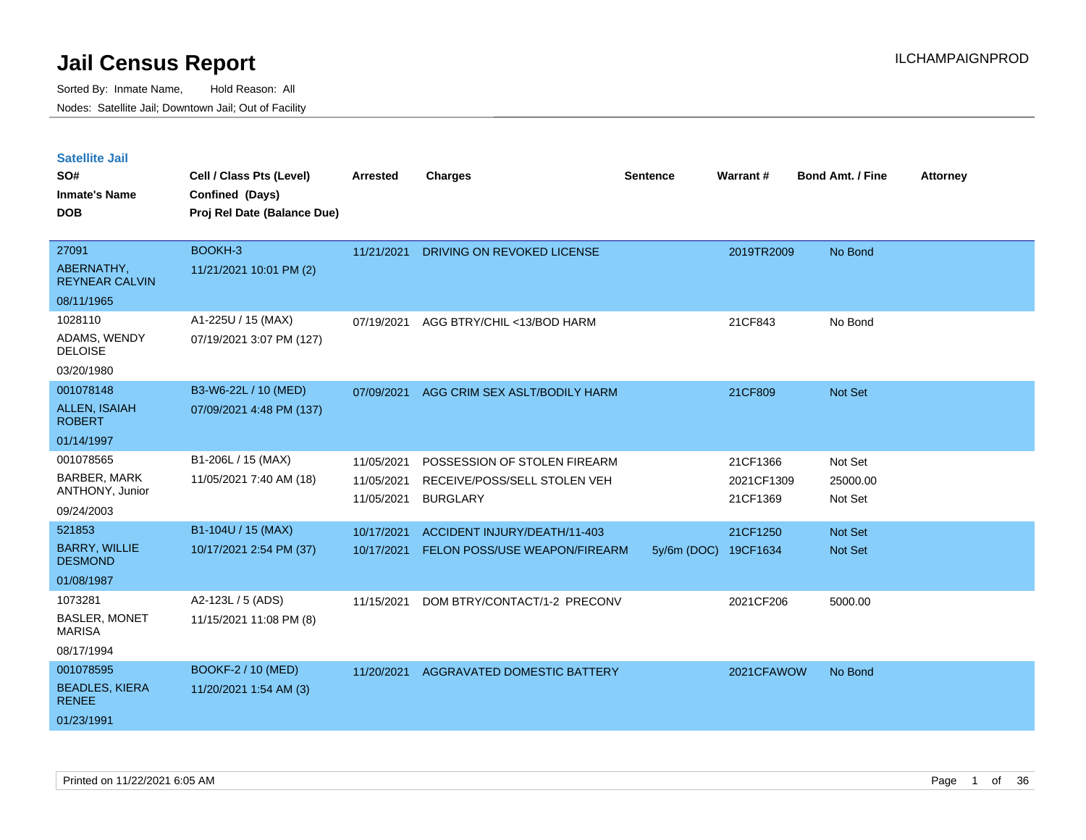Sorted By: Inmate Name, Hold Reason: All Nodes: Satellite Jail; Downtown Jail; Out of Facility

| <b>Satellite Jail</b><br>SO#<br><b>Inmate's Name</b><br><b>DOB</b> | Cell / Class Pts (Level)<br>Confined (Days)<br>Proj Rel Date (Balance Due) | <b>Arrested</b>          | <b>Charges</b>                                  | <b>Sentence</b> | Warrant#               | <b>Bond Amt. / Fine</b> | <b>Attorney</b> |
|--------------------------------------------------------------------|----------------------------------------------------------------------------|--------------------------|-------------------------------------------------|-----------------|------------------------|-------------------------|-----------------|
| 27091                                                              | BOOKH-3                                                                    | 11/21/2021               | DRIVING ON REVOKED LICENSE                      |                 | 2019TR2009             | No Bond                 |                 |
| ABERNATHY,<br><b>REYNEAR CALVIN</b>                                | 11/21/2021 10:01 PM (2)                                                    |                          |                                                 |                 |                        |                         |                 |
| 08/11/1965                                                         |                                                                            |                          |                                                 |                 |                        |                         |                 |
| 1028110                                                            | A1-225U / 15 (MAX)                                                         | 07/19/2021               | AGG BTRY/CHIL <13/BOD HARM                      |                 | 21CF843                | No Bond                 |                 |
| ADAMS, WENDY<br><b>DELOISE</b>                                     | 07/19/2021 3:07 PM (127)                                                   |                          |                                                 |                 |                        |                         |                 |
| 03/20/1980                                                         |                                                                            |                          |                                                 |                 |                        |                         |                 |
| 001078148                                                          | B3-W6-22L / 10 (MED)                                                       | 07/09/2021               | AGG CRIM SEX ASLT/BODILY HARM                   |                 | 21CF809                | <b>Not Set</b>          |                 |
| <b>ALLEN, ISAIAH</b><br><b>ROBERT</b>                              | 07/09/2021 4:48 PM (137)                                                   |                          |                                                 |                 |                        |                         |                 |
| 01/14/1997                                                         |                                                                            |                          |                                                 |                 |                        |                         |                 |
| 001078565                                                          | B1-206L / 15 (MAX)                                                         | 11/05/2021               | POSSESSION OF STOLEN FIREARM                    |                 | 21CF1366               | Not Set                 |                 |
| <b>BARBER, MARK</b><br>ANTHONY, Junior                             | 11/05/2021 7:40 AM (18)                                                    | 11/05/2021<br>11/05/2021 | RECEIVE/POSS/SELL STOLEN VEH<br><b>BURGLARY</b> |                 | 2021CF1309<br>21CF1369 | 25000.00<br>Not Set     |                 |
| 09/24/2003                                                         |                                                                            |                          |                                                 |                 |                        |                         |                 |
| 521853                                                             | B1-104U / 15 (MAX)                                                         | 10/17/2021               | ACCIDENT INJURY/DEATH/11-403                    |                 | 21CF1250               | Not Set                 |                 |
| <b>BARRY, WILLIE</b><br><b>DESMOND</b>                             | 10/17/2021 2:54 PM (37)                                                    | 10/17/2021               | FELON POSS/USE WEAPON/FIREARM                   | 5y/6m (DOC)     | 19CF1634               | <b>Not Set</b>          |                 |
| 01/08/1987                                                         |                                                                            |                          |                                                 |                 |                        |                         |                 |
| 1073281                                                            | A2-123L / 5 (ADS)                                                          | 11/15/2021               | DOM BTRY/CONTACT/1-2 PRECONV                    |                 | 2021CF206              | 5000.00                 |                 |
| <b>BASLER, MONET</b><br><b>MARISA</b>                              | 11/15/2021 11:08 PM (8)                                                    |                          |                                                 |                 |                        |                         |                 |
| 08/17/1994                                                         |                                                                            |                          |                                                 |                 |                        |                         |                 |
| 001078595                                                          | BOOKF-2 / 10 (MED)                                                         | 11/20/2021               | AGGRAVATED DOMESTIC BATTERY                     |                 | 2021CFAWOW             | No Bond                 |                 |
| <b>BEADLES, KIERA</b><br><b>RENEE</b>                              | 11/20/2021 1:54 AM (3)                                                     |                          |                                                 |                 |                        |                         |                 |

01/23/1991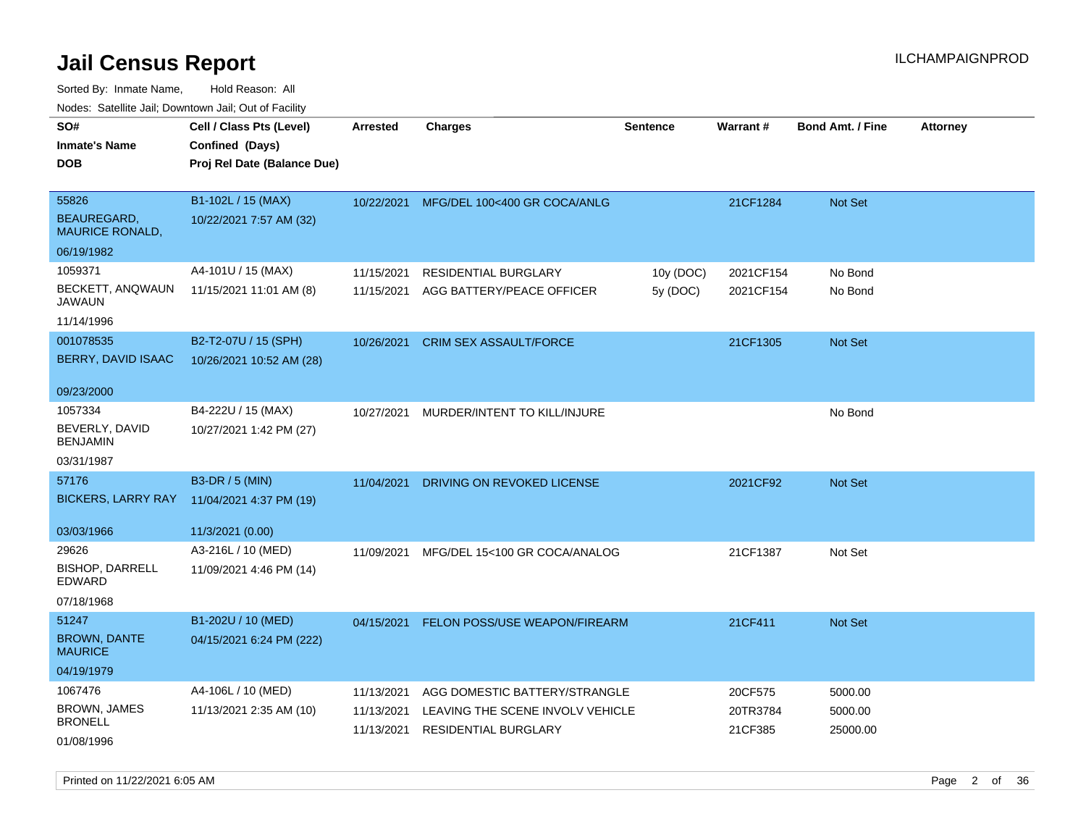Sorted By: Inmate Name, Hold Reason: All Nodes: Satellite Jail; Downtown Jail; Out of Facility

| ivouss. Satellite Jali, Downtown Jali, Out of Facility |                             |            |                                      |           |           |                         |                 |
|--------------------------------------------------------|-----------------------------|------------|--------------------------------------|-----------|-----------|-------------------------|-----------------|
| SO#                                                    | Cell / Class Pts (Level)    | Arrested   | <b>Charges</b>                       | Sentence  | Warrant#  | <b>Bond Amt. / Fine</b> | <b>Attorney</b> |
| <b>Inmate's Name</b>                                   | Confined (Days)             |            |                                      |           |           |                         |                 |
| <b>DOB</b>                                             | Proj Rel Date (Balance Due) |            |                                      |           |           |                         |                 |
|                                                        |                             |            |                                      |           |           |                         |                 |
| 55826                                                  | B1-102L / 15 (MAX)          | 10/22/2021 | MFG/DEL 100<400 GR COCA/ANLG         |           | 21CF1284  | Not Set                 |                 |
| BEAUREGARD,<br><b>MAURICE RONALD,</b>                  | 10/22/2021 7:57 AM (32)     |            |                                      |           |           |                         |                 |
| 06/19/1982                                             |                             |            |                                      |           |           |                         |                 |
| 1059371                                                | A4-101U / 15 (MAX)          | 11/15/2021 | <b>RESIDENTIAL BURGLARY</b>          | 10y (DOC) | 2021CF154 | No Bond                 |                 |
| BECKETT, ANQWAUN<br>JAWAUN                             | 11/15/2021 11:01 AM (8)     | 11/15/2021 | AGG BATTERY/PEACE OFFICER            | 5y (DOC)  | 2021CF154 | No Bond                 |                 |
| 11/14/1996                                             |                             |            |                                      |           |           |                         |                 |
| 001078535                                              | B2-T2-07U / 15 (SPH)        | 10/26/2021 | <b>CRIM SEX ASSAULT/FORCE</b>        |           | 21CF1305  | <b>Not Set</b>          |                 |
| BERRY, DAVID ISAAC                                     | 10/26/2021 10:52 AM (28)    |            |                                      |           |           |                         |                 |
| 09/23/2000                                             |                             |            |                                      |           |           |                         |                 |
| 1057334                                                | B4-222U / 15 (MAX)          | 10/27/2021 | MURDER/INTENT TO KILL/INJURE         |           |           | No Bond                 |                 |
| BEVERLY, DAVID<br><b>BENJAMIN</b>                      | 10/27/2021 1:42 PM (27)     |            |                                      |           |           |                         |                 |
| 03/31/1987                                             |                             |            |                                      |           |           |                         |                 |
| 57176                                                  | B3-DR / 5 (MIN)             | 11/04/2021 | DRIVING ON REVOKED LICENSE           |           | 2021CF92  | <b>Not Set</b>          |                 |
| <b>BICKERS, LARRY RAY</b>                              | 11/04/2021 4:37 PM (19)     |            |                                      |           |           |                         |                 |
| 03/03/1966                                             | 11/3/2021 (0.00)            |            |                                      |           |           |                         |                 |
| 29626                                                  | A3-216L / 10 (MED)          | 11/09/2021 | MFG/DEL 15<100 GR COCA/ANALOG        |           | 21CF1387  | Not Set                 |                 |
| <b>BISHOP, DARRELL</b><br>EDWARD                       | 11/09/2021 4:46 PM (14)     |            |                                      |           |           |                         |                 |
| 07/18/1968                                             |                             |            |                                      |           |           |                         |                 |
| 51247                                                  | B1-202U / 10 (MED)          | 04/15/2021 | <b>FELON POSS/USE WEAPON/FIREARM</b> |           | 21CF411   | Not Set                 |                 |
| <b>BROWN, DANTE</b><br><b>MAURICE</b>                  | 04/15/2021 6:24 PM (222)    |            |                                      |           |           |                         |                 |
| 04/19/1979                                             |                             |            |                                      |           |           |                         |                 |
| 1067476                                                | A4-106L / 10 (MED)          | 11/13/2021 | AGG DOMESTIC BATTERY/STRANGLE        |           | 20CF575   | 5000.00                 |                 |
| <b>BROWN, JAMES</b>                                    | 11/13/2021 2:35 AM (10)     | 11/13/2021 | LEAVING THE SCENE INVOLV VEHICLE     |           | 20TR3784  | 5000.00                 |                 |
| <b>BRONELL</b>                                         |                             | 11/13/2021 | <b>RESIDENTIAL BURGLARY</b>          |           | 21CF385   | 25000.00                |                 |
| 01/08/1996                                             |                             |            |                                      |           |           |                         |                 |

Printed on 11/22/2021 6:05 AM Page 2 of 36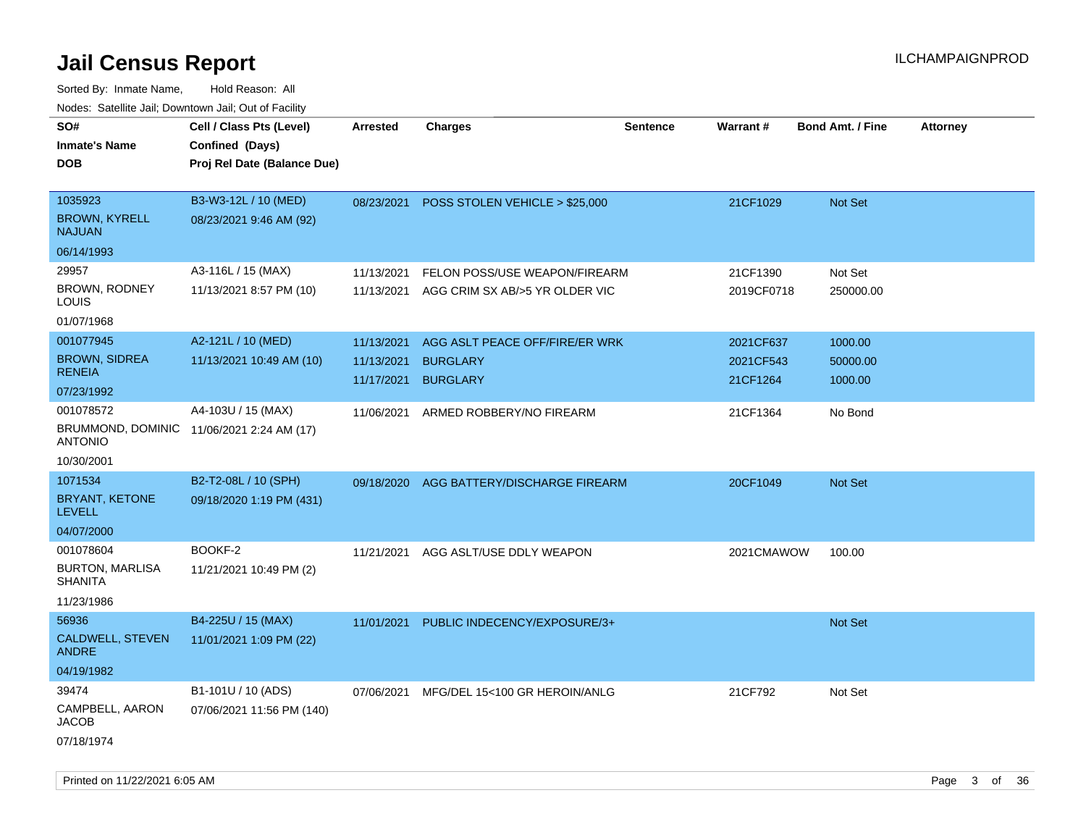Sorted By: Inmate Name, Hold Reason: All Nodes: Satellite Jail; Downtown Jail; Out of Facility

| roaco. Catolino dall, Downtown dall, Out of Fability                     |                                                                            |                                        |                                                                            |                 |                                    |                                |                 |
|--------------------------------------------------------------------------|----------------------------------------------------------------------------|----------------------------------------|----------------------------------------------------------------------------|-----------------|------------------------------------|--------------------------------|-----------------|
| SO#<br><b>Inmate's Name</b><br><b>DOB</b>                                | Cell / Class Pts (Level)<br>Confined (Days)<br>Proj Rel Date (Balance Due) | <b>Arrested</b>                        | <b>Charges</b>                                                             | <b>Sentence</b> | Warrant#                           | Bond Amt. / Fine               | <b>Attorney</b> |
| 1035923<br><b>BROWN, KYRELL</b><br><b>NAJUAN</b><br>06/14/1993           | B3-W3-12L / 10 (MED)<br>08/23/2021 9:46 AM (92)                            | 08/23/2021                             | POSS STOLEN VEHICLE > \$25,000                                             |                 | 21CF1029                           | Not Set                        |                 |
|                                                                          |                                                                            |                                        |                                                                            |                 |                                    |                                |                 |
| 29957<br>BROWN, RODNEY<br>LOUIS                                          | A3-116L / 15 (MAX)<br>11/13/2021 8:57 PM (10)                              | 11/13/2021                             | FELON POSS/USE WEAPON/FIREARM<br>11/13/2021 AGG CRIM SX AB/>5 YR OLDER VIC |                 | 21CF1390<br>2019CF0718             | Not Set<br>250000.00           |                 |
| 01/07/1968                                                               |                                                                            |                                        |                                                                            |                 |                                    |                                |                 |
| 001077945<br><b>BROWN, SIDREA</b><br><b>RENEIA</b>                       | A2-121L / 10 (MED)<br>11/13/2021 10:49 AM (10)                             | 11/13/2021<br>11/13/2021<br>11/17/2021 | AGG ASLT PEACE OFF/FIRE/ER WRK<br><b>BURGLARY</b><br><b>BURGLARY</b>       |                 | 2021CF637<br>2021CF543<br>21CF1264 | 1000.00<br>50000.00<br>1000.00 |                 |
| 07/23/1992                                                               |                                                                            |                                        |                                                                            |                 |                                    |                                |                 |
| 001078572<br>BRUMMOND, DOMINIC 11/06/2021 2:24 AM (17)<br><b>ANTONIO</b> | A4-103U / 15 (MAX)                                                         | 11/06/2021                             | ARMED ROBBERY/NO FIREARM                                                   |                 | 21CF1364                           | No Bond                        |                 |
| 10/30/2001                                                               |                                                                            |                                        |                                                                            |                 |                                    |                                |                 |
| 1071534                                                                  | B2-T2-08L / 10 (SPH)                                                       | 09/18/2020                             | AGG BATTERY/DISCHARGE FIREARM                                              |                 | 20CF1049                           | Not Set                        |                 |
| BRYANT, KETONE<br><b>LEVELL</b>                                          | 09/18/2020 1:19 PM (431)                                                   |                                        |                                                                            |                 |                                    |                                |                 |
| 04/07/2000                                                               |                                                                            |                                        |                                                                            |                 |                                    |                                |                 |
| 001078604<br><b>BURTON, MARLISA</b><br><b>SHANITA</b><br>11/23/1986      | BOOKF-2<br>11/21/2021 10:49 PM (2)                                         | 11/21/2021                             | AGG ASLT/USE DDLY WEAPON                                                   |                 | 2021CMAWOW                         | 100.00                         |                 |
| 56936                                                                    | B4-225U / 15 (MAX)                                                         | 11/01/2021                             | PUBLIC INDECENCY/EXPOSURE/3+                                               |                 |                                    | Not Set                        |                 |
| CALDWELL, STEVEN<br><b>ANDRE</b>                                         | 11/01/2021 1:09 PM (22)                                                    |                                        |                                                                            |                 |                                    |                                |                 |
| 04/19/1982                                                               |                                                                            |                                        |                                                                            |                 |                                    |                                |                 |
| 39474                                                                    | B1-101U / 10 (ADS)                                                         | 07/06/2021                             | MFG/DEL 15<100 GR HEROIN/ANLG                                              |                 | 21CF792                            | Not Set                        |                 |
| CAMPBELL, AARON<br><b>JACOB</b><br>07/18/1974                            | 07/06/2021 11:56 PM (140)                                                  |                                        |                                                                            |                 |                                    |                                |                 |
|                                                                          |                                                                            |                                        |                                                                            |                 |                                    |                                |                 |

Printed on 11/22/2021 6:05 AM Page 3 of 36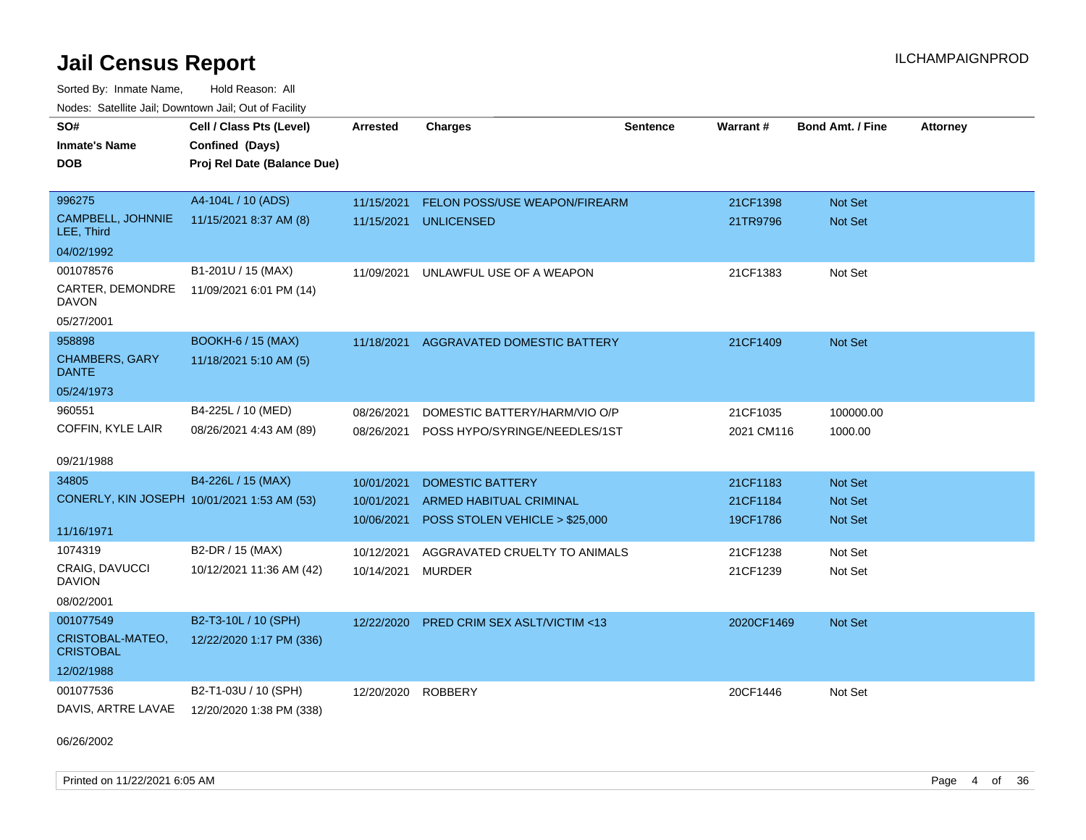Sorted By: Inmate Name, Hold Reason: All Nodes: Satellite Jail; Downtown Jail; Out of Facility

| SO#                                         | Cell / Class Pts (Level)    | Arrested   | <b>Charges</b>                 | <b>Sentence</b> | Warrant#   | <b>Bond Amt. / Fine</b> | <b>Attorney</b> |
|---------------------------------------------|-----------------------------|------------|--------------------------------|-----------------|------------|-------------------------|-----------------|
| <b>Inmate's Name</b>                        | Confined (Days)             |            |                                |                 |            |                         |                 |
| <b>DOB</b>                                  | Proj Rel Date (Balance Due) |            |                                |                 |            |                         |                 |
|                                             |                             |            |                                |                 |            |                         |                 |
| 996275                                      | A4-104L / 10 (ADS)          | 11/15/2021 | FELON POSS/USE WEAPON/FIREARM  |                 | 21CF1398   | Not Set                 |                 |
| CAMPBELL, JOHNNIE<br>LEE, Third             | 11/15/2021 8:37 AM (8)      | 11/15/2021 | <b>UNLICENSED</b>              |                 | 21TR9796   | <b>Not Set</b>          |                 |
| 04/02/1992                                  |                             |            |                                |                 |            |                         |                 |
| 001078576                                   | B1-201U / 15 (MAX)          | 11/09/2021 | UNLAWFUL USE OF A WEAPON       |                 | 21CF1383   | Not Set                 |                 |
| CARTER, DEMONDRE<br><b>DAVON</b>            | 11/09/2021 6:01 PM (14)     |            |                                |                 |            |                         |                 |
| 05/27/2001                                  |                             |            |                                |                 |            |                         |                 |
| 958898                                      | <b>BOOKH-6 / 15 (MAX)</b>   | 11/18/2021 | AGGRAVATED DOMESTIC BATTERY    |                 | 21CF1409   | <b>Not Set</b>          |                 |
| <b>CHAMBERS, GARY</b><br><b>DANTE</b>       | 11/18/2021 5:10 AM (5)      |            |                                |                 |            |                         |                 |
| 05/24/1973                                  |                             |            |                                |                 |            |                         |                 |
| 960551                                      | B4-225L / 10 (MED)          | 08/26/2021 | DOMESTIC BATTERY/HARM/VIO O/P  |                 | 21CF1035   | 100000.00               |                 |
| COFFIN, KYLE LAIR                           | 08/26/2021 4:43 AM (89)     | 08/26/2021 | POSS HYPO/SYRINGE/NEEDLES/1ST  |                 | 2021 CM116 | 1000.00                 |                 |
|                                             |                             |            |                                |                 |            |                         |                 |
| 09/21/1988                                  |                             |            |                                |                 |            |                         |                 |
| 34805                                       | B4-226L / 15 (MAX)          | 10/01/2021 | <b>DOMESTIC BATTERY</b>        |                 | 21CF1183   | <b>Not Set</b>          |                 |
| CONERLY, KIN JOSEPH 10/01/2021 1:53 AM (53) |                             | 10/01/2021 | <b>ARMED HABITUAL CRIMINAL</b> |                 | 21CF1184   | <b>Not Set</b>          |                 |
| 11/16/1971                                  |                             | 10/06/2021 | POSS STOLEN VEHICLE > \$25,000 |                 | 19CF1786   | <b>Not Set</b>          |                 |
| 1074319                                     | B2-DR / 15 (MAX)            | 10/12/2021 | AGGRAVATED CRUELTY TO ANIMALS  |                 | 21CF1238   | Not Set                 |                 |
| <b>CRAIG, DAVUCCI</b><br><b>DAVION</b>      | 10/12/2021 11:36 AM (42)    | 10/14/2021 | <b>MURDER</b>                  |                 | 21CF1239   | Not Set                 |                 |
| 08/02/2001                                  |                             |            |                                |                 |            |                         |                 |
| 001077549                                   | B2-T3-10L / 10 (SPH)        | 12/22/2020 | PRED CRIM SEX ASLT/VICTIM <13  |                 | 2020CF1469 | Not Set                 |                 |
| CRISTOBAL-MATEO,<br><b>CRISTOBAL</b>        | 12/22/2020 1:17 PM (336)    |            |                                |                 |            |                         |                 |
| 12/02/1988                                  |                             |            |                                |                 |            |                         |                 |
| 001077536                                   | B2-T1-03U / 10 (SPH)        | 12/20/2020 | ROBBERY                        |                 | 20CF1446   | Not Set                 |                 |
| DAVIS, ARTRE LAVAE                          | 12/20/2020 1:38 PM (338)    |            |                                |                 |            |                         |                 |

06/26/2002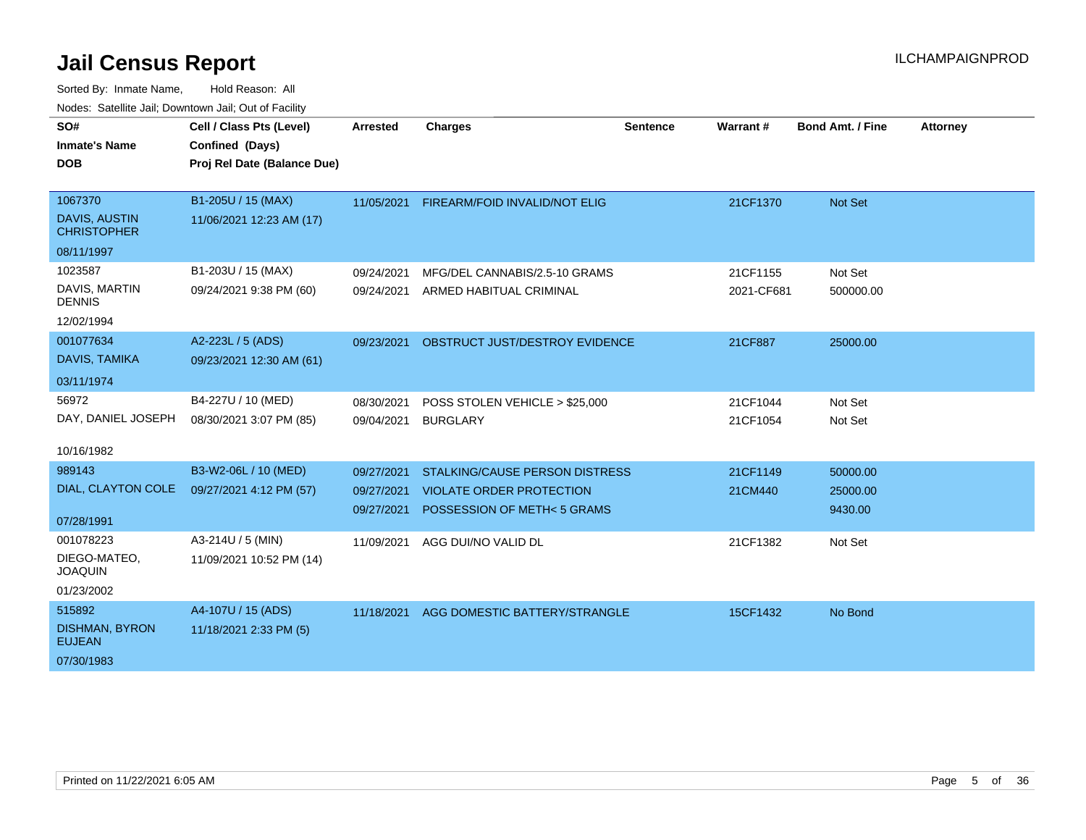| SO#<br><b>Inmate's Name</b><br><b>DOB</b>                           | Cell / Class Pts (Level)<br>Confined (Days)<br>Proj Rel Date (Balance Due) | <b>Arrested</b>                        | <b>Charges</b>                                                                                         | <b>Sentence</b> | Warrant#               | <b>Bond Amt. / Fine</b>         | <b>Attorney</b> |
|---------------------------------------------------------------------|----------------------------------------------------------------------------|----------------------------------------|--------------------------------------------------------------------------------------------------------|-----------------|------------------------|---------------------------------|-----------------|
| 1067370<br><b>DAVIS, AUSTIN</b><br><b>CHRISTOPHER</b><br>08/11/1997 | B1-205U / 15 (MAX)<br>11/06/2021 12:23 AM (17)                             | 11/05/2021                             | <b>FIREARM/FOID INVALID/NOT ELIG</b>                                                                   |                 | 21CF1370               | Not Set                         |                 |
| 1023587<br>DAVIS, MARTIN<br><b>DENNIS</b><br>12/02/1994             | B1-203U / 15 (MAX)<br>09/24/2021 9:38 PM (60)                              | 09/24/2021<br>09/24/2021               | MFG/DEL CANNABIS/2.5-10 GRAMS<br>ARMED HABITUAL CRIMINAL                                               |                 | 21CF1155<br>2021-CF681 | Not Set<br>500000.00            |                 |
| 001077634<br>DAVIS, TAMIKA<br>03/11/1974                            | A2-223L / 5 (ADS)<br>09/23/2021 12:30 AM (61)                              | 09/23/2021                             | OBSTRUCT JUST/DESTROY EVIDENCE                                                                         |                 | 21CF887                | 25000.00                        |                 |
| 56972<br>DAY, DANIEL JOSEPH<br>10/16/1982                           | B4-227U / 10 (MED)<br>08/30/2021 3:07 PM (85)                              | 08/30/2021<br>09/04/2021               | POSS STOLEN VEHICLE > \$25,000<br><b>BURGLARY</b>                                                      |                 | 21CF1044<br>21CF1054   | Not Set<br>Not Set              |                 |
| 989143<br>DIAL, CLAYTON COLE<br>07/28/1991                          | B3-W2-06L / 10 (MED)<br>09/27/2021 4:12 PM (57)                            | 09/27/2021<br>09/27/2021<br>09/27/2021 | <b>STALKING/CAUSE PERSON DISTRESS</b><br><b>VIOLATE ORDER PROTECTION</b><br>POSSESSION OF METH<5 GRAMS |                 | 21CF1149<br>21CM440    | 50000.00<br>25000.00<br>9430.00 |                 |
| 001078223<br>DIEGO-MATEO,<br><b>JOAQUIN</b><br>01/23/2002           | A3-214U / 5 (MIN)<br>11/09/2021 10:52 PM (14)                              | 11/09/2021                             | AGG DUI/NO VALID DL                                                                                    |                 | 21CF1382               | Not Set                         |                 |
| 515892<br><b>DISHMAN, BYRON</b><br><b>EUJEAN</b><br>07/30/1983      | A4-107U / 15 (ADS)<br>11/18/2021 2:33 PM (5)                               | 11/18/2021                             | AGG DOMESTIC BATTERY/STRANGLE                                                                          |                 | 15CF1432               | No Bond                         |                 |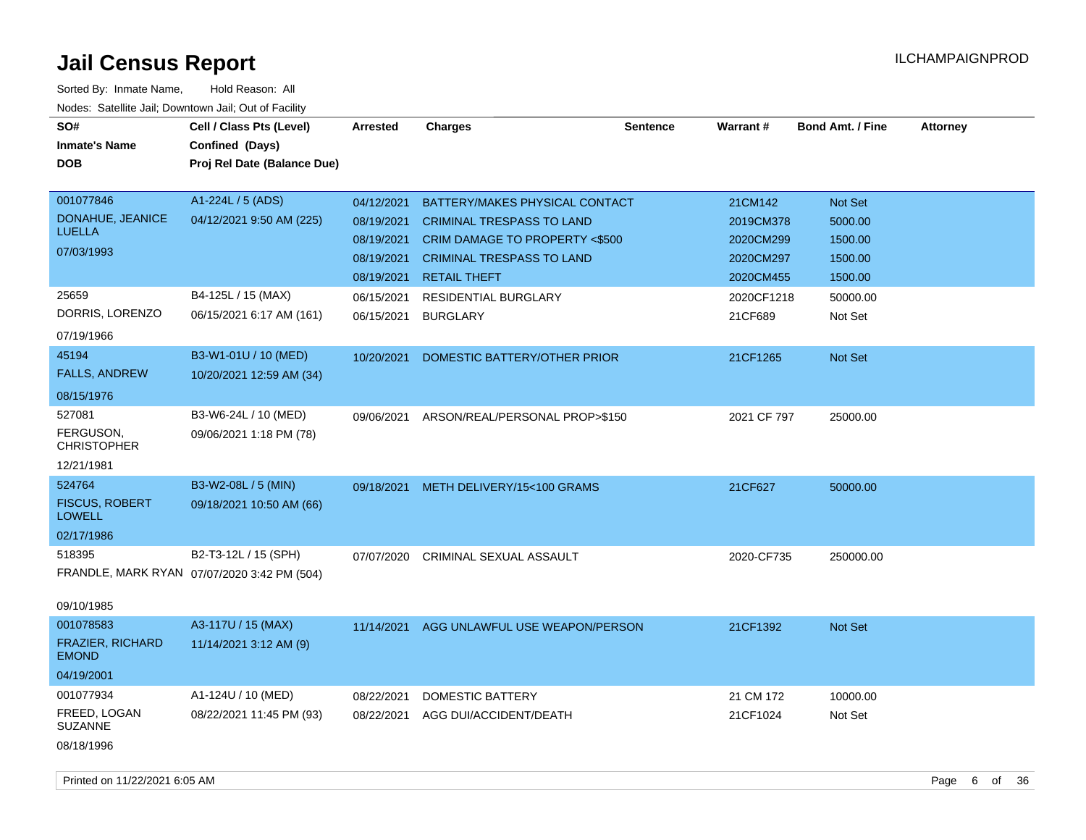| SO#<br><b>Inmate's Name</b><br><b>DOB</b> | Cell / Class Pts (Level)<br>Confined (Days)<br>Proj Rel Date (Balance Due) | <b>Arrested</b>          | <b>Charges</b>                                                     | <b>Sentence</b> | <b>Warrant#</b>      | <b>Bond Amt. / Fine</b> | <b>Attorney</b> |
|-------------------------------------------|----------------------------------------------------------------------------|--------------------------|--------------------------------------------------------------------|-----------------|----------------------|-------------------------|-----------------|
| 001077846<br>DONAHUE, JEANICE             | A1-224L / 5 (ADS)<br>04/12/2021 9:50 AM (225)                              | 04/12/2021<br>08/19/2021 | BATTERY/MAKES PHYSICAL CONTACT<br><b>CRIMINAL TRESPASS TO LAND</b> |                 | 21CM142<br>2019CM378 | Not Set<br>5000.00      |                 |
| <b>LUELLA</b>                             |                                                                            | 08/19/2021               | CRIM DAMAGE TO PROPERTY <\$500                                     |                 | 2020CM299            | 1500.00                 |                 |
| 07/03/1993                                |                                                                            | 08/19/2021               | <b>CRIMINAL TRESPASS TO LAND</b>                                   |                 | 2020CM297            | 1500.00                 |                 |
|                                           |                                                                            | 08/19/2021               | <b>RETAIL THEFT</b>                                                |                 | 2020CM455            | 1500.00                 |                 |
| 25659                                     | B4-125L / 15 (MAX)                                                         | 06/15/2021               | <b>RESIDENTIAL BURGLARY</b>                                        |                 | 2020CF1218           | 50000.00                |                 |
| DORRIS, LORENZO                           | 06/15/2021 6:17 AM (161)                                                   | 06/15/2021               | <b>BURGLARY</b>                                                    |                 | 21CF689              | Not Set                 |                 |
| 07/19/1966                                |                                                                            |                          |                                                                    |                 |                      |                         |                 |
| 45194                                     | B3-W1-01U / 10 (MED)                                                       | 10/20/2021               | DOMESTIC BATTERY/OTHER PRIOR                                       |                 | 21CF1265             | <b>Not Set</b>          |                 |
| <b>FALLS, ANDREW</b>                      | 10/20/2021 12:59 AM (34)                                                   |                          |                                                                    |                 |                      |                         |                 |
| 08/15/1976                                |                                                                            |                          |                                                                    |                 |                      |                         |                 |
| 527081                                    | B3-W6-24L / 10 (MED)                                                       | 09/06/2021               | ARSON/REAL/PERSONAL PROP>\$150                                     |                 | 2021 CF 797          | 25000.00                |                 |
| FERGUSON,<br><b>CHRISTOPHER</b>           | 09/06/2021 1:18 PM (78)                                                    |                          |                                                                    |                 |                      |                         |                 |
| 12/21/1981                                |                                                                            |                          |                                                                    |                 |                      |                         |                 |
| 524764                                    | B3-W2-08L / 5 (MIN)                                                        | 09/18/2021               | METH DELIVERY/15<100 GRAMS                                         |                 | 21CF627              | 50000.00                |                 |
| <b>FISCUS, ROBERT</b><br><b>LOWELL</b>    | 09/18/2021 10:50 AM (66)                                                   |                          |                                                                    |                 |                      |                         |                 |
| 02/17/1986                                |                                                                            |                          |                                                                    |                 |                      |                         |                 |
| 518395                                    | B2-T3-12L / 15 (SPH)                                                       | 07/07/2020               | CRIMINAL SEXUAL ASSAULT                                            |                 | 2020-CF735           | 250000.00               |                 |
|                                           | FRANDLE, MARK RYAN 07/07/2020 3:42 PM (504)                                |                          |                                                                    |                 |                      |                         |                 |
| 09/10/1985                                |                                                                            |                          |                                                                    |                 |                      |                         |                 |
| 001078583                                 | A3-117U / 15 (MAX)                                                         | 11/14/2021               | AGG UNLAWFUL USE WEAPON/PERSON                                     |                 | 21CF1392             | Not Set                 |                 |
| <b>FRAZIER, RICHARD</b><br><b>EMOND</b>   | 11/14/2021 3:12 AM (9)                                                     |                          |                                                                    |                 |                      |                         |                 |
| 04/19/2001                                |                                                                            |                          |                                                                    |                 |                      |                         |                 |
| 001077934                                 | A1-124U / 10 (MED)                                                         | 08/22/2021               | <b>DOMESTIC BATTERY</b>                                            |                 | 21 CM 172            | 10000.00                |                 |
| FREED, LOGAN<br>SUZANNE                   | 08/22/2021 11:45 PM (93)                                                   | 08/22/2021               | AGG DUI/ACCIDENT/DEATH                                             |                 | 21CF1024             | Not Set                 |                 |
| 08/18/1996                                |                                                                            |                          |                                                                    |                 |                      |                         |                 |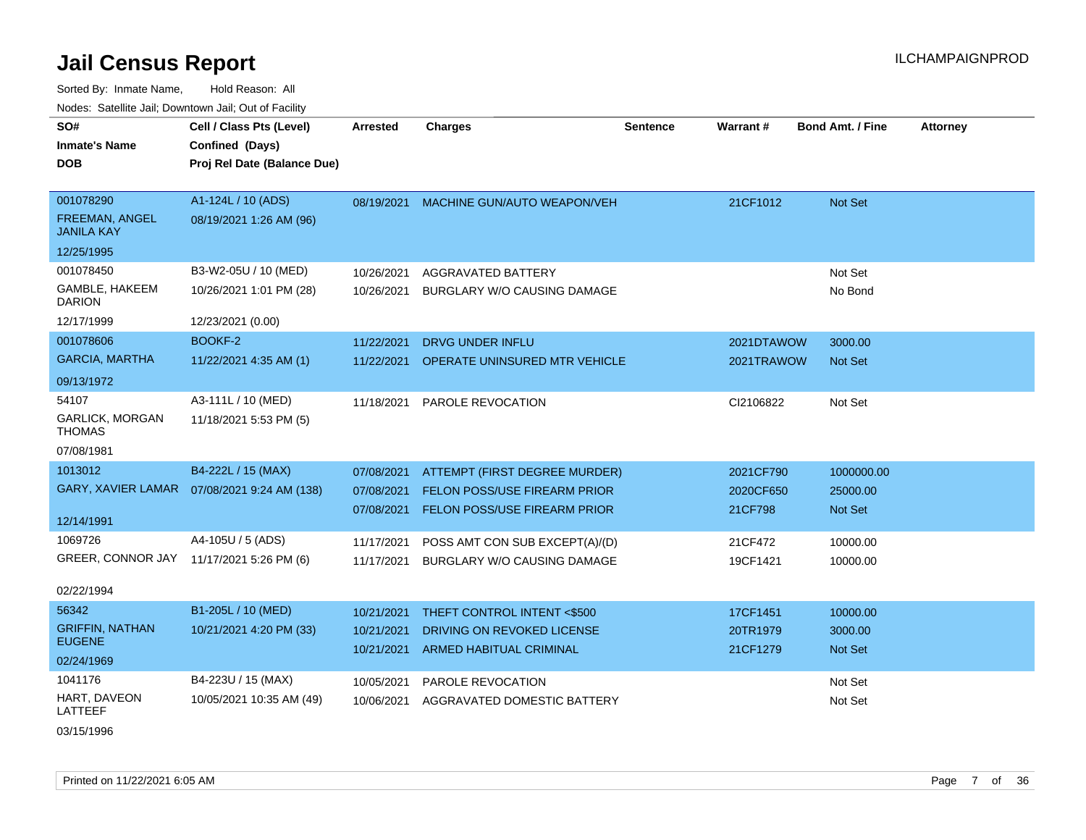Sorted By: Inmate Name, Hold Reason: All

| Nodes: Satellite Jail; Downtown Jail; Out of Facility |                                              |                 |                                        |                 |            |                         |                 |
|-------------------------------------------------------|----------------------------------------------|-----------------|----------------------------------------|-----------------|------------|-------------------------|-----------------|
| SO#                                                   | Cell / Class Pts (Level)                     | <b>Arrested</b> | <b>Charges</b>                         | <b>Sentence</b> | Warrant#   | <b>Bond Amt. / Fine</b> | <b>Attorney</b> |
| <b>Inmate's Name</b>                                  | Confined (Days)                              |                 |                                        |                 |            |                         |                 |
| <b>DOB</b>                                            | Proj Rel Date (Balance Due)                  |                 |                                        |                 |            |                         |                 |
|                                                       |                                              |                 |                                        |                 |            |                         |                 |
| 001078290                                             | A1-124L / 10 (ADS)                           |                 | 08/19/2021 MACHINE GUN/AUTO WEAPON/VEH |                 | 21CF1012   | Not Set                 |                 |
| FREEMAN, ANGEL<br><b>JANILA KAY</b>                   | 08/19/2021 1:26 AM (96)                      |                 |                                        |                 |            |                         |                 |
| 12/25/1995                                            |                                              |                 |                                        |                 |            |                         |                 |
| 001078450                                             | B3-W2-05U / 10 (MED)                         | 10/26/2021      | AGGRAVATED BATTERY                     |                 |            | Not Set                 |                 |
| GAMBLE, HAKEEM<br><b>DARION</b>                       | 10/26/2021 1:01 PM (28)                      | 10/26/2021      | BURGLARY W/O CAUSING DAMAGE            |                 |            | No Bond                 |                 |
| 12/17/1999                                            | 12/23/2021 (0.00)                            |                 |                                        |                 |            |                         |                 |
| 001078606                                             | BOOKF-2                                      | 11/22/2021      | <b>DRVG UNDER INFLU</b>                |                 | 2021DTAWOW | 3000.00                 |                 |
| <b>GARCIA, MARTHA</b>                                 | 11/22/2021 4:35 AM (1)                       | 11/22/2021      | OPERATE UNINSURED MTR VEHICLE          |                 | 2021TRAWOW | <b>Not Set</b>          |                 |
| 09/13/1972                                            |                                              |                 |                                        |                 |            |                         |                 |
| 54107                                                 | A3-111L / 10 (MED)                           | 11/18/2021      | PAROLE REVOCATION                      |                 | CI2106822  | Not Set                 |                 |
| <b>GARLICK, MORGAN</b><br><b>THOMAS</b>               | 11/18/2021 5:53 PM (5)                       |                 |                                        |                 |            |                         |                 |
| 07/08/1981                                            |                                              |                 |                                        |                 |            |                         |                 |
| 1013012                                               | B4-222L / 15 (MAX)                           | 07/08/2021      | ATTEMPT (FIRST DEGREE MURDER)          |                 | 2021CF790  | 1000000.00              |                 |
|                                                       | GARY, XAVIER LAMAR  07/08/2021 9:24 AM (138) | 07/08/2021      | <b>FELON POSS/USE FIREARM PRIOR</b>    |                 | 2020CF650  | 25000.00                |                 |
|                                                       |                                              | 07/08/2021      | <b>FELON POSS/USE FIREARM PRIOR</b>    |                 | 21CF798    | <b>Not Set</b>          |                 |
| 12/14/1991                                            |                                              |                 |                                        |                 |            |                         |                 |
| 1069726                                               | A4-105U / 5 (ADS)                            | 11/17/2021      | POSS AMT CON SUB EXCEPT(A)/(D)         |                 | 21CF472    | 10000.00                |                 |
| GREER, CONNOR JAY                                     | 11/17/2021 5:26 PM (6)                       | 11/17/2021      | BURGLARY W/O CAUSING DAMAGE            |                 | 19CF1421   | 10000.00                |                 |
| 02/22/1994                                            |                                              |                 |                                        |                 |            |                         |                 |
| 56342                                                 | B1-205L / 10 (MED)                           | 10/21/2021      | THEFT CONTROL INTENT <\$500            |                 | 17CF1451   | 10000.00                |                 |
| <b>GRIFFIN, NATHAN</b>                                | 10/21/2021 4:20 PM (33)                      | 10/21/2021      | DRIVING ON REVOKED LICENSE             |                 | 20TR1979   | 3000.00                 |                 |
| <b>EUGENE</b>                                         |                                              | 10/21/2021      | ARMED HABITUAL CRIMINAL                |                 | 21CF1279   | <b>Not Set</b>          |                 |
| 02/24/1969                                            |                                              |                 |                                        |                 |            |                         |                 |
| 1041176                                               | B4-223U / 15 (MAX)                           | 10/05/2021      | PAROLE REVOCATION                      |                 |            | Not Set                 |                 |
| HART, DAVEON<br>LATTEEF                               | 10/05/2021 10:35 AM (49)                     | 10/06/2021      | AGGRAVATED DOMESTIC BATTERY            |                 |            | Not Set                 |                 |
| 03/15/1996                                            |                                              |                 |                                        |                 |            |                         |                 |

Printed on 11/22/2021 6:05 AM **Page 7** of 36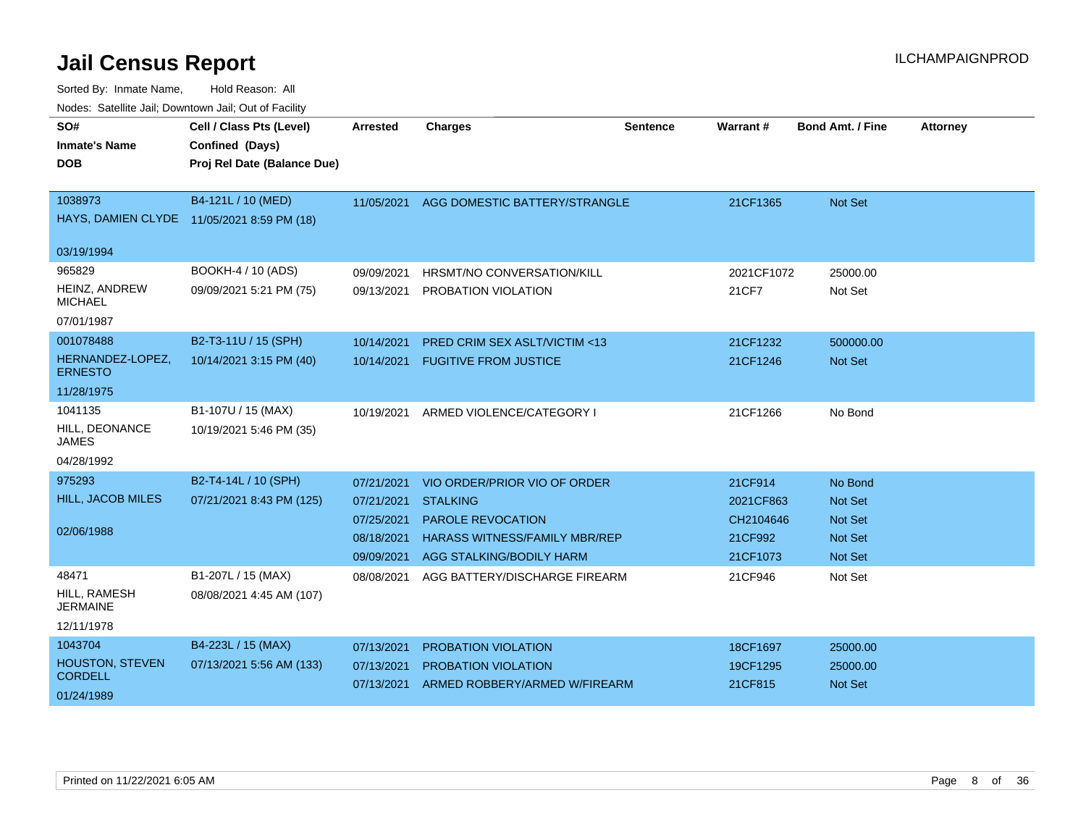| SO#<br><b>Inmate's Name</b><br><b>DOB</b> | Cell / Class Pts (Level)<br>Confined (Days)<br>Proj Rel Date (Balance Due) | <b>Arrested</b> | <b>Charges</b>                          | <b>Sentence</b> | Warrant#   | <b>Bond Amt. / Fine</b> | <b>Attorney</b> |
|-------------------------------------------|----------------------------------------------------------------------------|-----------------|-----------------------------------------|-----------------|------------|-------------------------|-----------------|
|                                           |                                                                            |                 |                                         |                 |            |                         |                 |
| 1038973                                   | B4-121L / 10 (MED)                                                         | 11/05/2021      | AGG DOMESTIC BATTERY/STRANGLE           |                 | 21CF1365   | Not Set                 |                 |
|                                           | HAYS, DAMIEN CLYDE 11/05/2021 8:59 PM (18)                                 |                 |                                         |                 |            |                         |                 |
| 03/19/1994                                |                                                                            |                 |                                         |                 |            |                         |                 |
| 965829                                    | BOOKH-4 / 10 (ADS)                                                         | 09/09/2021      | HRSMT/NO CONVERSATION/KILL              |                 | 2021CF1072 | 25000.00                |                 |
| <b>HEINZ, ANDREW</b><br><b>MICHAEL</b>    | 09/09/2021 5:21 PM (75)                                                    | 09/13/2021      | PROBATION VIOLATION                     |                 | 21CF7      | Not Set                 |                 |
| 07/01/1987                                |                                                                            |                 |                                         |                 |            |                         |                 |
| 001078488                                 | B2-T3-11U / 15 (SPH)                                                       | 10/14/2021      | <b>PRED CRIM SEX ASLT/VICTIM &lt;13</b> |                 | 21CF1232   | 500000.00               |                 |
| HERNANDEZ-LOPEZ,<br><b>ERNESTO</b>        | 10/14/2021 3:15 PM (40)                                                    | 10/14/2021      | <b>FUGITIVE FROM JUSTICE</b>            |                 | 21CF1246   | Not Set                 |                 |
| 11/28/1975                                |                                                                            |                 |                                         |                 |            |                         |                 |
| 1041135                                   | B1-107U / 15 (MAX)                                                         | 10/19/2021      | ARMED VIOLENCE/CATEGORY I               |                 | 21CF1266   | No Bond                 |                 |
| HILL, DEONANCE<br>JAMES                   | 10/19/2021 5:46 PM (35)                                                    |                 |                                         |                 |            |                         |                 |
| 04/28/1992                                |                                                                            |                 |                                         |                 |            |                         |                 |
| 975293                                    | B2-T4-14L / 10 (SPH)                                                       | 07/21/2021      | VIO ORDER/PRIOR VIO OF ORDER            |                 | 21CF914    | No Bond                 |                 |
| <b>HILL, JACOB MILES</b>                  | 07/21/2021 8:43 PM (125)                                                   | 07/21/2021      | <b>STALKING</b>                         |                 | 2021CF863  | <b>Not Set</b>          |                 |
|                                           |                                                                            | 07/25/2021      | <b>PAROLE REVOCATION</b>                |                 | CH2104646  | <b>Not Set</b>          |                 |
| 02/06/1988                                |                                                                            | 08/18/2021      | <b>HARASS WITNESS/FAMILY MBR/REP</b>    |                 | 21CF992    | <b>Not Set</b>          |                 |
|                                           |                                                                            | 09/09/2021      | AGG STALKING/BODILY HARM                |                 | 21CF1073   | Not Set                 |                 |
| 48471                                     | B1-207L / 15 (MAX)                                                         | 08/08/2021      | AGG BATTERY/DISCHARGE FIREARM           |                 | 21CF946    | Not Set                 |                 |
| HILL, RAMESH<br><b>JERMAINE</b>           | 08/08/2021 4:45 AM (107)                                                   |                 |                                         |                 |            |                         |                 |
| 12/11/1978                                |                                                                            |                 |                                         |                 |            |                         |                 |
| 1043704                                   | B4-223L / 15 (MAX)                                                         | 07/13/2021      | <b>PROBATION VIOLATION</b>              |                 | 18CF1697   | 25000.00                |                 |
| HOUSTON, STEVEN                           | 07/13/2021 5:56 AM (133)                                                   | 07/13/2021      | <b>PROBATION VIOLATION</b>              |                 | 19CF1295   | 25000.00                |                 |
| <b>CORDELL</b>                            |                                                                            | 07/13/2021      | ARMED ROBBERY/ARMED W/FIREARM           |                 | 21CF815    | Not Set                 |                 |
| 01/24/1989                                |                                                                            |                 |                                         |                 |            |                         |                 |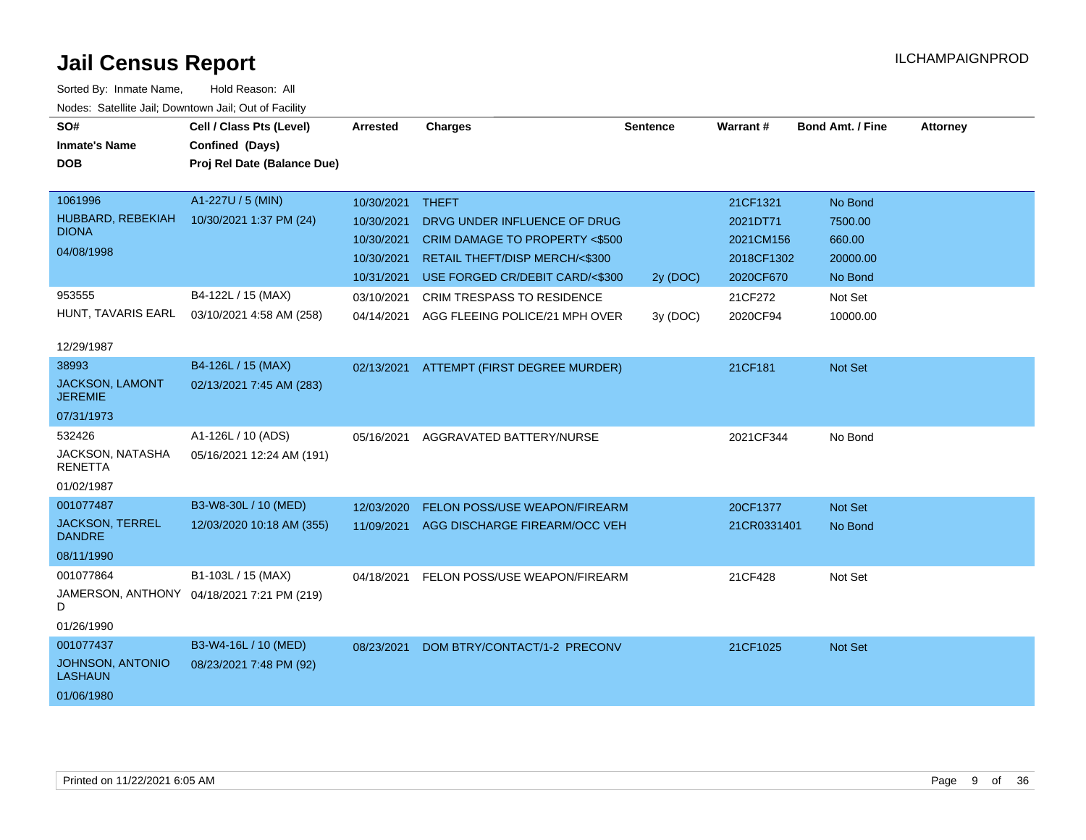| SO#                                     | Cell / Class Pts (Level)                   | <b>Arrested</b> | <b>Charges</b>                       | <b>Sentence</b> | Warrant#    | <b>Bond Amt. / Fine</b> | <b>Attorney</b> |
|-----------------------------------------|--------------------------------------------|-----------------|--------------------------------------|-----------------|-------------|-------------------------|-----------------|
| <b>Inmate's Name</b>                    | Confined (Days)                            |                 |                                      |                 |             |                         |                 |
| <b>DOB</b>                              | Proj Rel Date (Balance Due)                |                 |                                      |                 |             |                         |                 |
|                                         |                                            |                 |                                      |                 |             |                         |                 |
| 1061996                                 | A1-227U / 5 (MIN)                          | 10/30/2021      | <b>THEFT</b>                         |                 | 21CF1321    | No Bond                 |                 |
| HUBBARD, REBEKIAH                       | 10/30/2021 1:37 PM (24)                    | 10/30/2021      | DRVG UNDER INFLUENCE OF DRUG         |                 | 2021DT71    | 7500.00                 |                 |
| <b>DIONA</b>                            |                                            | 10/30/2021      | CRIM DAMAGE TO PROPERTY <\$500       |                 | 2021CM156   | 660.00                  |                 |
| 04/08/1998                              |                                            | 10/30/2021      | RETAIL THEFT/DISP MERCH/<\$300       |                 | 2018CF1302  | 20000.00                |                 |
|                                         |                                            | 10/31/2021      | USE FORGED CR/DEBIT CARD/<\$300      | 2y (DOC)        | 2020CF670   | No Bond                 |                 |
| 953555                                  | B4-122L / 15 (MAX)                         | 03/10/2021      | CRIM TRESPASS TO RESIDENCE           |                 | 21CF272     | Not Set                 |                 |
| HUNT, TAVARIS EARL                      | 03/10/2021 4:58 AM (258)                   | 04/14/2021      | AGG FLEEING POLICE/21 MPH OVER       | 3y(DOC)         | 2020CF94    | 10000.00                |                 |
| 12/29/1987                              |                                            |                 |                                      |                 |             |                         |                 |
| 38993                                   | B4-126L / 15 (MAX)                         | 02/13/2021      | ATTEMPT (FIRST DEGREE MURDER)        |                 | 21CF181     | Not Set                 |                 |
| <b>JACKSON, LAMONT</b>                  | 02/13/2021 7:45 AM (283)                   |                 |                                      |                 |             |                         |                 |
| <b>JEREMIE</b>                          |                                            |                 |                                      |                 |             |                         |                 |
| 07/31/1973                              |                                            |                 |                                      |                 |             |                         |                 |
| 532426                                  | A1-126L / 10 (ADS)                         | 05/16/2021      | AGGRAVATED BATTERY/NURSE             |                 | 2021CF344   | No Bond                 |                 |
| JACKSON, NATASHA<br><b>RENETTA</b>      | 05/16/2021 12:24 AM (191)                  |                 |                                      |                 |             |                         |                 |
| 01/02/1987                              |                                            |                 |                                      |                 |             |                         |                 |
| 001077487                               | B3-W8-30L / 10 (MED)                       | 12/03/2020      | <b>FELON POSS/USE WEAPON/FIREARM</b> |                 | 20CF1377    | <b>Not Set</b>          |                 |
| <b>JACKSON, TERREL</b><br><b>DANDRE</b> | 12/03/2020 10:18 AM (355)                  | 11/09/2021      | AGG DISCHARGE FIREARM/OCC VEH        |                 | 21CR0331401 | No Bond                 |                 |
|                                         |                                            |                 |                                      |                 |             |                         |                 |
| 08/11/1990                              |                                            |                 |                                      |                 |             |                         |                 |
| 001077864                               | B1-103L / 15 (MAX)                         | 04/18/2021      | FELON POSS/USE WEAPON/FIREARM        |                 | 21CF428     | Not Set                 |                 |
| D                                       | JAMERSON, ANTHONY 04/18/2021 7:21 PM (219) |                 |                                      |                 |             |                         |                 |
| 01/26/1990                              |                                            |                 |                                      |                 |             |                         |                 |
| 001077437                               | B3-W4-16L / 10 (MED)                       | 08/23/2021      | DOM BTRY/CONTACT/1-2 PRECONV         |                 | 21CF1025    | <b>Not Set</b>          |                 |
| JOHNSON, ANTONIO<br><b>LASHAUN</b>      | 08/23/2021 7:48 PM (92)                    |                 |                                      |                 |             |                         |                 |
| 01/06/1980                              |                                            |                 |                                      |                 |             |                         |                 |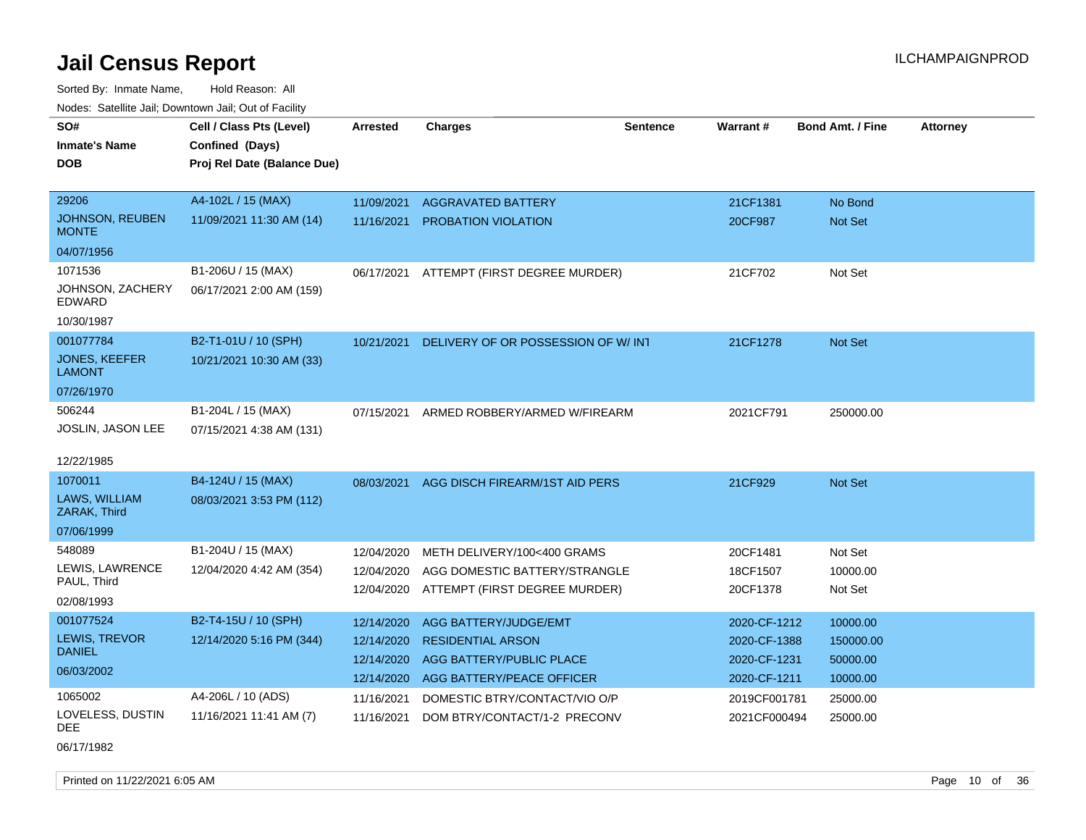Sorted By: Inmate Name, Hold Reason: All Nodes: Satellite Jail; Downtown Jail; Out of Facility

|                                 | roaco. Catolino cali, Downtown cali, Out of Facility |            |                                          |          |                 |                         |                 |
|---------------------------------|------------------------------------------------------|------------|------------------------------------------|----------|-----------------|-------------------------|-----------------|
| SO#                             | Cell / Class Pts (Level)                             | Arrested   | <b>Charges</b>                           | Sentence | <b>Warrant#</b> | <b>Bond Amt. / Fine</b> | <b>Attorney</b> |
| Inmate's Name                   | Confined (Days)                                      |            |                                          |          |                 |                         |                 |
| <b>DOB</b>                      | Proj Rel Date (Balance Due)                          |            |                                          |          |                 |                         |                 |
|                                 |                                                      |            |                                          |          |                 |                         |                 |
| 29206                           | A4-102L / 15 (MAX)                                   | 11/09/2021 | <b>AGGRAVATED BATTERY</b>                |          | 21CF1381        | No Bond                 |                 |
| JOHNSON, REUBEN<br><b>MONTE</b> | 11/09/2021 11:30 AM (14)                             | 11/16/2021 | PROBATION VIOLATION                      |          | 20CF987         | <b>Not Set</b>          |                 |
| 04/07/1956                      |                                                      |            |                                          |          |                 |                         |                 |
| 1071536                         | B1-206U / 15 (MAX)                                   |            | 06/17/2021 ATTEMPT (FIRST DEGREE MURDER) |          | 21CF702         | Not Set                 |                 |
| JOHNSON, ZACHERY<br>EDWARD      | 06/17/2021 2:00 AM (159)                             |            |                                          |          |                 |                         |                 |
| 10/30/1987                      |                                                      |            |                                          |          |                 |                         |                 |
| 001077784                       | B2-T1-01U / 10 (SPH)                                 | 10/21/2021 | DELIVERY OF OR POSSESSION OF W/INT       |          | 21CF1278        | Not Set                 |                 |
| <b>JONES, KEEFER</b><br>LAMONT  | 10/21/2021 10:30 AM (33)                             |            |                                          |          |                 |                         |                 |
| 07/26/1970                      |                                                      |            |                                          |          |                 |                         |                 |
| 506244                          | B1-204L / 15 (MAX)                                   | 07/15/2021 | ARMED ROBBERY/ARMED W/FIREARM            |          | 2021CF791       | 250000.00               |                 |
| <b>JOSLIN, JASON LEE</b>        | 07/15/2021 4:38 AM (131)                             |            |                                          |          |                 |                         |                 |
|                                 |                                                      |            |                                          |          |                 |                         |                 |
| 12/22/1985                      |                                                      |            |                                          |          |                 |                         |                 |
| 1070011                         | B4-124U / 15 (MAX)                                   | 08/03/2021 | AGG DISCH FIREARM/1ST AID PERS           |          | 21CF929         | <b>Not Set</b>          |                 |
| LAWS, WILLIAM<br>ZARAK, Third   | 08/03/2021 3:53 PM (112)                             |            |                                          |          |                 |                         |                 |
| 07/06/1999                      |                                                      |            |                                          |          |                 |                         |                 |
| 548089                          | B1-204U / 15 (MAX)                                   | 12/04/2020 | METH DELIVERY/100<400 GRAMS              |          | 20CF1481        | Not Set                 |                 |
| LEWIS, LAWRENCE                 | 12/04/2020 4:42 AM (354)                             | 12/04/2020 | AGG DOMESTIC BATTERY/STRANGLE            |          | 18CF1507        | 10000.00                |                 |
| PAUL, Third                     |                                                      | 12/04/2020 | ATTEMPT (FIRST DEGREE MURDER)            |          | 20CF1378        | Not Set                 |                 |
| 02/08/1993                      |                                                      |            |                                          |          |                 |                         |                 |
| 001077524                       | B2-T4-15U / 10 (SPH)                                 | 12/14/2020 | AGG BATTERY/JUDGE/EMT                    |          | 2020-CF-1212    | 10000.00                |                 |
| LEWIS, TREVOR                   | 12/14/2020 5:16 PM (344)                             | 12/14/2020 | <b>RESIDENTIAL ARSON</b>                 |          | 2020-CF-1388    | 150000.00               |                 |
| <b>DANIEL</b>                   |                                                      | 12/14/2020 | AGG BATTERY/PUBLIC PLACE                 |          | 2020-CF-1231    | 50000.00                |                 |
| 06/03/2002                      |                                                      | 12/14/2020 | AGG BATTERY/PEACE OFFICER                |          | 2020-CF-1211    | 10000.00                |                 |
| 1065002                         | A4-206L / 10 (ADS)                                   | 11/16/2021 | DOMESTIC BTRY/CONTACT/VIO O/P            |          | 2019CF001781    | 25000.00                |                 |
| LOVELESS, DUSTIN<br>DEE         | 11/16/2021 11:41 AM (7)                              | 11/16/2021 | DOM BTRY/CONTACT/1-2 PRECONV             |          | 2021CF000494    | 25000.00                |                 |

06/17/1982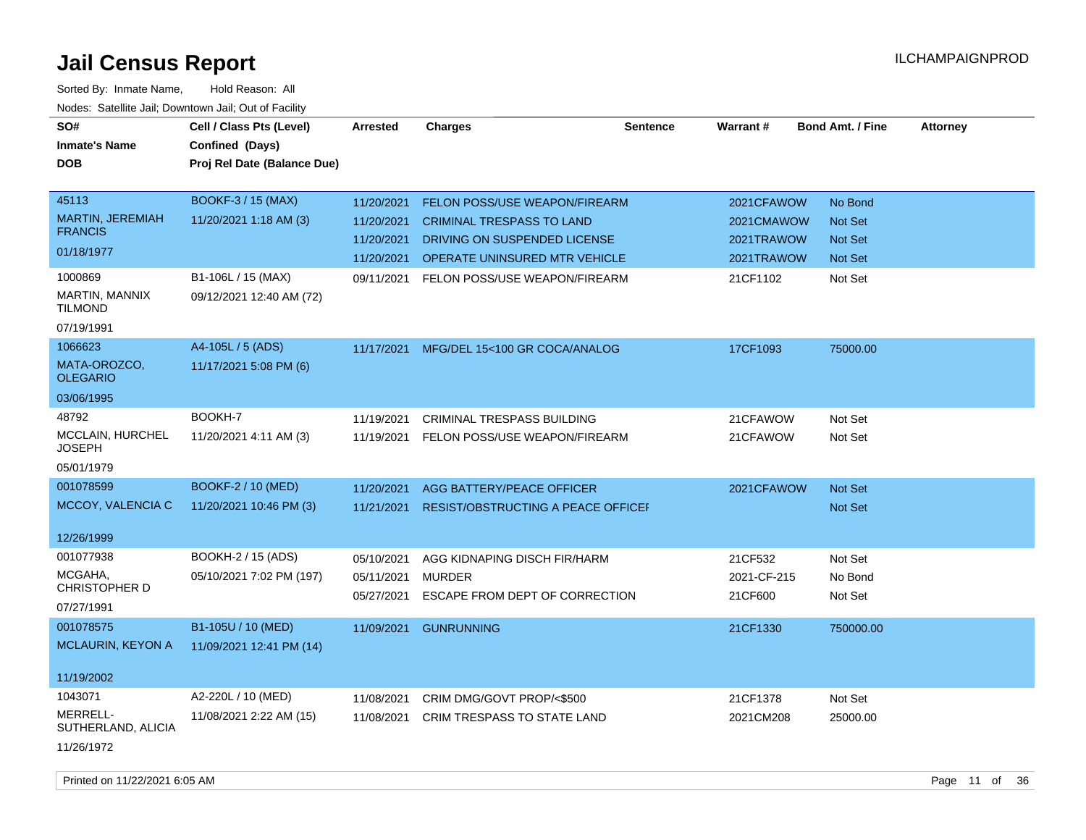| SO#                                | Cell / Class Pts (Level)    | Arrested   | <b>Charges</b>                            | <b>Sentence</b> | <b>Warrant#</b> | <b>Bond Amt. / Fine</b> | <b>Attorney</b> |
|------------------------------------|-----------------------------|------------|-------------------------------------------|-----------------|-----------------|-------------------------|-----------------|
| <b>Inmate's Name</b>               | Confined (Days)             |            |                                           |                 |                 |                         |                 |
| <b>DOB</b>                         | Proj Rel Date (Balance Due) |            |                                           |                 |                 |                         |                 |
|                                    |                             |            |                                           |                 |                 |                         |                 |
| 45113                              | <b>BOOKF-3 / 15 (MAX)</b>   | 11/20/2021 | <b>FELON POSS/USE WEAPON/FIREARM</b>      |                 | 2021CFAWOW      | No Bond                 |                 |
| MARTIN, JEREMIAH<br><b>FRANCIS</b> | 11/20/2021 1:18 AM (3)      | 11/20/2021 | <b>CRIMINAL TRESPASS TO LAND</b>          |                 | 2021CMAWOW      | Not Set                 |                 |
|                                    |                             | 11/20/2021 | DRIVING ON SUSPENDED LICENSE              |                 | 2021TRAWOW      | Not Set                 |                 |
| 01/18/1977                         |                             | 11/20/2021 | OPERATE UNINSURED MTR VEHICLE             |                 | 2021TRAWOW      | Not Set                 |                 |
| 1000869                            | B1-106L / 15 (MAX)          | 09/11/2021 | FELON POSS/USE WEAPON/FIREARM             |                 | 21CF1102        | Not Set                 |                 |
| MARTIN, MANNIX<br><b>TILMOND</b>   | 09/12/2021 12:40 AM (72)    |            |                                           |                 |                 |                         |                 |
| 07/19/1991                         |                             |            |                                           |                 |                 |                         |                 |
| 1066623                            | A4-105L / 5 (ADS)           | 11/17/2021 | MFG/DEL 15<100 GR COCA/ANALOG             |                 | 17CF1093        | 75000.00                |                 |
| MATA-OROZCO,<br><b>OLEGARIO</b>    | 11/17/2021 5:08 PM (6)      |            |                                           |                 |                 |                         |                 |
| 03/06/1995                         |                             |            |                                           |                 |                 |                         |                 |
| 48792                              | BOOKH-7                     | 11/19/2021 | CRIMINAL TRESPASS BUILDING                |                 | 21CFAWOW        | Not Set                 |                 |
| MCCLAIN, HURCHEL<br><b>JOSEPH</b>  | 11/20/2021 4:11 AM (3)      | 11/19/2021 | FELON POSS/USE WEAPON/FIREARM             |                 | 21CFAWOW        | Not Set                 |                 |
| 05/01/1979                         |                             |            |                                           |                 |                 |                         |                 |
| 001078599                          | BOOKF-2 / 10 (MED)          | 11/20/2021 | AGG BATTERY/PEACE OFFICER                 |                 | 2021CFAWOW      | Not Set                 |                 |
| MCCOY, VALENCIA C                  | 11/20/2021 10:46 PM (3)     | 11/21/2021 | <b>RESIST/OBSTRUCTING A PEACE OFFICEL</b> |                 |                 | Not Set                 |                 |
|                                    |                             |            |                                           |                 |                 |                         |                 |
| 12/26/1999                         |                             |            |                                           |                 |                 |                         |                 |
| 001077938                          | BOOKH-2 / 15 (ADS)          | 05/10/2021 | AGG KIDNAPING DISCH FIR/HARM              |                 | 21CF532         | Not Set                 |                 |
| MCGAHA,                            | 05/10/2021 7:02 PM (197)    | 05/11/2021 | <b>MURDER</b>                             |                 | 2021-CF-215     | No Bond                 |                 |
| CHRISTOPHER D                      |                             | 05/27/2021 | ESCAPE FROM DEPT OF CORRECTION            |                 | 21CF600         | Not Set                 |                 |
| 07/27/1991                         |                             |            |                                           |                 |                 |                         |                 |
| 001078575                          | B1-105U / 10 (MED)          | 11/09/2021 | <b>GUNRUNNING</b>                         |                 | 21CF1330        | 750000.00               |                 |
| <b>MCLAURIN, KEYON A</b>           | 11/09/2021 12:41 PM (14)    |            |                                           |                 |                 |                         |                 |
| 11/19/2002                         |                             |            |                                           |                 |                 |                         |                 |
| 1043071                            | A2-220L / 10 (MED)          | 11/08/2021 | CRIM DMG/GOVT PROP/<\$500                 |                 | 21CF1378        | Not Set                 |                 |
| MERRELL-<br>SUTHERLAND, ALICIA     | 11/08/2021 2:22 AM (15)     | 11/08/2021 | CRIM TRESPASS TO STATE LAND               |                 | 2021CM208       | 25000.00                |                 |
| 11/26/1972                         |                             |            |                                           |                 |                 |                         |                 |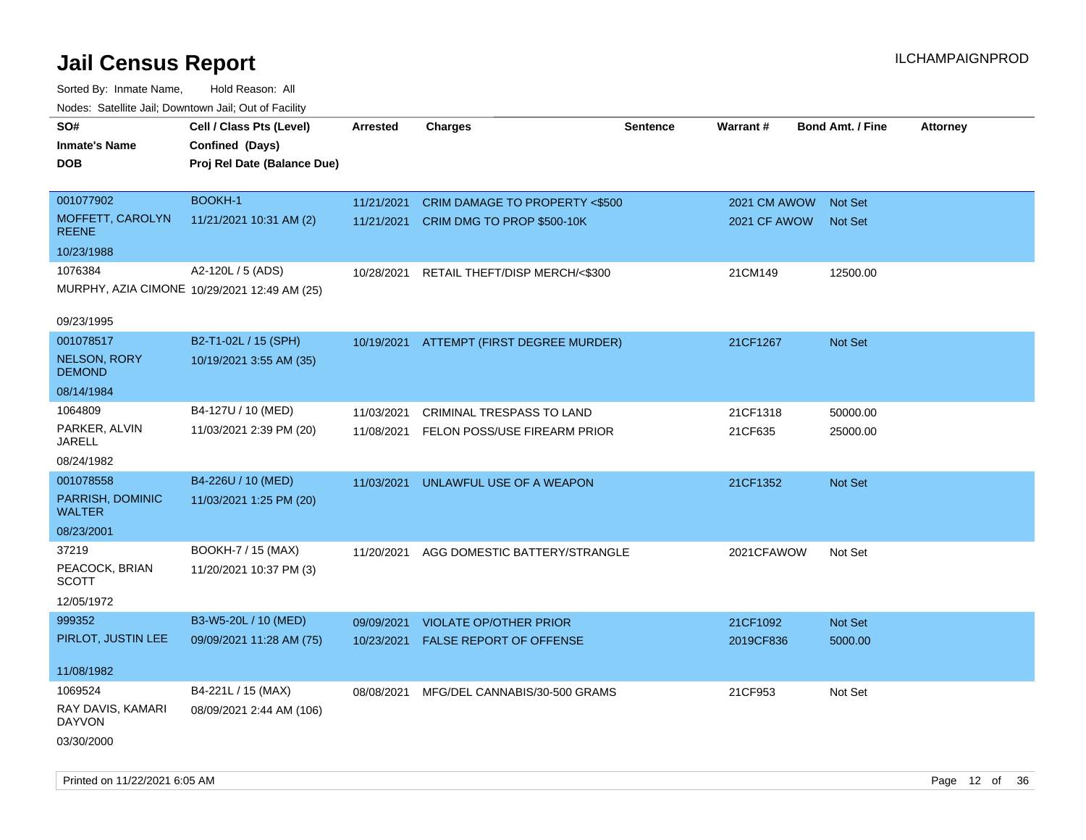| rouco. Calcillo Jali, Downtown Jali, Out of Facility |                                              |                 |                                |                 |              |                         |                 |
|------------------------------------------------------|----------------------------------------------|-----------------|--------------------------------|-----------------|--------------|-------------------------|-----------------|
| SO#                                                  | Cell / Class Pts (Level)                     | <b>Arrested</b> | <b>Charges</b>                 | <b>Sentence</b> | Warrant#     | <b>Bond Amt. / Fine</b> | <b>Attorney</b> |
| <b>Inmate's Name</b>                                 | Confined (Days)                              |                 |                                |                 |              |                         |                 |
| <b>DOB</b>                                           | Proj Rel Date (Balance Due)                  |                 |                                |                 |              |                         |                 |
|                                                      |                                              |                 |                                |                 |              |                         |                 |
| 001077902                                            | BOOKH-1                                      | 11/21/2021      | CRIM DAMAGE TO PROPERTY <\$500 |                 | 2021 CM AWOW | <b>Not Set</b>          |                 |
| MOFFETT, CAROLYN<br><b>REENE</b>                     | 11/21/2021 10:31 AM (2)                      | 11/21/2021      | CRIM DMG TO PROP \$500-10K     |                 | 2021 CF AWOW | <b>Not Set</b>          |                 |
| 10/23/1988                                           |                                              |                 |                                |                 |              |                         |                 |
| 1076384                                              | A2-120L / 5 (ADS)                            | 10/28/2021      | RETAIL THEFT/DISP MERCH/<\$300 |                 | 21CM149      | 12500.00                |                 |
|                                                      | MURPHY, AZIA CIMONE 10/29/2021 12:49 AM (25) |                 |                                |                 |              |                         |                 |
| 09/23/1995                                           |                                              |                 |                                |                 |              |                         |                 |
| 001078517                                            | B2-T1-02L / 15 (SPH)                         | 10/19/2021      | ATTEMPT (FIRST DEGREE MURDER)  |                 | 21CF1267     | Not Set                 |                 |
| <b>NELSON, RORY</b><br><b>DEMOND</b>                 | 10/19/2021 3:55 AM (35)                      |                 |                                |                 |              |                         |                 |
| 08/14/1984                                           |                                              |                 |                                |                 |              |                         |                 |
| 1064809                                              | B4-127U / 10 (MED)                           | 11/03/2021      | CRIMINAL TRESPASS TO LAND      |                 | 21CF1318     | 50000.00                |                 |
| PARKER, ALVIN<br>JARELL                              | 11/03/2021 2:39 PM (20)                      | 11/08/2021      | FELON POSS/USE FIREARM PRIOR   |                 | 21CF635      | 25000.00                |                 |
| 08/24/1982                                           |                                              |                 |                                |                 |              |                         |                 |
| 001078558                                            | B4-226U / 10 (MED)                           | 11/03/2021      | UNLAWFUL USE OF A WEAPON       |                 | 21CF1352     | Not Set                 |                 |
| PARRISH, DOMINIC<br><b>WALTER</b>                    | 11/03/2021 1:25 PM (20)                      |                 |                                |                 |              |                         |                 |
| 08/23/2001                                           |                                              |                 |                                |                 |              |                         |                 |
| 37219                                                | BOOKH-7 / 15 (MAX)                           | 11/20/2021      | AGG DOMESTIC BATTERY/STRANGLE  |                 | 2021CFAWOW   | Not Set                 |                 |
| PEACOCK, BRIAN<br>SCOTT                              | 11/20/2021 10:37 PM (3)                      |                 |                                |                 |              |                         |                 |
| 12/05/1972                                           |                                              |                 |                                |                 |              |                         |                 |
| 999352                                               | B3-W5-20L / 10 (MED)                         | 09/09/2021      | <b>VIOLATE OP/OTHER PRIOR</b>  |                 | 21CF1092     | Not Set                 |                 |
| PIRLOT, JUSTIN LEE                                   | 09/09/2021 11:28 AM (75)                     | 10/23/2021      | FALSE REPORT OF OFFENSE        |                 | 2019CF836    | 5000.00                 |                 |
| 11/08/1982                                           |                                              |                 |                                |                 |              |                         |                 |
| 1069524                                              | B4-221L / 15 (MAX)                           | 08/08/2021      | MFG/DEL CANNABIS/30-500 GRAMS  |                 | 21CF953      | Not Set                 |                 |
| RAY DAVIS, KAMARI<br><b>DAYVON</b>                   | 08/09/2021 2:44 AM (106)                     |                 |                                |                 |              |                         |                 |
| 03/30/2000                                           |                                              |                 |                                |                 |              |                         |                 |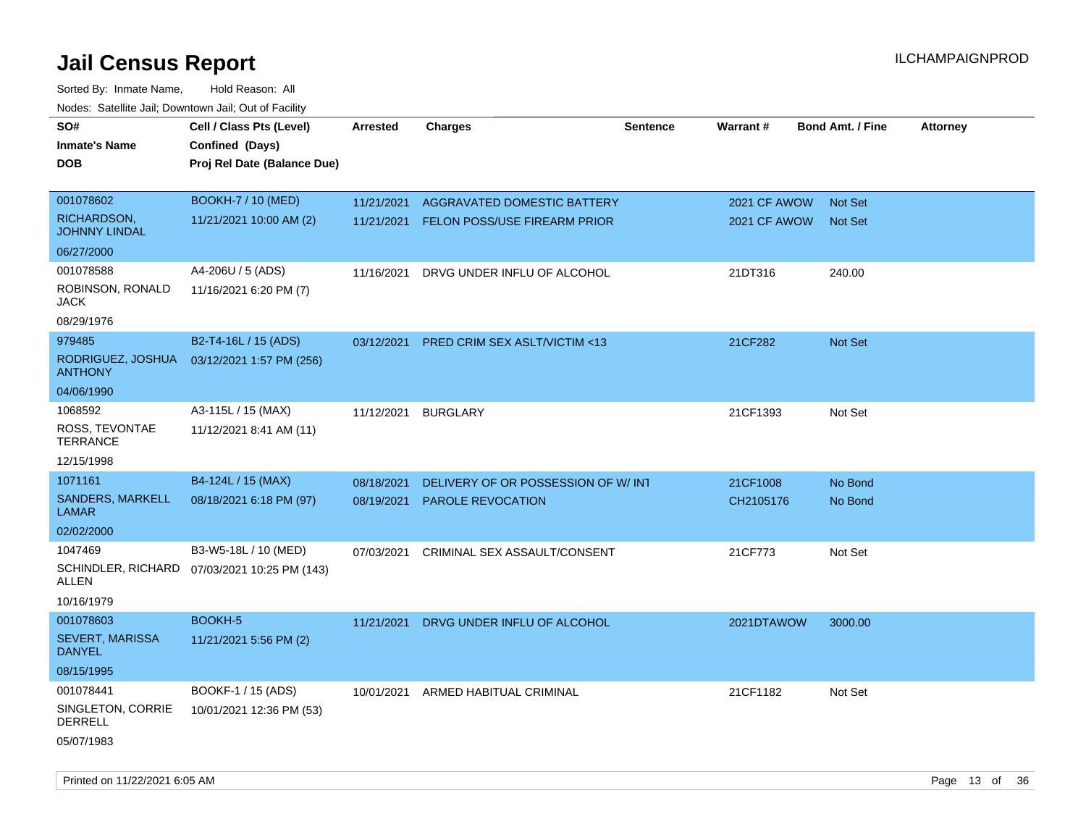Sorted By: Inmate Name, Hold Reason: All Nodes: Satellite Jail; Downtown Jail; Out of Facility

| SO#                                 | Cell / Class Pts (Level)                     | Arrested   | <b>Charges</b>                          | <b>Sentence</b> | Warrant#     | <b>Bond Amt. / Fine</b> | <b>Attorney</b> |
|-------------------------------------|----------------------------------------------|------------|-----------------------------------------|-----------------|--------------|-------------------------|-----------------|
| <b>Inmate's Name</b>                | Confined (Days)                              |            |                                         |                 |              |                         |                 |
| <b>DOB</b>                          | Proj Rel Date (Balance Due)                  |            |                                         |                 |              |                         |                 |
|                                     |                                              |            |                                         |                 |              |                         |                 |
| 001078602                           | <b>BOOKH-7 / 10 (MED)</b>                    | 11/21/2021 | AGGRAVATED DOMESTIC BATTERY             |                 | 2021 CF AWOW | <b>Not Set</b>          |                 |
| RICHARDSON,<br><b>JOHNNY LINDAL</b> | 11/21/2021 10:00 AM (2)                      | 11/21/2021 | <b>FELON POSS/USE FIREARM PRIOR</b>     |                 | 2021 CF AWOW | <b>Not Set</b>          |                 |
| 06/27/2000                          |                                              |            |                                         |                 |              |                         |                 |
| 001078588                           | A4-206U / 5 (ADS)                            | 11/16/2021 | DRVG UNDER INFLU OF ALCOHOL             |                 | 21DT316      | 240.00                  |                 |
| ROBINSON, RONALD<br>JACK            | 11/16/2021 6:20 PM (7)                       |            |                                         |                 |              |                         |                 |
| 08/29/1976                          |                                              |            |                                         |                 |              |                         |                 |
| 979485                              | B2-T4-16L / 15 (ADS)                         | 03/12/2021 | <b>PRED CRIM SEX ASLT/VICTIM &lt;13</b> |                 | 21CF282      | Not Set                 |                 |
| RODRIGUEZ, JOSHUA<br><b>ANTHONY</b> | 03/12/2021 1:57 PM (256)                     |            |                                         |                 |              |                         |                 |
| 04/06/1990                          |                                              |            |                                         |                 |              |                         |                 |
| 1068592                             | A3-115L / 15 (MAX)                           | 11/12/2021 | <b>BURGLARY</b>                         |                 | 21CF1393     | Not Set                 |                 |
| ROSS, TEVONTAE<br><b>TERRANCE</b>   | 11/12/2021 8:41 AM (11)                      |            |                                         |                 |              |                         |                 |
| 12/15/1998                          |                                              |            |                                         |                 |              |                         |                 |
| 1071161                             | B4-124L / 15 (MAX)                           | 08/18/2021 | DELIVERY OF OR POSSESSION OF W/INT      |                 | 21CF1008     | No Bond                 |                 |
| SANDERS, MARKELL<br><b>LAMAR</b>    | 08/18/2021 6:18 PM (97)                      | 08/19/2021 | PAROLE REVOCATION                       |                 | CH2105176    | No Bond                 |                 |
| 02/02/2000                          |                                              |            |                                         |                 |              |                         |                 |
| 1047469                             | B3-W5-18L / 10 (MED)                         | 07/03/2021 | CRIMINAL SEX ASSAULT/CONSENT            |                 | 21CF773      | Not Set                 |                 |
| ALLEN                               | SCHINDLER, RICHARD 07/03/2021 10:25 PM (143) |            |                                         |                 |              |                         |                 |
| 10/16/1979                          |                                              |            |                                         |                 |              |                         |                 |
| 001078603                           | BOOKH-5                                      | 11/21/2021 | DRVG UNDER INFLU OF ALCOHOL             |                 | 2021DTAWOW   | 3000.00                 |                 |
| SEVERT, MARISSA<br><b>DANYEL</b>    | 11/21/2021 5:56 PM (2)                       |            |                                         |                 |              |                         |                 |
| 08/15/1995                          |                                              |            |                                         |                 |              |                         |                 |
| 001078441                           | BOOKF-1 / 15 (ADS)                           |            | 10/01/2021 ARMED HABITUAL CRIMINAL      |                 | 21CF1182     | Not Set                 |                 |
| SINGLETON, CORRIE<br>DERRELL        | 10/01/2021 12:36 PM (53)                     |            |                                         |                 |              |                         |                 |
| 05/07/1983                          |                                              |            |                                         |                 |              |                         |                 |

Printed on 11/22/2021 6:05 AM **Page 13** of 36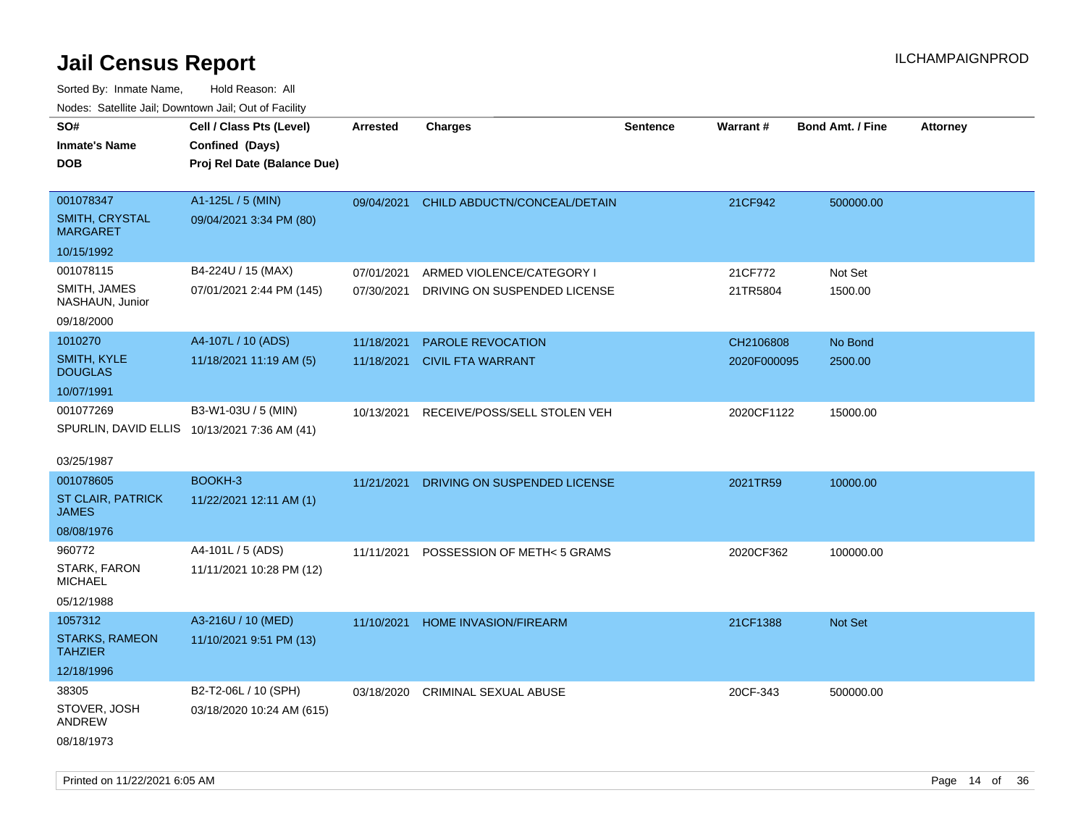| roaco. Odichile Jan, Downtown Jan, Out of Facility                       |                                                                            |                          |                                                           |                 |                          |                         |                 |
|--------------------------------------------------------------------------|----------------------------------------------------------------------------|--------------------------|-----------------------------------------------------------|-----------------|--------------------------|-------------------------|-----------------|
| SO#<br><b>Inmate's Name</b><br><b>DOB</b>                                | Cell / Class Pts (Level)<br>Confined (Days)<br>Proj Rel Date (Balance Due) | <b>Arrested</b>          | <b>Charges</b>                                            | <b>Sentence</b> | Warrant#                 | <b>Bond Amt. / Fine</b> | <b>Attorney</b> |
| 001078347<br><b>SMITH, CRYSTAL</b><br><b>MARGARET</b>                    | A1-125L / 5 (MIN)<br>09/04/2021 3:34 PM (80)                               | 09/04/2021               | CHILD ABDUCTN/CONCEAL/DETAIN                              |                 | 21CF942                  | 500000.00               |                 |
| 10/15/1992<br>001078115<br>SMITH, JAMES<br>NASHAUN, Junior<br>09/18/2000 | B4-224U / 15 (MAX)<br>07/01/2021 2:44 PM (145)                             | 07/01/2021<br>07/30/2021 | ARMED VIOLENCE/CATEGORY I<br>DRIVING ON SUSPENDED LICENSE |                 | 21CF772<br>21TR5804      | Not Set<br>1500.00      |                 |
| 1010270<br>SMITH, KYLE<br><b>DOUGLAS</b><br>10/07/1991                   | A4-107L / 10 (ADS)<br>11/18/2021 11:19 AM (5)                              | 11/18/2021<br>11/18/2021 | PAROLE REVOCATION<br><b>CIVIL FTA WARRANT</b>             |                 | CH2106808<br>2020F000095 | No Bond<br>2500.00      |                 |
| 001077269<br>SPURLIN, DAVID ELLIS 10/13/2021 7:36 AM (41)<br>03/25/1987  | B3-W1-03U / 5 (MIN)                                                        | 10/13/2021               | RECEIVE/POSS/SELL STOLEN VEH                              |                 | 2020CF1122               | 15000.00                |                 |
| 001078605<br>ST CLAIR, PATRICK<br><b>JAMES</b><br>08/08/1976             | BOOKH-3<br>11/22/2021 12:11 AM (1)                                         | 11/21/2021               | DRIVING ON SUSPENDED LICENSE                              |                 | 2021TR59                 | 10000.00                |                 |
| 960772<br>STARK, FARON<br><b>MICHAEL</b><br>05/12/1988                   | A4-101L / 5 (ADS)<br>11/11/2021 10:28 PM (12)                              | 11/11/2021               | POSSESSION OF METH< 5 GRAMS                               |                 | 2020CF362                | 100000.00               |                 |
| 1057312<br><b>STARKS, RAMEON</b><br><b>TAHZIER</b><br>12/18/1996         | A3-216U / 10 (MED)<br>11/10/2021 9:51 PM (13)                              | 11/10/2021               | <b>HOME INVASION/FIREARM</b>                              |                 | 21CF1388                 | <b>Not Set</b>          |                 |
| 38305<br>STOVER, JOSH<br>ANDREW<br>08/18/1973                            | B2-T2-06L / 10 (SPH)<br>03/18/2020 10:24 AM (615)                          | 03/18/2020               | <b>CRIMINAL SEXUAL ABUSE</b>                              |                 | 20CF-343                 | 500000.00               |                 |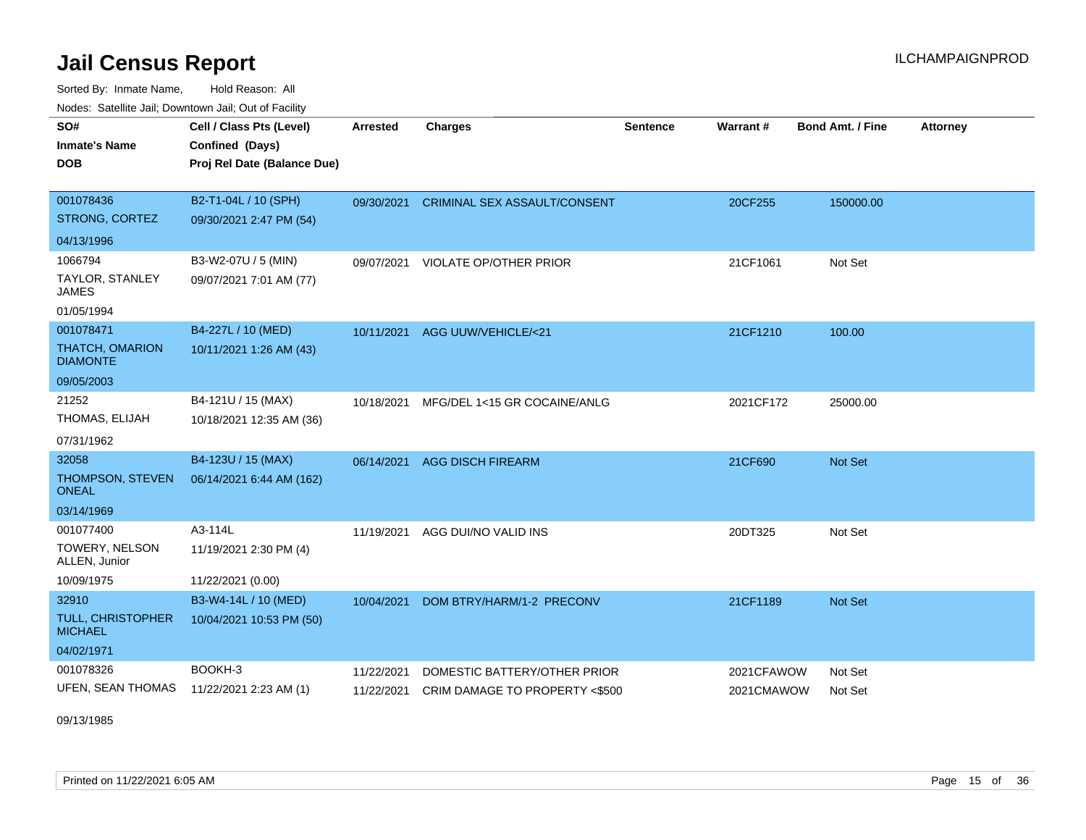Sorted By: Inmate Name, Hold Reason: All Nodes: Satellite Jail; Downtown Jail; Out of Facility

| SO#<br><b>Inmate's Name</b><br><b>DOB</b> | Cell / Class Pts (Level)<br>Confined (Days)<br>Proj Rel Date (Balance Due) | <b>Arrested</b> | <b>Charges</b>                      | <b>Sentence</b> | Warrant #  | <b>Bond Amt. / Fine</b> | <b>Attorney</b> |
|-------------------------------------------|----------------------------------------------------------------------------|-----------------|-------------------------------------|-----------------|------------|-------------------------|-----------------|
| 001078436                                 | B2-T1-04L / 10 (SPH)                                                       | 09/30/2021      | <b>CRIMINAL SEX ASSAULT/CONSENT</b> |                 | 20CF255    | 150000.00               |                 |
| STRONG, CORTEZ                            | 09/30/2021 2:47 PM (54)                                                    |                 |                                     |                 |            |                         |                 |
| 04/13/1996                                |                                                                            |                 |                                     |                 |            |                         |                 |
| 1066794                                   | B3-W2-07U / 5 (MIN)                                                        | 09/07/2021      | VIOLATE OP/OTHER PRIOR              |                 | 21CF1061   | Not Set                 |                 |
| TAYLOR, STANLEY<br><b>JAMES</b>           | 09/07/2021 7:01 AM (77)                                                    |                 |                                     |                 |            |                         |                 |
| 01/05/1994                                |                                                                            |                 |                                     |                 |            |                         |                 |
| 001078471                                 | B4-227L / 10 (MED)                                                         | 10/11/2021      | AGG UUW/VEHICLE/<21                 |                 | 21CF1210   | 100.00                  |                 |
| THATCH, OMARION<br><b>DIAMONTE</b>        | 10/11/2021 1:26 AM (43)                                                    |                 |                                     |                 |            |                         |                 |
| 09/05/2003                                |                                                                            |                 |                                     |                 |            |                         |                 |
| 21252                                     | B4-121U / 15 (MAX)                                                         | 10/18/2021      | MFG/DEL 1<15 GR COCAINE/ANLG        |                 | 2021CF172  | 25000.00                |                 |
| THOMAS, ELIJAH                            | 10/18/2021 12:35 AM (36)                                                   |                 |                                     |                 |            |                         |                 |
| 07/31/1962                                |                                                                            |                 |                                     |                 |            |                         |                 |
| 32058                                     | B4-123U / 15 (MAX)                                                         | 06/14/2021      | <b>AGG DISCH FIREARM</b>            |                 | 21CF690    | Not Set                 |                 |
| THOMPSON, STEVEN<br><b>ONEAL</b>          | 06/14/2021 6:44 AM (162)                                                   |                 |                                     |                 |            |                         |                 |
| 03/14/1969                                |                                                                            |                 |                                     |                 |            |                         |                 |
| 001077400                                 | A3-114L                                                                    | 11/19/2021      | AGG DUI/NO VALID INS                |                 | 20DT325    | Not Set                 |                 |
| TOWERY, NELSON<br>ALLEN, Junior           | 11/19/2021 2:30 PM (4)                                                     |                 |                                     |                 |            |                         |                 |
| 10/09/1975                                | 11/22/2021 (0.00)                                                          |                 |                                     |                 |            |                         |                 |
| 32910                                     | B3-W4-14L / 10 (MED)                                                       | 10/04/2021      | DOM BTRY/HARM/1-2 PRECONV           |                 | 21CF1189   | Not Set                 |                 |
| TULL, CHRISTOPHER<br><b>MICHAEL</b>       | 10/04/2021 10:53 PM (50)                                                   |                 |                                     |                 |            |                         |                 |
| 04/02/1971                                |                                                                            |                 |                                     |                 |            |                         |                 |
| 001078326                                 | BOOKH-3                                                                    | 11/22/2021      | DOMESTIC BATTERY/OTHER PRIOR        |                 | 2021CFAWOW | Not Set                 |                 |
| UFEN, SEAN THOMAS                         | 11/22/2021 2:23 AM (1)                                                     | 11/22/2021      | CRIM DAMAGE TO PROPERTY <\$500      |                 | 2021CMAWOW | Not Set                 |                 |

09/13/1985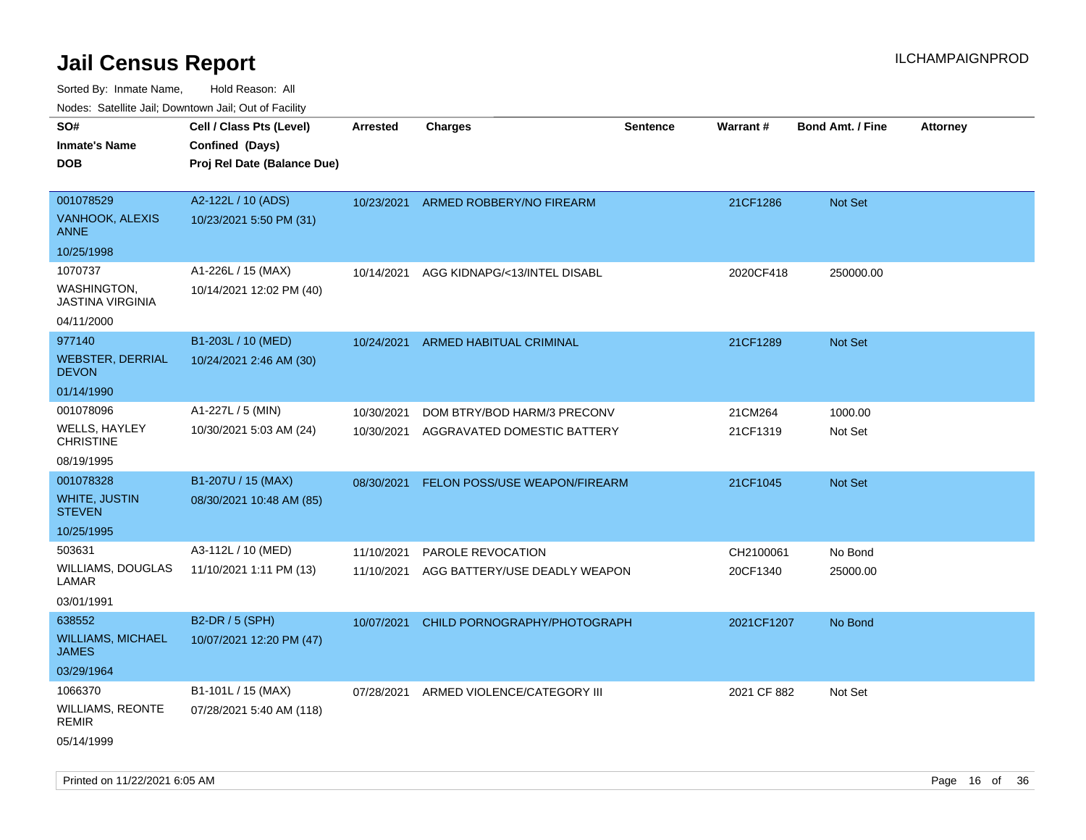| Nodes. Salenne Jan, Downlown Jan, Out of Facility |                             |                 |                                      |                 |             |                         |                 |
|---------------------------------------------------|-----------------------------|-----------------|--------------------------------------|-----------------|-------------|-------------------------|-----------------|
| SO#                                               | Cell / Class Pts (Level)    | <b>Arrested</b> | <b>Charges</b>                       | <b>Sentence</b> | Warrant#    | <b>Bond Amt. / Fine</b> | <b>Attorney</b> |
| <b>Inmate's Name</b>                              | Confined (Days)             |                 |                                      |                 |             |                         |                 |
| <b>DOB</b>                                        | Proj Rel Date (Balance Due) |                 |                                      |                 |             |                         |                 |
|                                                   |                             |                 |                                      |                 |             |                         |                 |
| 001078529                                         | A2-122L / 10 (ADS)          | 10/23/2021      | ARMED ROBBERY/NO FIREARM             |                 | 21CF1286    | Not Set                 |                 |
| VANHOOK, ALEXIS<br><b>ANNE</b>                    | 10/23/2021 5:50 PM (31)     |                 |                                      |                 |             |                         |                 |
| 10/25/1998                                        |                             |                 |                                      |                 |             |                         |                 |
| 1070737                                           | A1-226L / 15 (MAX)          | 10/14/2021      | AGG KIDNAPG/<13/INTEL DISABL         |                 | 2020CF418   | 250000.00               |                 |
| <b>WASHINGTON</b><br><b>JASTINA VIRGINIA</b>      | 10/14/2021 12:02 PM (40)    |                 |                                      |                 |             |                         |                 |
| 04/11/2000                                        |                             |                 |                                      |                 |             |                         |                 |
| 977140                                            | B1-203L / 10 (MED)          | 10/24/2021      | <b>ARMED HABITUAL CRIMINAL</b>       |                 | 21CF1289    | <b>Not Set</b>          |                 |
| <b>WEBSTER, DERRIAL</b><br><b>DEVON</b>           | 10/24/2021 2:46 AM (30)     |                 |                                      |                 |             |                         |                 |
| 01/14/1990                                        |                             |                 |                                      |                 |             |                         |                 |
| 001078096                                         | A1-227L / 5 (MIN)           | 10/30/2021      | DOM BTRY/BOD HARM/3 PRECONV          |                 | 21CM264     | 1000.00                 |                 |
| WELLS, HAYLEY<br><b>CHRISTINE</b>                 | 10/30/2021 5:03 AM (24)     | 10/30/2021      | AGGRAVATED DOMESTIC BATTERY          |                 | 21CF1319    | Not Set                 |                 |
| 08/19/1995                                        |                             |                 |                                      |                 |             |                         |                 |
| 001078328                                         | B1-207U / 15 (MAX)          | 08/30/2021      | <b>FELON POSS/USE WEAPON/FIREARM</b> |                 | 21CF1045    | <b>Not Set</b>          |                 |
| <b>WHITE, JUSTIN</b><br><b>STEVEN</b>             | 08/30/2021 10:48 AM (85)    |                 |                                      |                 |             |                         |                 |
| 10/25/1995                                        |                             |                 |                                      |                 |             |                         |                 |
| 503631                                            | A3-112L / 10 (MED)          | 11/10/2021      | PAROLE REVOCATION                    |                 | CH2100061   | No Bond                 |                 |
| WILLIAMS, DOUGLAS<br>LAMAR                        | 11/10/2021 1:11 PM (13)     | 11/10/2021      | AGG BATTERY/USE DEADLY WEAPON        |                 | 20CF1340    | 25000.00                |                 |
| 03/01/1991                                        |                             |                 |                                      |                 |             |                         |                 |
| 638552                                            | B2-DR / 5 (SPH)             | 10/07/2021      | CHILD PORNOGRAPHY/PHOTOGRAPH         |                 | 2021CF1207  | No Bond                 |                 |
| <b>WILLIAMS, MICHAEL</b><br><b>JAMES</b>          | 10/07/2021 12:20 PM (47)    |                 |                                      |                 |             |                         |                 |
| 03/29/1964                                        |                             |                 |                                      |                 |             |                         |                 |
| 1066370                                           | B1-101L / 15 (MAX)          | 07/28/2021      | ARMED VIOLENCE/CATEGORY III          |                 | 2021 CF 882 | Not Set                 |                 |
| WILLIAMS, REONTE<br>REMIR                         | 07/28/2021 5:40 AM (118)    |                 |                                      |                 |             |                         |                 |
| 05/14/1999                                        |                             |                 |                                      |                 |             |                         |                 |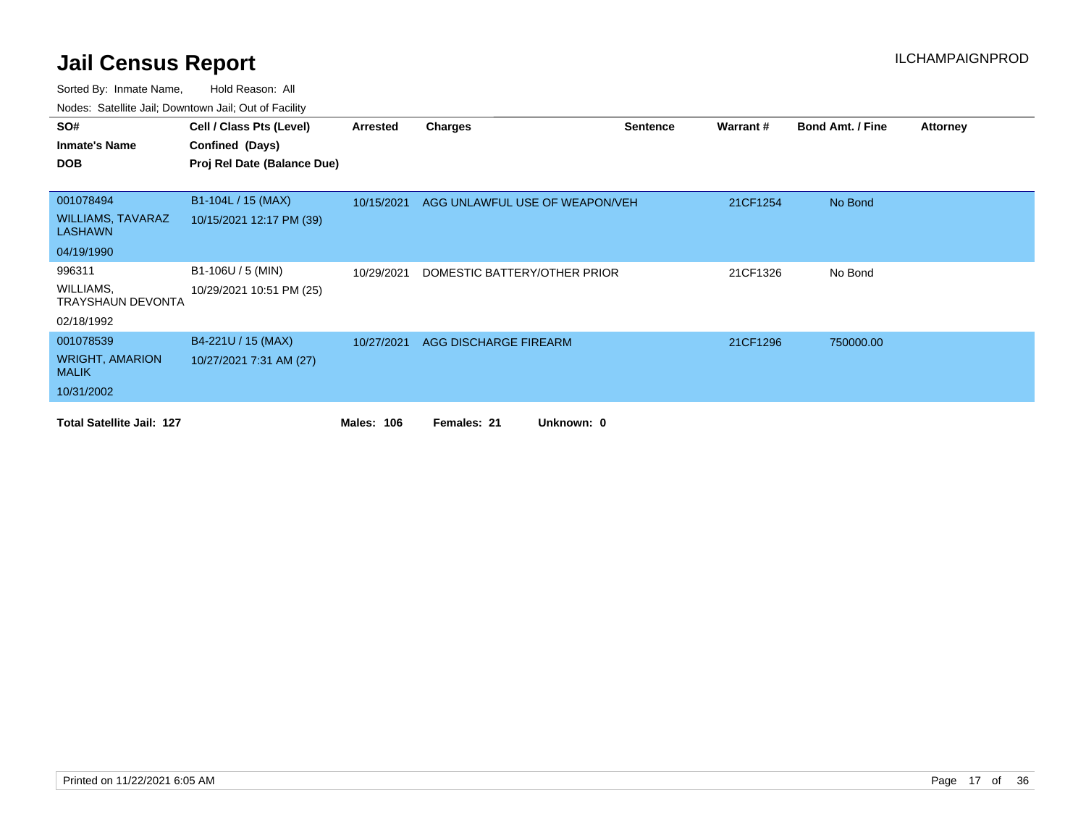| SO#                                        | Cell / Class Pts (Level)    | Arrested          | Charges                        | <b>Sentence</b> | Warrant# | <b>Bond Amt. / Fine</b> | <b>Attorney</b> |
|--------------------------------------------|-----------------------------|-------------------|--------------------------------|-----------------|----------|-------------------------|-----------------|
| <b>Inmate's Name</b>                       | Confined (Days)             |                   |                                |                 |          |                         |                 |
| <b>DOB</b>                                 | Proj Rel Date (Balance Due) |                   |                                |                 |          |                         |                 |
|                                            |                             |                   |                                |                 |          |                         |                 |
| 001078494                                  | B1-104L / 15 (MAX)          | 10/15/2021        | AGG UNLAWFUL USE OF WEAPON/VEH |                 | 21CF1254 | No Bond                 |                 |
| <b>WILLIAMS, TAVARAZ</b><br><b>LASHAWN</b> | 10/15/2021 12:17 PM (39)    |                   |                                |                 |          |                         |                 |
| 04/19/1990                                 |                             |                   |                                |                 |          |                         |                 |
| 996311                                     | B1-106U / 5 (MIN)           | 10/29/2021        | DOMESTIC BATTERY/OTHER PRIOR   |                 | 21CF1326 | No Bond                 |                 |
| WILLIAMS,<br>TRAYSHAUN DEVONTA             | 10/29/2021 10:51 PM (25)    |                   |                                |                 |          |                         |                 |
| 02/18/1992                                 |                             |                   |                                |                 |          |                         |                 |
| 001078539                                  | B4-221U / 15 (MAX)          | 10/27/2021        | AGG DISCHARGE FIREARM          |                 | 21CF1296 | 750000.00               |                 |
| <b>WRIGHT, AMARION</b><br><b>MALIK</b>     | 10/27/2021 7:31 AM (27)     |                   |                                |                 |          |                         |                 |
| 10/31/2002                                 |                             |                   |                                |                 |          |                         |                 |
| <b>Total Satellite Jail: 127</b>           |                             | <b>Males: 106</b> | Females: 21<br>Unknown: 0      |                 |          |                         |                 |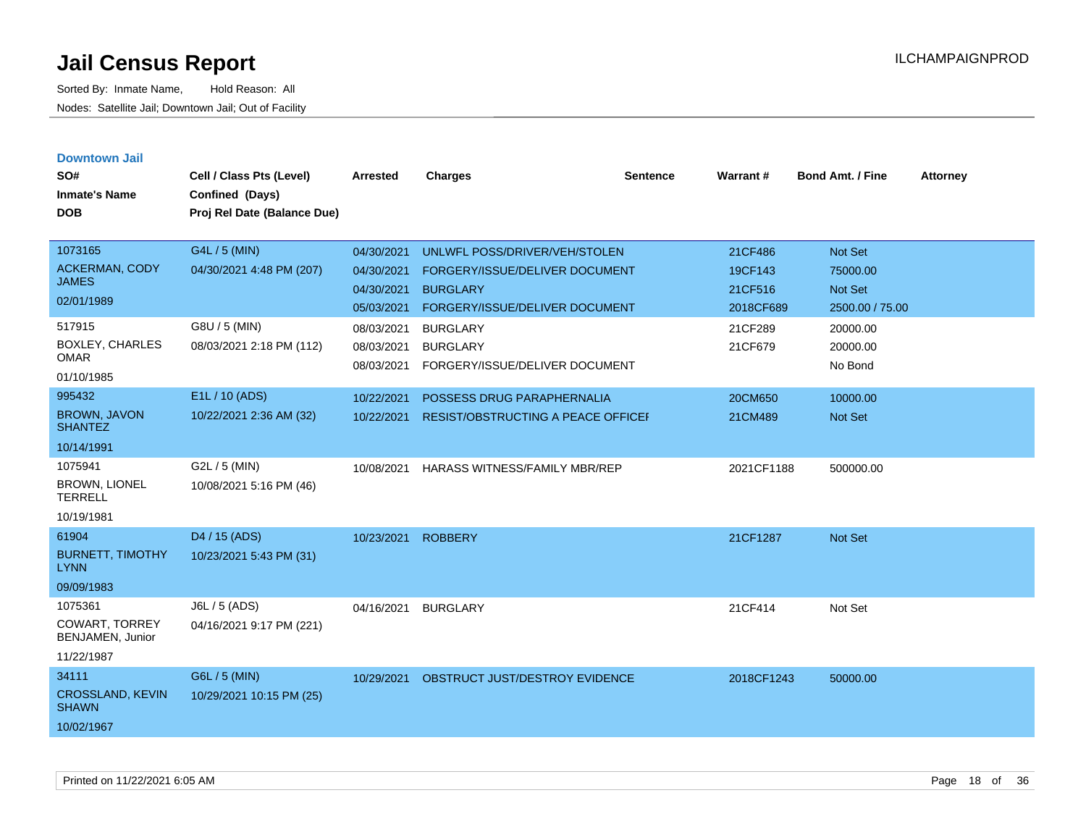| <b>Downtown Jail</b>                   |                             |                 |                                           |                 |            |                         |                 |
|----------------------------------------|-----------------------------|-----------------|-------------------------------------------|-----------------|------------|-------------------------|-----------------|
| SO#                                    | Cell / Class Pts (Level)    | <b>Arrested</b> | <b>Charges</b>                            | <b>Sentence</b> | Warrant#   | <b>Bond Amt. / Fine</b> | <b>Attorney</b> |
| <b>Inmate's Name</b>                   | Confined (Days)             |                 |                                           |                 |            |                         |                 |
| DOB                                    | Proj Rel Date (Balance Due) |                 |                                           |                 |            |                         |                 |
|                                        |                             |                 |                                           |                 |            |                         |                 |
| 1073165                                | G4L / 5 (MIN)               | 04/30/2021      | UNLWFL POSS/DRIVER/VEH/STOLEN             |                 | 21CF486    | Not Set                 |                 |
| <b>ACKERMAN, CODY</b>                  | 04/30/2021 4:48 PM (207)    | 04/30/2021      | FORGERY/ISSUE/DELIVER DOCUMENT            |                 | 19CF143    | 75000.00                |                 |
| <b>JAMES</b>                           |                             | 04/30/2021      | <b>BURGLARY</b>                           |                 | 21CF516    | <b>Not Set</b>          |                 |
| 02/01/1989                             |                             | 05/03/2021      | FORGERY/ISSUE/DELIVER DOCUMENT            |                 | 2018CF689  | 2500.00 / 75.00         |                 |
| 517915                                 | G8U / 5 (MIN)               | 08/03/2021      | <b>BURGLARY</b>                           |                 | 21CF289    | 20000.00                |                 |
| <b>BOXLEY, CHARLES</b>                 | 08/03/2021 2:18 PM (112)    | 08/03/2021      | <b>BURGLARY</b>                           |                 | 21CF679    | 20000.00                |                 |
| <b>OMAR</b>                            |                             | 08/03/2021      | FORGERY/ISSUE/DELIVER DOCUMENT            |                 |            | No Bond                 |                 |
| 01/10/1985                             |                             |                 |                                           |                 |            |                         |                 |
| 995432                                 | E1L / 10 (ADS)              | 10/22/2021      | POSSESS DRUG PARAPHERNALIA                |                 | 20CM650    | 10000.00                |                 |
| <b>BROWN, JAVON</b><br><b>SHANTEZ</b>  | 10/22/2021 2:36 AM (32)     | 10/22/2021      | <b>RESIST/OBSTRUCTING A PEACE OFFICEF</b> |                 | 21CM489    | <b>Not Set</b>          |                 |
| 10/14/1991                             |                             |                 |                                           |                 |            |                         |                 |
| 1075941                                | G2L / 5 (MIN)               | 10/08/2021      | HARASS WITNESS/FAMILY MBR/REP             |                 | 2021CF1188 | 500000.00               |                 |
| <b>BROWN, LIONEL</b><br><b>TERRELL</b> | 10/08/2021 5:16 PM (46)     |                 |                                           |                 |            |                         |                 |
| 10/19/1981                             |                             |                 |                                           |                 |            |                         |                 |
| 61904                                  | D <sub>4</sub> / 15 (ADS)   | 10/23/2021      | <b>ROBBERY</b>                            |                 | 21CF1287   | <b>Not Set</b>          |                 |
| <b>BURNETT, TIMOTHY</b><br><b>LYNN</b> | 10/23/2021 5:43 PM (31)     |                 |                                           |                 |            |                         |                 |
| 09/09/1983                             |                             |                 |                                           |                 |            |                         |                 |
| 1075361                                | J6L / 5 (ADS)               | 04/16/2021      | <b>BURGLARY</b>                           |                 | 21CF414    | Not Set                 |                 |
| COWART, TORREY<br>BENJAMEN, Junior     | 04/16/2021 9:17 PM (221)    |                 |                                           |                 |            |                         |                 |
| 11/22/1987                             |                             |                 |                                           |                 |            |                         |                 |
| 34111                                  | G6L / 5 (MIN)               | 10/29/2021      | OBSTRUCT JUST/DESTROY EVIDENCE            |                 | 2018CF1243 | 50000.00                |                 |
| CROSSLAND, KEVIN<br><b>SHAWN</b>       | 10/29/2021 10:15 PM (25)    |                 |                                           |                 |            |                         |                 |
| 10/02/1967                             |                             |                 |                                           |                 |            |                         |                 |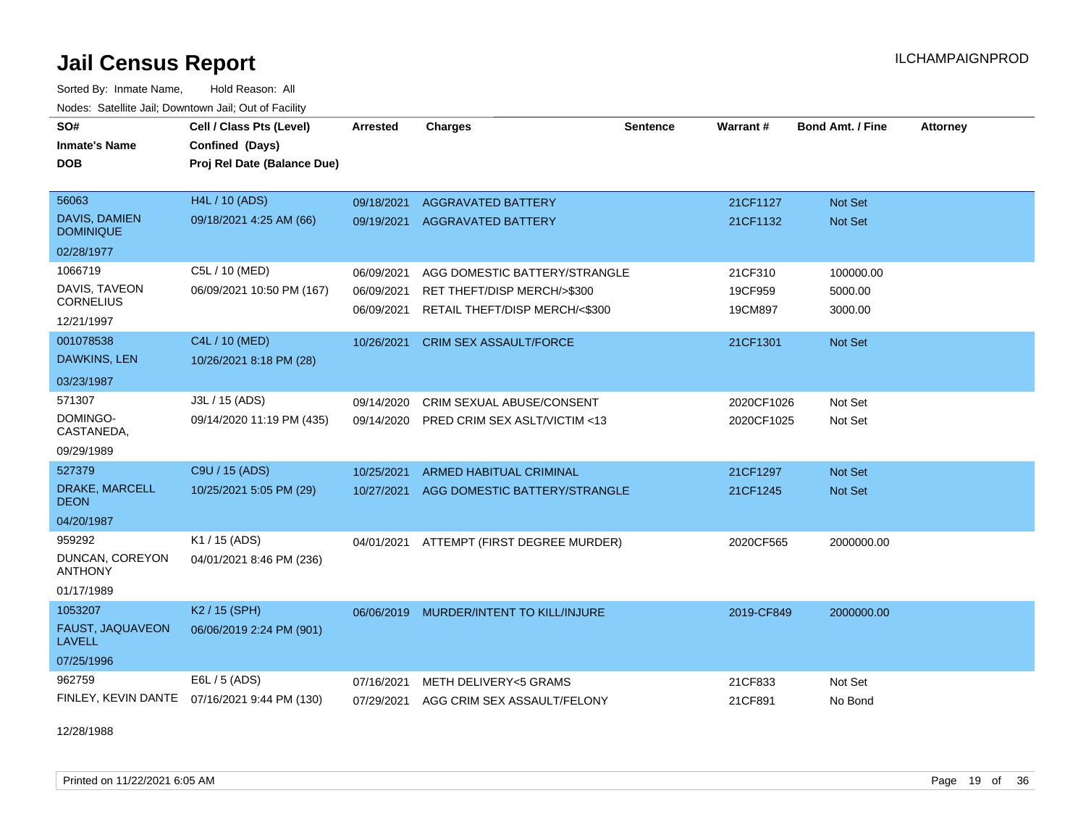Sorted By: Inmate Name, Hold Reason: All Nodes: Satellite Jail; Downtown Jail; Out of Facility

| SO#<br><b>Inmate's Name</b><br>DOB                         | Cell / Class Pts (Level)<br>Confined (Days)<br>Proj Rel Date (Balance Due) | <b>Arrested</b>                        | <b>Charges</b>                                                                                 | <b>Sentence</b> | Warrant#                      | Bond Amt. / Fine                 | <b>Attorney</b> |
|------------------------------------------------------------|----------------------------------------------------------------------------|----------------------------------------|------------------------------------------------------------------------------------------------|-----------------|-------------------------------|----------------------------------|-----------------|
| 56063<br>DAVIS, DAMIEN<br><b>DOMINIQUE</b><br>02/28/1977   | <b>H4L / 10 (ADS)</b><br>09/18/2021 4:25 AM (66)                           | 09/18/2021<br>09/19/2021               | <b>AGGRAVATED BATTERY</b><br><b>AGGRAVATED BATTERY</b>                                         |                 | 21CF1127<br>21CF1132          | Not Set<br><b>Not Set</b>        |                 |
| 1066719<br>DAVIS, TAVEON<br><b>CORNELIUS</b><br>12/21/1997 | C5L / 10 (MED)<br>06/09/2021 10:50 PM (167)                                | 06/09/2021<br>06/09/2021<br>06/09/2021 | AGG DOMESTIC BATTERY/STRANGLE<br>RET THEFT/DISP MERCH/>\$300<br>RETAIL THEFT/DISP MERCH/<\$300 |                 | 21CF310<br>19CF959<br>19CM897 | 100000.00<br>5000.00<br>3000.00  |                 |
| 001078538<br><b>DAWKINS, LEN</b><br>03/23/1987             | C4L / 10 (MED)<br>10/26/2021 8:18 PM (28)                                  | 10/26/2021                             | <b>CRIM SEX ASSAULT/FORCE</b>                                                                  |                 | 21CF1301                      | <b>Not Set</b>                   |                 |
| 571307<br>DOMINGO-<br>CASTANEDA,<br>09/29/1989             | J3L / 15 (ADS)<br>09/14/2020 11:19 PM (435)                                | 09/14/2020<br>09/14/2020               | <b>CRIM SEXUAL ABUSE/CONSENT</b><br>PRED CRIM SEX ASLT/VICTIM <13                              |                 | 2020CF1026<br>2020CF1025      | Not Set<br>Not Set               |                 |
| 527379<br>DRAKE, MARCELL<br><b>DEON</b><br>04/20/1987      | C9U / 15 (ADS)<br>10/25/2021 5:05 PM (29)                                  | 10/25/2021<br>10/27/2021               | <b>ARMED HABITUAL CRIMINAL</b><br>AGG DOMESTIC BATTERY/STRANGLE                                |                 | 21CF1297<br>21CF1245          | <b>Not Set</b><br><b>Not Set</b> |                 |
| 959292<br>DUNCAN, COREYON<br><b>ANTHONY</b><br>01/17/1989  | K1 / 15 (ADS)<br>04/01/2021 8:46 PM (236)                                  | 04/01/2021                             | ATTEMPT (FIRST DEGREE MURDER)                                                                  |                 | 2020CF565                     | 2000000.00                       |                 |
| 1053207<br>FAUST, JAQUAVEON<br><b>LAVELL</b><br>07/25/1996 | K <sub>2</sub> / 15 (SPH)<br>06/06/2019 2:24 PM (901)                      | 06/06/2019                             | <b>MURDER/INTENT TO KILL/INJURE</b>                                                            |                 | 2019-CF849                    | 2000000.00                       |                 |
| 962759                                                     | E6L / 5 (ADS)<br>FINLEY, KEVIN DANTE 07/16/2021 9:44 PM (130)              | 07/16/2021<br>07/29/2021               | <b>METH DELIVERY&lt;5 GRAMS</b><br>AGG CRIM SEX ASSAULT/FELONY                                 |                 | 21CF833<br>21CF891            | Not Set<br>No Bond               |                 |

12/28/1988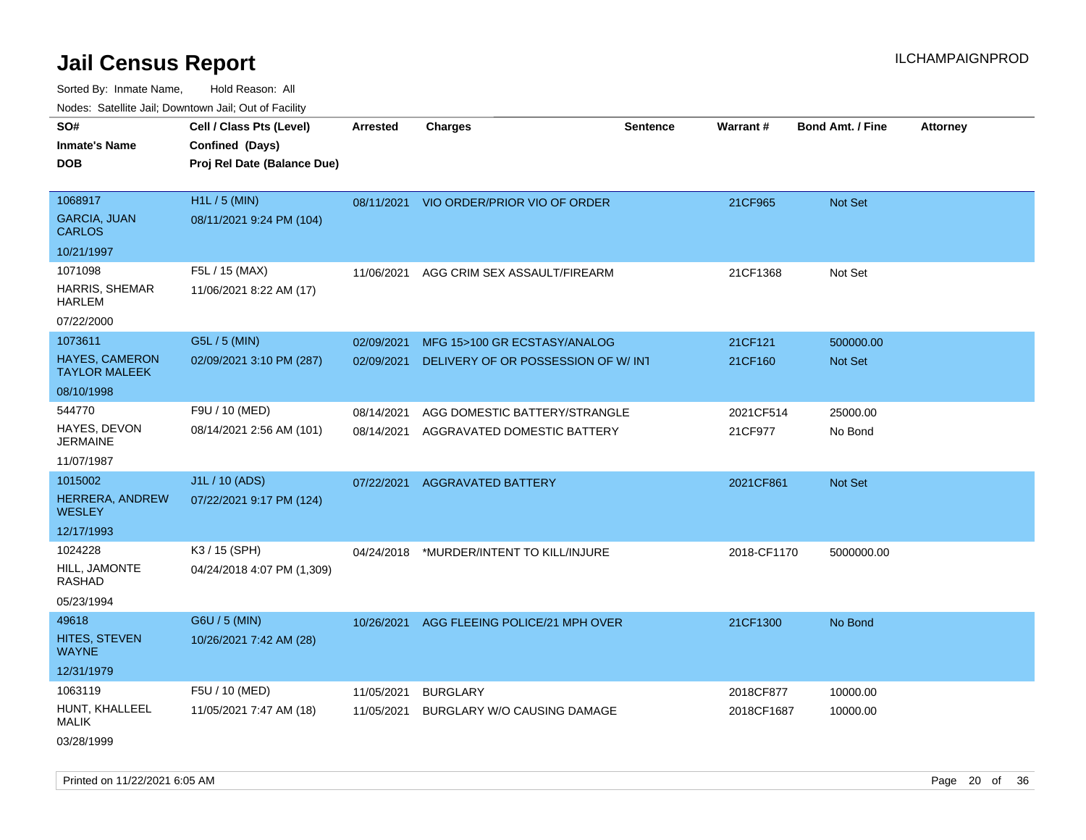Sorted By: Inmate Name, Hold Reason: All Nodes: Satellite Jail; Downtown Jail; Out of Facility

| ivouss. Saleling Jali, Downtown Jali, Out of Facility |                             |                 |                                         |                 |             |                         |                 |
|-------------------------------------------------------|-----------------------------|-----------------|-----------------------------------------|-----------------|-------------|-------------------------|-----------------|
| SO#                                                   | Cell / Class Pts (Level)    | <b>Arrested</b> | <b>Charges</b>                          | <b>Sentence</b> | Warrant#    | <b>Bond Amt. / Fine</b> | <b>Attorney</b> |
| <b>Inmate's Name</b>                                  | Confined (Days)             |                 |                                         |                 |             |                         |                 |
| <b>DOB</b>                                            | Proj Rel Date (Balance Due) |                 |                                         |                 |             |                         |                 |
|                                                       |                             |                 |                                         |                 |             |                         |                 |
| 1068917                                               | H1L / 5 (MIN)               |                 | 08/11/2021 VIO ORDER/PRIOR VIO OF ORDER |                 | 21CF965     | Not Set                 |                 |
| <b>GARCIA, JUAN</b><br><b>CARLOS</b>                  | 08/11/2021 9:24 PM (104)    |                 |                                         |                 |             |                         |                 |
| 10/21/1997                                            |                             |                 |                                         |                 |             |                         |                 |
| 1071098                                               | F5L / 15 (MAX)              | 11/06/2021      | AGG CRIM SEX ASSAULT/FIREARM            |                 | 21CF1368    | Not Set                 |                 |
| HARRIS, SHEMAR<br><b>HARLEM</b>                       | 11/06/2021 8:22 AM (17)     |                 |                                         |                 |             |                         |                 |
| 07/22/2000                                            |                             |                 |                                         |                 |             |                         |                 |
| 1073611                                               | G5L / 5 (MIN)               | 02/09/2021      | MFG 15>100 GR ECSTASY/ANALOG            |                 | 21CF121     | 500000.00               |                 |
| HAYES, CAMERON<br><b>TAYLOR MALEEK</b>                | 02/09/2021 3:10 PM (287)    | 02/09/2021      | DELIVERY OF OR POSSESSION OF W/INT      |                 | 21CF160     | Not Set                 |                 |
| 08/10/1998                                            |                             |                 |                                         |                 |             |                         |                 |
| 544770                                                | F9U / 10 (MED)              | 08/14/2021      | AGG DOMESTIC BATTERY/STRANGLE           |                 | 2021CF514   | 25000.00                |                 |
| HAYES, DEVON<br><b>JERMAINE</b>                       | 08/14/2021 2:56 AM (101)    | 08/14/2021      | AGGRAVATED DOMESTIC BATTERY             |                 | 21CF977     | No Bond                 |                 |
| 11/07/1987                                            |                             |                 |                                         |                 |             |                         |                 |
| 1015002                                               | J1L / 10 (ADS)              | 07/22/2021      | <b>AGGRAVATED BATTERY</b>               |                 | 2021CF861   | Not Set                 |                 |
| HERRERA, ANDREW<br><b>WESLEY</b>                      | 07/22/2021 9:17 PM (124)    |                 |                                         |                 |             |                         |                 |
| 12/17/1993                                            |                             |                 |                                         |                 |             |                         |                 |
| 1024228                                               | K3 / 15 (SPH)               | 04/24/2018      | *MURDER/INTENT TO KILL/INJURE           |                 | 2018-CF1170 | 5000000.00              |                 |
| HILL, JAMONTE<br>RASHAD                               | 04/24/2018 4:07 PM (1,309)  |                 |                                         |                 |             |                         |                 |
| 05/23/1994                                            |                             |                 |                                         |                 |             |                         |                 |
| 49618                                                 | G6U / 5 (MIN)               | 10/26/2021      | AGG FLEEING POLICE/21 MPH OVER          |                 | 21CF1300    | No Bond                 |                 |
| HITES, STEVEN<br><b>WAYNE</b>                         | 10/26/2021 7:42 AM (28)     |                 |                                         |                 |             |                         |                 |
| 12/31/1979                                            |                             |                 |                                         |                 |             |                         |                 |
| 1063119                                               | F5U / 10 (MED)              | 11/05/2021      | <b>BURGLARY</b>                         |                 | 2018CF877   | 10000.00                |                 |
| HUNT, KHALLEEL<br><b>MALIK</b>                        | 11/05/2021 7:47 AM (18)     | 11/05/2021      | <b>BURGLARY W/O CAUSING DAMAGE</b>      |                 | 2018CF1687  | 10000.00                |                 |
| 03/28/1999                                            |                             |                 |                                         |                 |             |                         |                 |

Printed on 11/22/2021 6:05 AM **Page 20 of 36**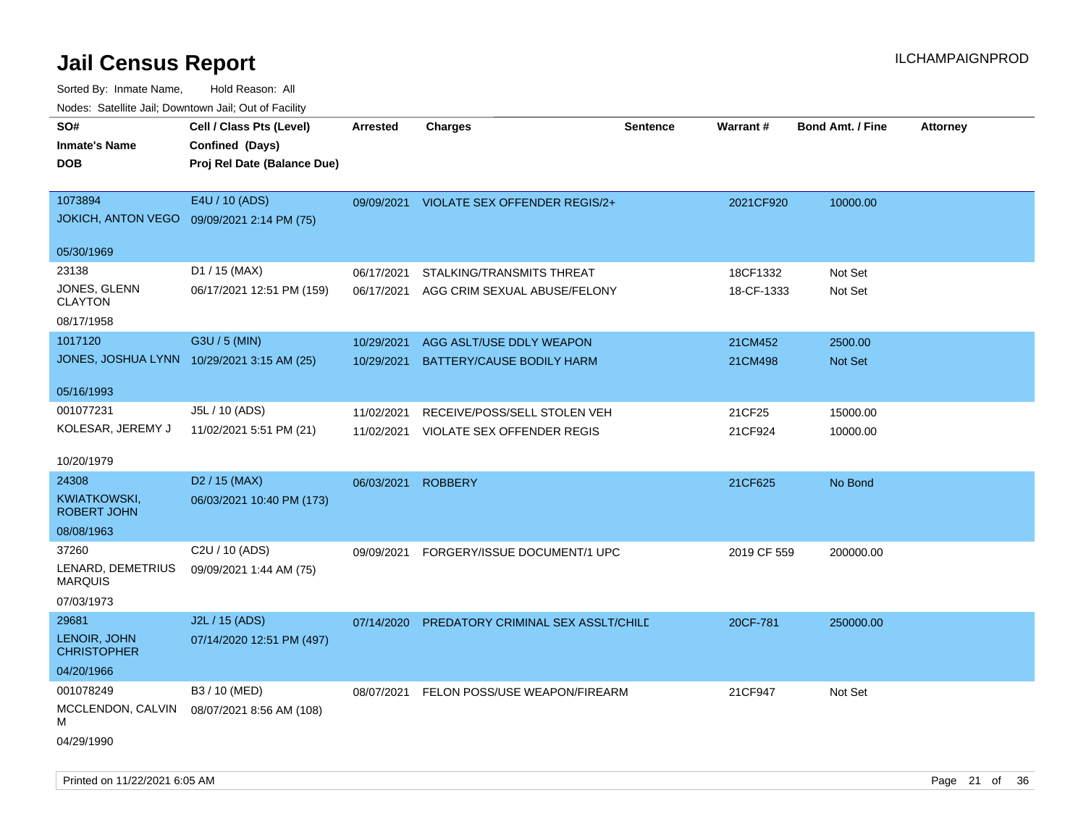| SO#<br><b>Inmate's Name</b><br>DOB         | Cell / Class Pts (Level)<br>Confined (Days)<br>Proj Rel Date (Balance Due) | Arrested   | <b>Charges</b>                     | <b>Sentence</b> | <b>Warrant#</b> | <b>Bond Amt. / Fine</b> | <b>Attorney</b> |
|--------------------------------------------|----------------------------------------------------------------------------|------------|------------------------------------|-----------------|-----------------|-------------------------|-----------------|
| 1073894<br><b>JOKICH, ANTON VEGO</b>       | E4U / 10 (ADS)<br>09/09/2021 2:14 PM (75)                                  | 09/09/2021 | VIOLATE SEX OFFENDER REGIS/2+      |                 | 2021CF920       | 10000.00                |                 |
| 05/30/1969                                 |                                                                            |            |                                    |                 |                 |                         |                 |
| 23138                                      | D1 / 15 (MAX)                                                              | 06/17/2021 | STALKING/TRANSMITS THREAT          |                 | 18CF1332        | Not Set                 |                 |
| JONES, GLENN<br><b>CLAYTON</b>             | 06/17/2021 12:51 PM (159)                                                  | 06/17/2021 | AGG CRIM SEXUAL ABUSE/FELONY       |                 | 18-CF-1333      | Not Set                 |                 |
| 08/17/1958                                 |                                                                            |            |                                    |                 |                 |                         |                 |
| 1017120                                    | G3U / 5 (MIN)                                                              | 10/29/2021 | AGG ASLT/USE DDLY WEAPON           |                 | 21CM452         | 2500.00                 |                 |
| JONES, JOSHUA LYNN 10/29/2021 3:15 AM (25) |                                                                            | 10/29/2021 | BATTERY/CAUSE BODILY HARM          |                 | 21CM498         | Not Set                 |                 |
| 05/16/1993                                 |                                                                            |            |                                    |                 |                 |                         |                 |
| 001077231                                  | J5L / 10 (ADS)                                                             | 11/02/2021 | RECEIVE/POSS/SELL STOLEN VEH       |                 | 21CF25          | 15000.00                |                 |
| KOLESAR, JEREMY J                          | 11/02/2021 5:51 PM (21)                                                    | 11/02/2021 | VIOLATE SEX OFFENDER REGIS         |                 | 21CF924         | 10000.00                |                 |
| 10/20/1979                                 |                                                                            |            |                                    |                 |                 |                         |                 |
| 24308                                      | D <sub>2</sub> / 15 (MAX)                                                  | 06/03/2021 | <b>ROBBERY</b>                     |                 | 21CF625         | No Bond                 |                 |
| KWIATKOWSKI,<br><b>ROBERT JOHN</b>         | 06/03/2021 10:40 PM (173)                                                  |            |                                    |                 |                 |                         |                 |
| 08/08/1963                                 |                                                                            |            |                                    |                 |                 |                         |                 |
| 37260                                      | C2U / 10 (ADS)                                                             | 09/09/2021 | FORGERY/ISSUE DOCUMENT/1 UPC       |                 | 2019 CF 559     | 200000.00               |                 |
| LENARD, DEMETRIUS<br><b>MARQUIS</b>        | 09/09/2021 1:44 AM (75)                                                    |            |                                    |                 |                 |                         |                 |
| 07/03/1973                                 |                                                                            |            |                                    |                 |                 |                         |                 |
| 29681                                      | J2L / 15 (ADS)                                                             | 07/14/2020 | PREDATORY CRIMINAL SEX ASSLT/CHILD |                 | 20CF-781        | 250000.00               |                 |
| LENOIR, JOHN<br><b>CHRISTOPHER</b>         | 07/14/2020 12:51 PM (497)                                                  |            |                                    |                 |                 |                         |                 |
| 04/20/1966                                 |                                                                            |            |                                    |                 |                 |                         |                 |
| 001078249                                  | B3 / 10 (MED)                                                              | 08/07/2021 | FELON POSS/USE WEAPON/FIREARM      |                 | 21CF947         | Not Set                 |                 |
| MCCLENDON, CALVIN<br>М                     | 08/07/2021 8:56 AM (108)                                                   |            |                                    |                 |                 |                         |                 |
| 04/29/1990                                 |                                                                            |            |                                    |                 |                 |                         |                 |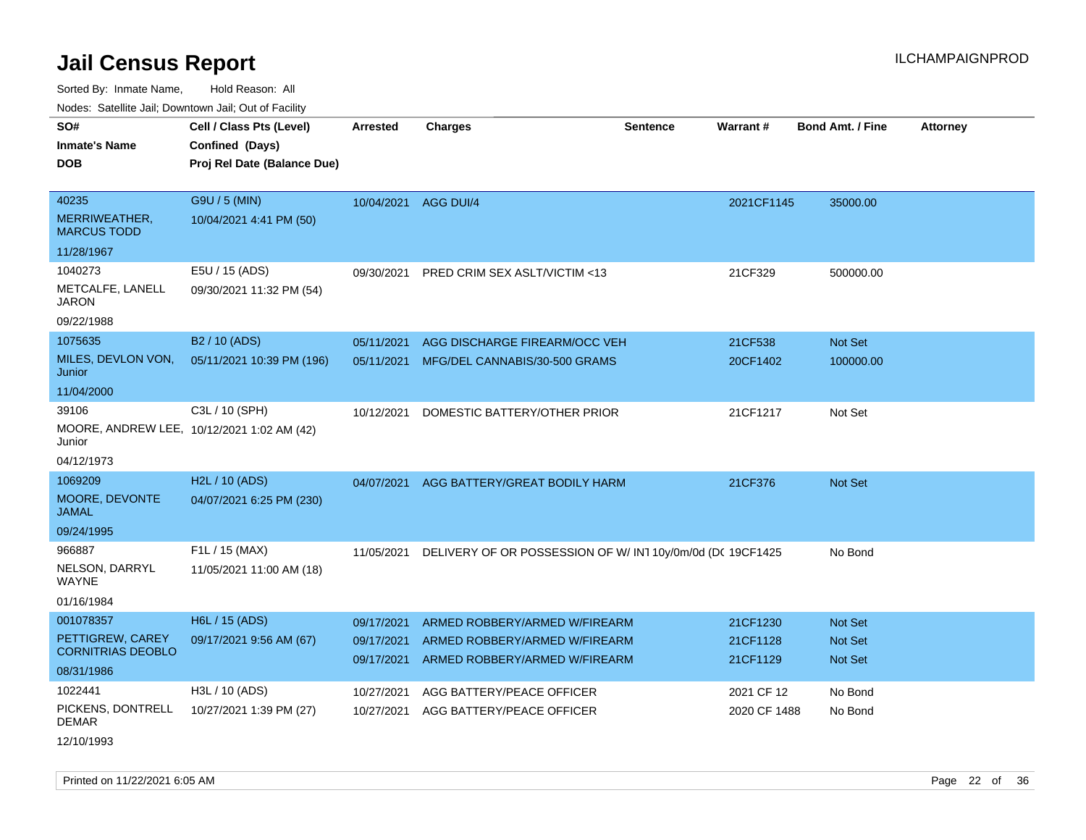Sorted By: Inmate Name, Hold Reason: All

Nodes: Satellite Jail; Downtown Jail; Out of Facility

| SO#<br><b>Inmate's Name</b><br><b>DOB</b>            | Cell / Class Pts (Level)<br>Confined (Days)<br>Proj Rel Date (Balance Due) | Arrested             | <b>Charges</b>                                           | Sentence | Warrant#     | <b>Bond Amt. / Fine</b> | <b>Attorney</b> |
|------------------------------------------------------|----------------------------------------------------------------------------|----------------------|----------------------------------------------------------|----------|--------------|-------------------------|-----------------|
| 40235                                                | G9U / 5 (MIN)                                                              | 10/04/2021 AGG DUI/4 |                                                          |          | 2021CF1145   | 35000.00                |                 |
| MERRIWEATHER,<br><b>MARCUS TODD</b>                  | 10/04/2021 4:41 PM (50)                                                    |                      |                                                          |          |              |                         |                 |
| 11/28/1967                                           |                                                                            |                      |                                                          |          |              |                         |                 |
| 1040273                                              | E5U / 15 (ADS)                                                             | 09/30/2021           | <b>PRED CRIM SEX ASLT/VICTIM &lt;13</b>                  |          | 21CF329      | 500000.00               |                 |
| METCALFE, LANELL<br><b>JARON</b>                     | 09/30/2021 11:32 PM (54)                                                   |                      |                                                          |          |              |                         |                 |
| 09/22/1988                                           |                                                                            |                      |                                                          |          |              |                         |                 |
| 1075635                                              | B <sub>2</sub> / 10 (ADS)                                                  | 05/11/2021           | AGG DISCHARGE FIREARM/OCC VEH                            |          | 21CF538      | Not Set                 |                 |
| MILES, DEVLON VON,<br>Junior                         | 05/11/2021 10:39 PM (196)                                                  | 05/11/2021           | MFG/DEL CANNABIS/30-500 GRAMS                            |          | 20CF1402     | 100000.00               |                 |
| 11/04/2000                                           |                                                                            |                      |                                                          |          |              |                         |                 |
| 39106                                                | C3L / 10 (SPH)                                                             | 10/12/2021           | DOMESTIC BATTERY/OTHER PRIOR                             |          | 21CF1217     | Not Set                 |                 |
| MOORE, ANDREW LEE, 10/12/2021 1:02 AM (42)<br>Junior |                                                                            |                      |                                                          |          |              |                         |                 |
| 04/12/1973                                           |                                                                            |                      |                                                          |          |              |                         |                 |
| 1069209                                              | H2L / 10 (ADS)                                                             | 04/07/2021           | AGG BATTERY/GREAT BODILY HARM                            |          | 21CF376      | <b>Not Set</b>          |                 |
| MOORE, DEVONTE<br><b>JAMAL</b>                       | 04/07/2021 6:25 PM (230)                                                   |                      |                                                          |          |              |                         |                 |
| 09/24/1995                                           |                                                                            |                      |                                                          |          |              |                         |                 |
| 966887                                               | F1L / 15 (MAX)                                                             | 11/05/2021           | DELIVERY OF OR POSSESSION OF W/IN110y/0m/0d (DC 19CF1425 |          |              | No Bond                 |                 |
| NELSON, DARRYL<br>WAYNE                              | 11/05/2021 11:00 AM (18)                                                   |                      |                                                          |          |              |                         |                 |
| 01/16/1984                                           |                                                                            |                      |                                                          |          |              |                         |                 |
| 001078357                                            | H6L / 15 (ADS)                                                             | 09/17/2021           | ARMED ROBBERY/ARMED W/FIREARM                            |          | 21CF1230     | <b>Not Set</b>          |                 |
| PETTIGREW, CAREY                                     | 09/17/2021 9:56 AM (67)                                                    | 09/17/2021           | ARMED ROBBERY/ARMED W/FIREARM                            |          | 21CF1128     | <b>Not Set</b>          |                 |
| <b>CORNITRIAS DEOBLO</b>                             |                                                                            | 09/17/2021           | ARMED ROBBERY/ARMED W/FIREARM                            |          | 21CF1129     | <b>Not Set</b>          |                 |
| 08/31/1986                                           |                                                                            |                      |                                                          |          |              |                         |                 |
| 1022441                                              | H3L / 10 (ADS)                                                             | 10/27/2021           | AGG BATTERY/PEACE OFFICER                                |          | 2021 CF 12   | No Bond                 |                 |
| PICKENS, DONTRELL<br><b>DEMAR</b>                    | 10/27/2021 1:39 PM (27)                                                    | 10/27/2021           | AGG BATTERY/PEACE OFFICER                                |          | 2020 CF 1488 | No Bond                 |                 |
|                                                      |                                                                            |                      |                                                          |          |              |                         |                 |

12/10/1993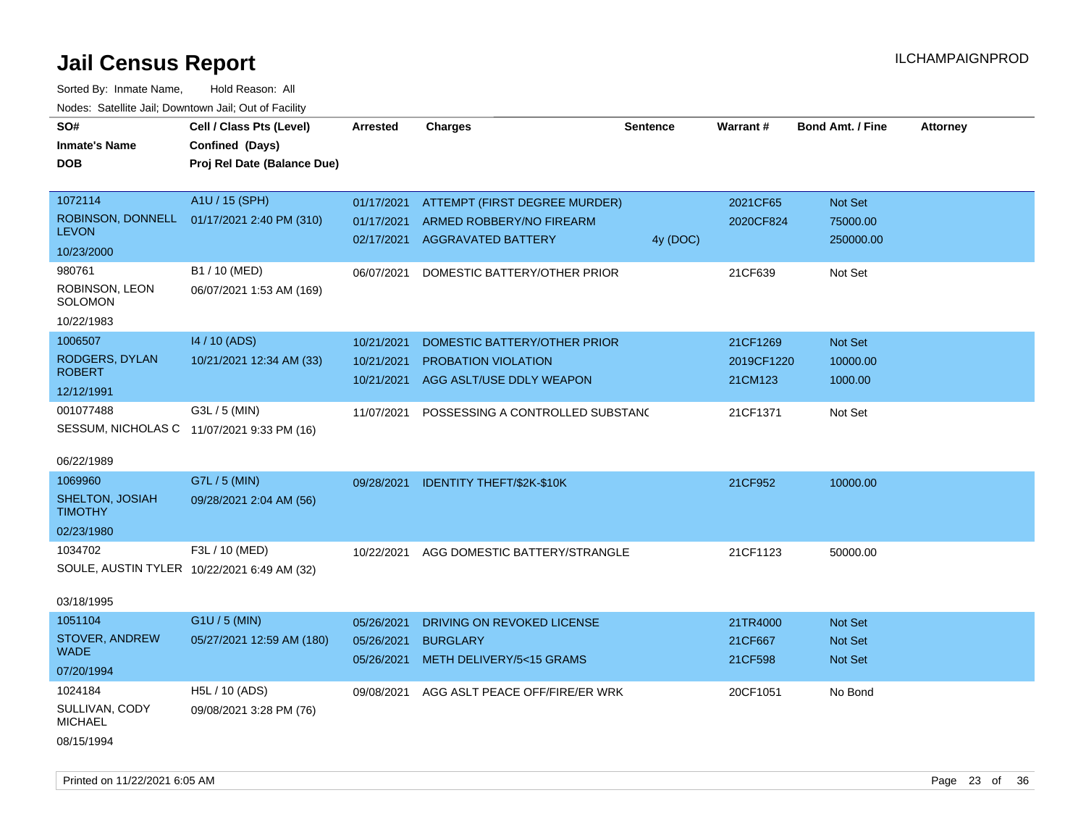| roaco. Odichile Jan, Downtown Jan, Out of Facility      |                                             |                          |                                             |                 |                    |                         |                 |
|---------------------------------------------------------|---------------------------------------------|--------------------------|---------------------------------------------|-----------------|--------------------|-------------------------|-----------------|
| SO#<br><b>Inmate's Name</b>                             | Cell / Class Pts (Level)<br>Confined (Days) | Arrested                 | <b>Charges</b>                              | <b>Sentence</b> | Warrant#           | <b>Bond Amt. / Fine</b> | <b>Attorney</b> |
| <b>DOB</b>                                              | Proj Rel Date (Balance Due)                 |                          |                                             |                 |                    |                         |                 |
| 1072114                                                 | A1U / 15 (SPH)                              | 01/17/2021               | ATTEMPT (FIRST DEGREE MURDER)               |                 | 2021CF65           | Not Set                 |                 |
| ROBINSON, DONNELL<br><b>LEVON</b>                       | 01/17/2021 2:40 PM (310)                    | 01/17/2021               | ARMED ROBBERY/NO FIREARM                    |                 | 2020CF824          | 75000.00                |                 |
| 10/23/2000                                              |                                             | 02/17/2021               | <b>AGGRAVATED BATTERY</b>                   | 4y (DOC)        |                    | 250000.00               |                 |
| 980761<br>ROBINSON, LEON                                | B1 / 10 (MED)<br>06/07/2021 1:53 AM (169)   | 06/07/2021               | DOMESTIC BATTERY/OTHER PRIOR                |                 | 21CF639            | Not Set                 |                 |
| SOLOMON<br>10/22/1983                                   |                                             |                          |                                             |                 |                    |                         |                 |
| 1006507                                                 | 14 / 10 (ADS)                               | 10/21/2021               | DOMESTIC BATTERY/OTHER PRIOR                |                 | 21CF1269           | <b>Not Set</b>          |                 |
| RODGERS, DYLAN                                          | 10/21/2021 12:34 AM (33)                    | 10/21/2021               | <b>PROBATION VIOLATION</b>                  |                 | 2019CF1220         | 10000.00                |                 |
| <b>ROBERT</b>                                           |                                             | 10/21/2021               | AGG ASLT/USE DDLY WEAPON                    |                 | 21CM123            | 1000.00                 |                 |
| 12/12/1991                                              |                                             |                          |                                             |                 |                    |                         |                 |
| 001077488<br>SESSUM, NICHOLAS C 11/07/2021 9:33 PM (16) | G3L / 5 (MIN)                               | 11/07/2021               | POSSESSING A CONTROLLED SUBSTANC            |                 | 21CF1371           | Not Set                 |                 |
| 06/22/1989                                              |                                             |                          |                                             |                 |                    |                         |                 |
| 1069960                                                 | G7L / 5 (MIN)                               | 09/28/2021               | <b>IDENTITY THEFT/\$2K-\$10K</b>            |                 | 21CF952            | 10000.00                |                 |
| SHELTON, JOSIAH<br><b>TIMOTHY</b>                       | 09/28/2021 2:04 AM (56)                     |                          |                                             |                 |                    |                         |                 |
| 02/23/1980                                              |                                             |                          |                                             |                 |                    |                         |                 |
| 1034702                                                 | F3L / 10 (MED)                              | 10/22/2021               | AGG DOMESTIC BATTERY/STRANGLE               |                 | 21CF1123           | 50000.00                |                 |
| SOULE, AUSTIN TYLER 10/22/2021 6:49 AM (32)             |                                             |                          |                                             |                 |                    |                         |                 |
| 03/18/1995                                              |                                             |                          |                                             |                 |                    |                         |                 |
| 1051104                                                 | G1U / 5 (MIN)                               | 05/26/2021               | DRIVING ON REVOKED LICENSE                  |                 | 21TR4000           | <b>Not Set</b>          |                 |
| STOVER, ANDREW<br><b>WADE</b>                           | 05/27/2021 12:59 AM (180)                   | 05/26/2021<br>05/26/2021 | <b>BURGLARY</b><br>METH DELIVERY/5<15 GRAMS |                 | 21CF667<br>21CF598 | Not Set<br>Not Set      |                 |
| 07/20/1994                                              |                                             |                          |                                             |                 |                    |                         |                 |
| 1024184                                                 | H5L / 10 (ADS)                              | 09/08/2021               | AGG ASLT PEACE OFF/FIRE/ER WRK              |                 | 20CF1051           | No Bond                 |                 |
| SULLIVAN, CODY<br><b>MICHAEL</b>                        | 09/08/2021 3:28 PM (76)                     |                          |                                             |                 |                    |                         |                 |
| 08/15/1994                                              |                                             |                          |                                             |                 |                    |                         |                 |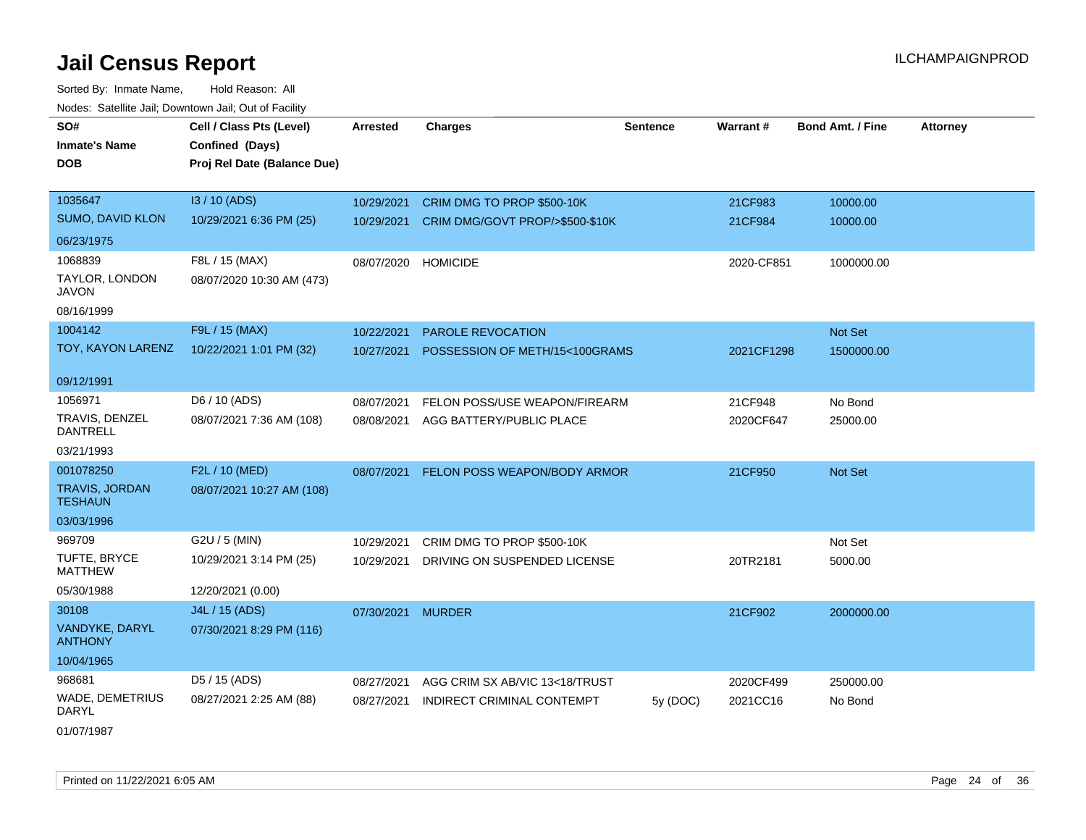Sorted By: Inmate Name, Hold Reason: All Nodes: Satellite Jail; Downtown Jail; Out of Facility

| SO#                                     | Cell / Class Pts (Level)    | <b>Arrested</b>   | <b>Charges</b>                          | <b>Sentence</b> | Warrant#   | <b>Bond Amt. / Fine</b> | <b>Attorney</b> |
|-----------------------------------------|-----------------------------|-------------------|-----------------------------------------|-----------------|------------|-------------------------|-----------------|
| <b>Inmate's Name</b>                    | Confined (Days)             |                   |                                         |                 |            |                         |                 |
| <b>DOB</b>                              | Proj Rel Date (Balance Due) |                   |                                         |                 |            |                         |                 |
|                                         |                             |                   |                                         |                 |            |                         |                 |
| 1035647                                 | I3 / 10 (ADS)               | 10/29/2021        | CRIM DMG TO PROP \$500-10K              |                 | 21CF983    | 10000.00                |                 |
| SUMO, DAVID KLON                        | 10/29/2021 6:36 PM (25)     | 10/29/2021        | CRIM DMG/GOVT PROP/>\$500-\$10K         |                 | 21CF984    | 10000.00                |                 |
| 06/23/1975                              |                             |                   |                                         |                 |            |                         |                 |
| 1068839                                 | F8L / 15 (MAX)              |                   | 08/07/2020 HOMICIDE                     |                 | 2020-CF851 | 1000000.00              |                 |
| TAYLOR, LONDON<br><b>JAVON</b>          | 08/07/2020 10:30 AM (473)   |                   |                                         |                 |            |                         |                 |
| 08/16/1999                              |                             |                   |                                         |                 |            |                         |                 |
| 1004142                                 | F9L / 15 (MAX)              | 10/22/2021        | PAROLE REVOCATION                       |                 |            | Not Set                 |                 |
| TOY, KAYON LARENZ                       | 10/22/2021 1:01 PM (32)     | 10/27/2021        | POSSESSION OF METH/15<100GRAMS          |                 | 2021CF1298 | 1500000.00              |                 |
| 09/12/1991                              |                             |                   |                                         |                 |            |                         |                 |
| 1056971                                 | D6 / 10 (ADS)               | 08/07/2021        | FELON POSS/USE WEAPON/FIREARM           |                 | 21CF948    | No Bond                 |                 |
| TRAVIS, DENZEL<br><b>DANTRELL</b>       | 08/07/2021 7:36 AM (108)    | 08/08/2021        | AGG BATTERY/PUBLIC PLACE                |                 | 2020CF647  | 25000.00                |                 |
| 03/21/1993                              |                             |                   |                                         |                 |            |                         |                 |
| 001078250                               | F2L / 10 (MED)              |                   | 08/07/2021 FELON POSS WEAPON/BODY ARMOR |                 | 21CF950    | Not Set                 |                 |
| <b>TRAVIS, JORDAN</b><br><b>TESHAUN</b> | 08/07/2021 10:27 AM (108)   |                   |                                         |                 |            |                         |                 |
| 03/03/1996                              |                             |                   |                                         |                 |            |                         |                 |
| 969709                                  | G2U / 5 (MIN)               | 10/29/2021        | CRIM DMG TO PROP \$500-10K              |                 |            | Not Set                 |                 |
| TUFTE, BRYCE<br><b>MATTHEW</b>          | 10/29/2021 3:14 PM (25)     | 10/29/2021        | DRIVING ON SUSPENDED LICENSE            |                 | 20TR2181   | 5000.00                 |                 |
| 05/30/1988                              | 12/20/2021 (0.00)           |                   |                                         |                 |            |                         |                 |
| 30108                                   | J4L / 15 (ADS)              | 07/30/2021 MURDER |                                         |                 | 21CF902    | 2000000.00              |                 |
| VANDYKE, DARYL<br><b>ANTHONY</b>        | 07/30/2021 8:29 PM (116)    |                   |                                         |                 |            |                         |                 |
| 10/04/1965                              |                             |                   |                                         |                 |            |                         |                 |
| 968681                                  | D5 / 15 (ADS)               | 08/27/2021        | AGG CRIM SX AB/VIC 13<18/TRUST          |                 | 2020CF499  | 250000.00               |                 |
| WADE, DEMETRIUS<br><b>DARYL</b>         | 08/27/2021 2:25 AM (88)     | 08/27/2021        | INDIRECT CRIMINAL CONTEMPT              | 5y(DOC)         | 2021CC16   | No Bond                 |                 |
|                                         |                             |                   |                                         |                 |            |                         |                 |

01/07/1987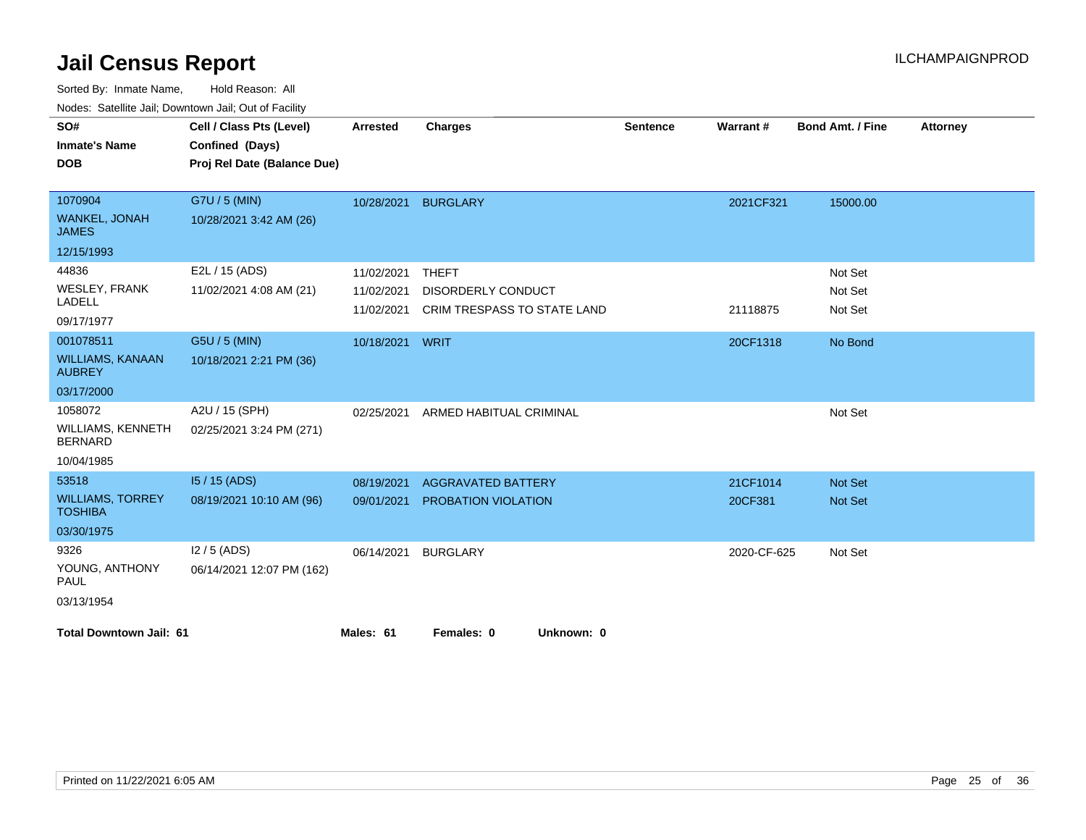| vouco. Odichite Jan, Downtown Jan, Out of Facility |                             |                 |                                    |                 |                 |                         |                 |
|----------------------------------------------------|-----------------------------|-----------------|------------------------------------|-----------------|-----------------|-------------------------|-----------------|
| SO#                                                | Cell / Class Pts (Level)    | <b>Arrested</b> | <b>Charges</b>                     | <b>Sentence</b> | <b>Warrant#</b> | <b>Bond Amt. / Fine</b> | <b>Attorney</b> |
| <b>Inmate's Name</b>                               | Confined (Days)             |                 |                                    |                 |                 |                         |                 |
| <b>DOB</b>                                         | Proj Rel Date (Balance Due) |                 |                                    |                 |                 |                         |                 |
|                                                    |                             |                 |                                    |                 |                 |                         |                 |
| 1070904                                            | G7U / 5 (MIN)               | 10/28/2021      | <b>BURGLARY</b>                    |                 | 2021CF321       | 15000.00                |                 |
| <b>WANKEL, JONAH</b><br><b>JAMES</b>               | 10/28/2021 3:42 AM (26)     |                 |                                    |                 |                 |                         |                 |
| 12/15/1993                                         |                             |                 |                                    |                 |                 |                         |                 |
| 44836                                              | E2L / 15 (ADS)              | 11/02/2021      | <b>THEFT</b>                       |                 |                 | Not Set                 |                 |
| <b>WESLEY, FRANK</b>                               | 11/02/2021 4:08 AM (21)     | 11/02/2021      | <b>DISORDERLY CONDUCT</b>          |                 |                 | Not Set                 |                 |
| LADELL                                             |                             | 11/02/2021      | <b>CRIM TRESPASS TO STATE LAND</b> |                 | 21118875        | Not Set                 |                 |
| 09/17/1977                                         |                             |                 |                                    |                 |                 |                         |                 |
| 001078511                                          | G5U / 5 (MIN)               | 10/18/2021      | WRIT                               |                 | 20CF1318        | No Bond                 |                 |
| <b>WILLIAMS, KANAAN</b><br><b>AUBREY</b>           | 10/18/2021 2:21 PM (36)     |                 |                                    |                 |                 |                         |                 |
| 03/17/2000                                         |                             |                 |                                    |                 |                 |                         |                 |
| 1058072                                            | A2U / 15 (SPH)              | 02/25/2021      | ARMED HABITUAL CRIMINAL            |                 |                 | Not Set                 |                 |
| <b>WILLIAMS, KENNETH</b><br><b>BERNARD</b>         | 02/25/2021 3:24 PM (271)    |                 |                                    |                 |                 |                         |                 |
| 10/04/1985                                         |                             |                 |                                    |                 |                 |                         |                 |
| 53518                                              | $15/15$ (ADS)               | 08/19/2021      | <b>AGGRAVATED BATTERY</b>          |                 | 21CF1014        | <b>Not Set</b>          |                 |
| <b>WILLIAMS, TORREY</b><br><b>TOSHIBA</b>          | 08/19/2021 10:10 AM (96)    | 09/01/2021      | <b>PROBATION VIOLATION</b>         |                 | 20CF381         | <b>Not Set</b>          |                 |
| 03/30/1975                                         |                             |                 |                                    |                 |                 |                         |                 |
| 9326                                               | $12/5$ (ADS)                | 06/14/2021      | <b>BURGLARY</b>                    |                 | 2020-CF-625     | Not Set                 |                 |
| YOUNG, ANTHONY<br><b>PAUL</b>                      | 06/14/2021 12:07 PM (162)   |                 |                                    |                 |                 |                         |                 |
| 03/13/1954                                         |                             |                 |                                    |                 |                 |                         |                 |
| <b>Total Downtown Jail: 61</b>                     |                             | Males: 61       | Females: 0<br>Unknown: 0           |                 |                 |                         |                 |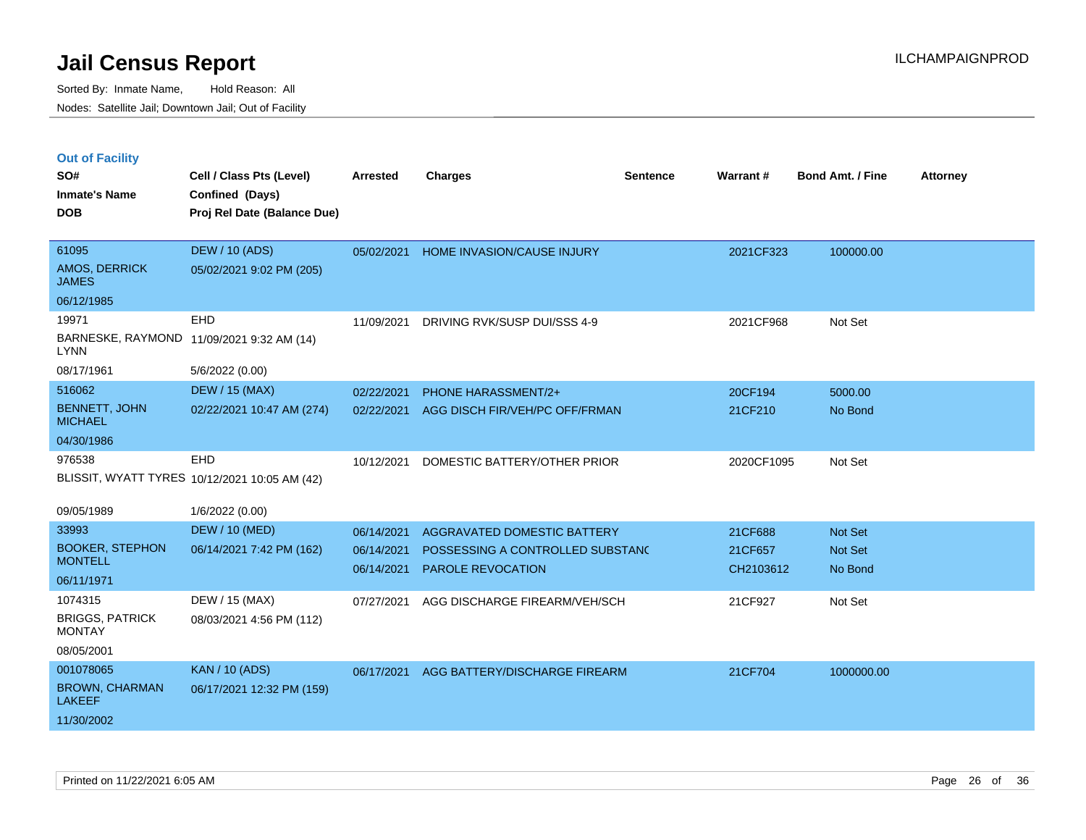|  |  | <b>Out of Facility</b> |
|--|--|------------------------|
|  |  |                        |

| SO#<br><b>Inmate's Name</b><br><b>DOB</b>                                     | Cell / Class Pts (Level)<br>Confined (Days)<br>Proj Rel Date (Balance Due) | <b>Arrested</b>                        | <b>Charges</b>                                                                              | <b>Sentence</b> | Warrant#                        | <b>Bond Amt. / Fine</b>              | <b>Attorney</b> |
|-------------------------------------------------------------------------------|----------------------------------------------------------------------------|----------------------------------------|---------------------------------------------------------------------------------------------|-----------------|---------------------------------|--------------------------------------|-----------------|
| 61095<br>AMOS, DERRICK<br><b>JAMES</b>                                        | <b>DEW / 10 (ADS)</b><br>05/02/2021 9:02 PM (205)                          | 05/02/2021                             | HOME INVASION/CAUSE INJURY                                                                  |                 | 2021CF323                       | 100000.00                            |                 |
| 06/12/1985<br>19971<br><b>LYNN</b><br>08/17/1961                              | <b>EHD</b><br>BARNESKE, RAYMOND 11/09/2021 9:32 AM (14)<br>5/6/2022 (0.00) | 11/09/2021                             | DRIVING RVK/SUSP DUI/SSS 4-9                                                                |                 | 2021CF968                       | Not Set                              |                 |
| 516062<br><b>BENNETT, JOHN</b><br><b>MICHAEL</b><br>04/30/1986                | <b>DEW / 15 (MAX)</b><br>02/22/2021 10:47 AM (274)                         | 02/22/2021<br>02/22/2021               | <b>PHONE HARASSMENT/2+</b><br>AGG DISCH FIR/VEH/PC OFF/FRMAN                                |                 | 20CF194<br>21CF210              | 5000.00<br>No Bond                   |                 |
| 976538                                                                        | EHD<br>BLISSIT, WYATT TYRES 10/12/2021 10:05 AM (42)                       | 10/12/2021                             | DOMESTIC BATTERY/OTHER PRIOR                                                                |                 | 2020CF1095                      | Not Set                              |                 |
| 09/05/1989<br>33993<br><b>BOOKER, STEPHON</b><br><b>MONTELL</b><br>06/11/1971 | 1/6/2022 (0.00)<br><b>DEW / 10 (MED)</b><br>06/14/2021 7:42 PM (162)       | 06/14/2021<br>06/14/2021<br>06/14/2021 | AGGRAVATED DOMESTIC BATTERY<br>POSSESSING A CONTROLLED SUBSTANC<br><b>PAROLE REVOCATION</b> |                 | 21CF688<br>21CF657<br>CH2103612 | <b>Not Set</b><br>Not Set<br>No Bond |                 |
| 1074315<br><b>BRIGGS, PATRICK</b><br><b>MONTAY</b><br>08/05/2001              | DEW / 15 (MAX)<br>08/03/2021 4:56 PM (112)                                 | 07/27/2021                             | AGG DISCHARGE FIREARM/VEH/SCH                                                               |                 | 21CF927                         | Not Set                              |                 |
| 001078065<br><b>BROWN, CHARMAN</b><br><b>LAKEEF</b><br>11/30/2002             | <b>KAN / 10 (ADS)</b><br>06/17/2021 12:32 PM (159)                         | 06/17/2021                             | AGG BATTERY/DISCHARGE FIREARM                                                               |                 | 21CF704                         | 1000000.00                           |                 |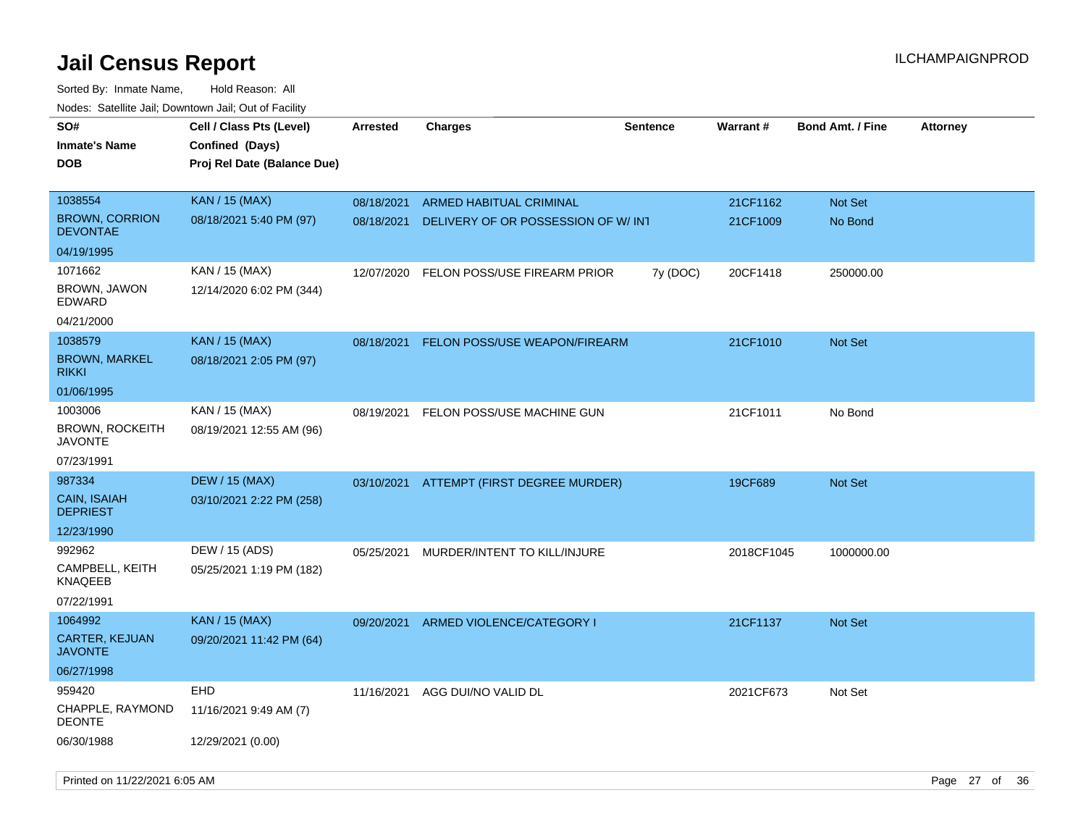| roaco. Oatomto dan, Downtown dan, Oat or Fability |                                             |                 |                                     |                 |            |                         |                 |
|---------------------------------------------------|---------------------------------------------|-----------------|-------------------------------------|-----------------|------------|-------------------------|-----------------|
| SO#<br><b>Inmate's Name</b>                       | Cell / Class Pts (Level)<br>Confined (Days) | <b>Arrested</b> | <b>Charges</b>                      | <b>Sentence</b> | Warrant#   | <b>Bond Amt. / Fine</b> | <b>Attorney</b> |
| <b>DOB</b>                                        | Proj Rel Date (Balance Due)                 |                 |                                     |                 |            |                         |                 |
| 1038554                                           | <b>KAN / 15 (MAX)</b>                       | 08/18/2021      | ARMED HABITUAL CRIMINAL             |                 | 21CF1162   | <b>Not Set</b>          |                 |
| <b>BROWN, CORRION</b><br>DEVONTAE                 | 08/18/2021 5:40 PM (97)                     | 08/18/2021      | DELIVERY OF OR POSSESSION OF W/ INT |                 | 21CF1009   | No Bond                 |                 |
| 04/19/1995                                        |                                             |                 |                                     |                 |            |                         |                 |
| 1071662                                           | KAN / 15 (MAX)                              | 12/07/2020      | FELON POSS/USE FIREARM PRIOR        | 7y (DOC)        | 20CF1418   | 250000.00               |                 |
| BROWN, JAWON<br>EDWARD                            | 12/14/2020 6:02 PM (344)                    |                 |                                     |                 |            |                         |                 |
| 04/21/2000                                        |                                             |                 |                                     |                 |            |                         |                 |
| 1038579                                           | <b>KAN / 15 (MAX)</b>                       | 08/18/2021      | FELON POSS/USE WEAPON/FIREARM       |                 | 21CF1010   | <b>Not Set</b>          |                 |
| <b>BROWN, MARKEL</b><br>rikki                     | 08/18/2021 2:05 PM (97)                     |                 |                                     |                 |            |                         |                 |
| 01/06/1995                                        |                                             |                 |                                     |                 |            |                         |                 |
| 1003006                                           | KAN / 15 (MAX)                              | 08/19/2021      | FELON POSS/USE MACHINE GUN          |                 | 21CF1011   | No Bond                 |                 |
| <b>BROWN, ROCKEITH</b><br><b>JAVONTE</b>          | 08/19/2021 12:55 AM (96)                    |                 |                                     |                 |            |                         |                 |
| 07/23/1991                                        |                                             |                 |                                     |                 |            |                         |                 |
| 987334                                            | <b>DEW / 15 (MAX)</b>                       | 03/10/2021      | ATTEMPT (FIRST DEGREE MURDER)       |                 | 19CF689    | <b>Not Set</b>          |                 |
| CAIN, ISAIAH<br><b>DEPRIEST</b>                   | 03/10/2021 2:22 PM (258)                    |                 |                                     |                 |            |                         |                 |
| 12/23/1990                                        |                                             |                 |                                     |                 |            |                         |                 |
| 992962                                            | DEW / 15 (ADS)                              | 05/25/2021      | MURDER/INTENT TO KILL/INJURE        |                 | 2018CF1045 | 1000000.00              |                 |
| CAMPBELL, KEITH<br>KNAQEEB                        | 05/25/2021 1:19 PM (182)                    |                 |                                     |                 |            |                         |                 |
| 07/22/1991                                        |                                             |                 |                                     |                 |            |                         |                 |
| 1064992                                           | <b>KAN / 15 (MAX)</b>                       | 09/20/2021      | ARMED VIOLENCE/CATEGORY I           |                 | 21CF1137   | Not Set                 |                 |
| <b>CARTER, KEJUAN</b><br><b>JAVONTE</b>           | 09/20/2021 11:42 PM (64)                    |                 |                                     |                 |            |                         |                 |
| 06/27/1998                                        |                                             |                 |                                     |                 |            |                         |                 |
| 959420                                            | <b>EHD</b>                                  | 11/16/2021      | AGG DUI/NO VALID DL                 |                 | 2021CF673  | Not Set                 |                 |
| CHAPPLE, RAYMOND<br><b>DEONTE</b>                 | 11/16/2021 9:49 AM (7)                      |                 |                                     |                 |            |                         |                 |
| 06/30/1988                                        | 12/29/2021 (0.00)                           |                 |                                     |                 |            |                         |                 |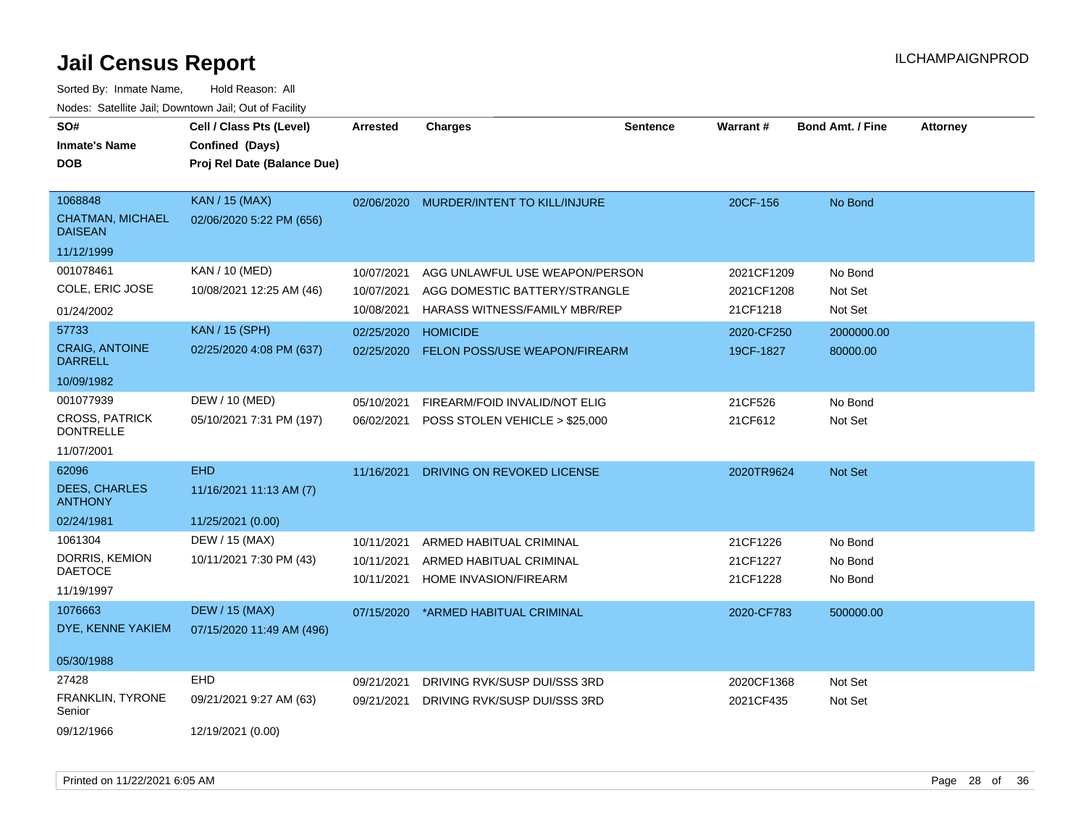| SO#<br><b>Inmate's Name</b><br><b>DOB</b>                            | Cell / Class Pts (Level)<br>Confined (Days)<br>Proj Rel Date (Balance Due) | <b>Arrested</b>                        | <b>Charges</b>                                                                                   | <b>Sentence</b> | Warrant#                             | <b>Bond Amt. / Fine</b>       | <b>Attorney</b> |
|----------------------------------------------------------------------|----------------------------------------------------------------------------|----------------------------------------|--------------------------------------------------------------------------------------------------|-----------------|--------------------------------------|-------------------------------|-----------------|
|                                                                      |                                                                            |                                        |                                                                                                  |                 |                                      |                               |                 |
| 1068848<br><b>CHATMAN, MICHAEL</b><br><b>DAISEAN</b>                 | <b>KAN / 15 (MAX)</b><br>02/06/2020 5:22 PM (656)                          | 02/06/2020                             | MURDER/INTENT TO KILL/INJURE                                                                     |                 | 20CF-156                             | No Bond                       |                 |
| 11/12/1999                                                           |                                                                            |                                        |                                                                                                  |                 |                                      |                               |                 |
| 001078461<br>COLE, ERIC JOSE<br>01/24/2002                           | <b>KAN / 10 (MED)</b><br>10/08/2021 12:25 AM (46)                          | 10/07/2021<br>10/07/2021<br>10/08/2021 | AGG UNLAWFUL USE WEAPON/PERSON<br>AGG DOMESTIC BATTERY/STRANGLE<br>HARASS WITNESS/FAMILY MBR/REP |                 | 2021CF1209<br>2021CF1208<br>21CF1218 | No Bond<br>Not Set<br>Not Set |                 |
| 57733<br><b>CRAIG, ANTOINE</b><br><b>DARRELL</b><br>10/09/1982       | <b>KAN / 15 (SPH)</b><br>02/25/2020 4:08 PM (637)                          | 02/25/2020<br>02/25/2020               | <b>HOMICIDE</b><br>FELON POSS/USE WEAPON/FIREARM                                                 |                 | 2020-CF250<br>19CF-1827              | 2000000.00<br>80000.00        |                 |
| 001077939<br><b>CROSS, PATRICK</b><br><b>DONTRELLE</b><br>11/07/2001 | DEW / 10 (MED)<br>05/10/2021 7:31 PM (197)                                 | 05/10/2021<br>06/02/2021               | FIREARM/FOID INVALID/NOT ELIG<br>POSS STOLEN VEHICLE > \$25,000                                  |                 | 21CF526<br>21CF612                   | No Bond<br>Not Set            |                 |
| 62096<br><b>DEES, CHARLES</b><br><b>ANTHONY</b><br>02/24/1981        | <b>EHD</b><br>11/16/2021 11:13 AM (7)<br>11/25/2021 (0.00)                 | 11/16/2021                             | DRIVING ON REVOKED LICENSE                                                                       |                 | 2020TR9624                           | Not Set                       |                 |
| 1061304<br>DORRIS, KEMION<br><b>DAETOCE</b><br>11/19/1997            | DEW / 15 (MAX)<br>10/11/2021 7:30 PM (43)                                  | 10/11/2021<br>10/11/2021<br>10/11/2021 | ARMED HABITUAL CRIMINAL<br>ARMED HABITUAL CRIMINAL<br>HOME INVASION/FIREARM                      |                 | 21CF1226<br>21CF1227<br>21CF1228     | No Bond<br>No Bond<br>No Bond |                 |
| 1076663<br>DYE, KENNE YAKIEM<br>05/30/1988                           | <b>DEW / 15 (MAX)</b><br>07/15/2020 11:49 AM (496)                         | 07/15/2020                             | *ARMED HABITUAL CRIMINAL                                                                         |                 | 2020-CF783                           | 500000.00                     |                 |
| 27428<br>FRANKLIN, TYRONE<br>Senior<br>09/12/1966                    | <b>EHD</b><br>09/21/2021 9:27 AM (63)<br>12/19/2021 (0.00)                 | 09/21/2021<br>09/21/2021               | DRIVING RVK/SUSP DUI/SSS 3RD<br>DRIVING RVK/SUSP DUI/SSS 3RD                                     |                 | 2020CF1368<br>2021CF435              | Not Set<br>Not Set            |                 |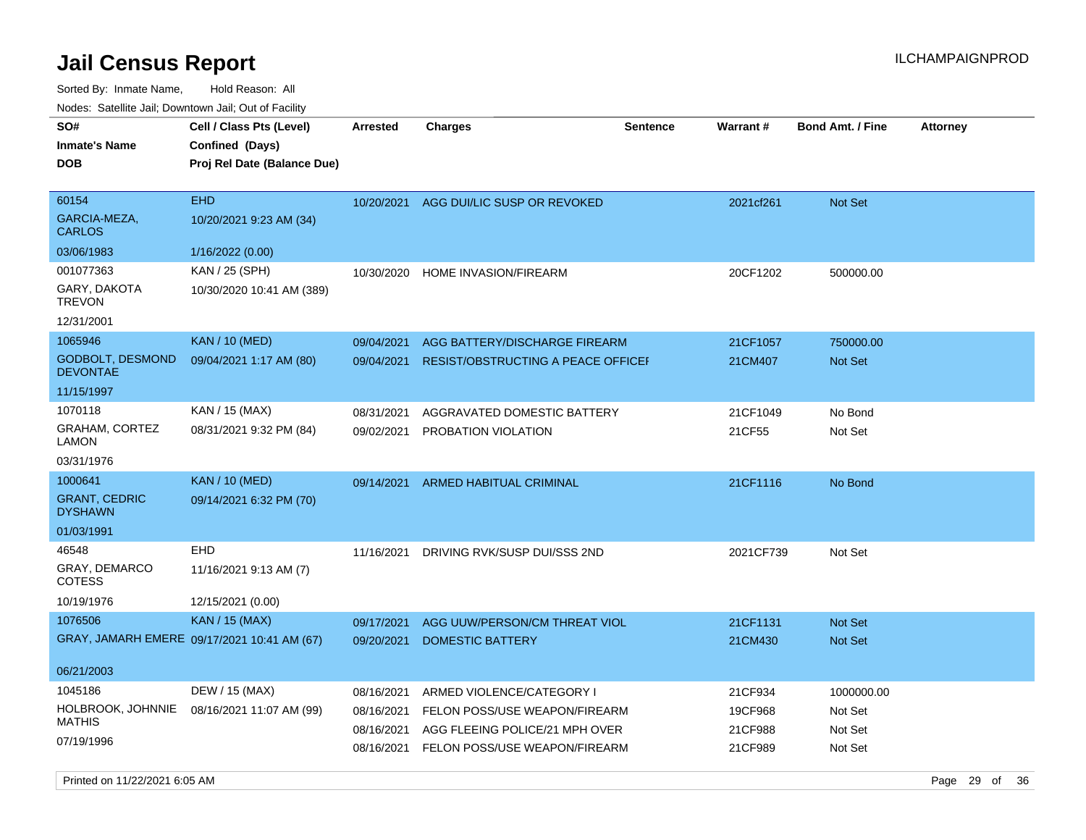Sorted By: Inmate Name, Hold Reason: All Nodes: Satellite Jail; Downtown Jail; Out of Facility

| SO#<br><b>Inmate's Name</b>                | Cell / Class Pts (Level)<br>Confined (Days) | Arrested   | <b>Charges</b>                            | <b>Sentence</b> | Warrant#  | <b>Bond Amt. / Fine</b> | <b>Attorney</b> |
|--------------------------------------------|---------------------------------------------|------------|-------------------------------------------|-----------------|-----------|-------------------------|-----------------|
| <b>DOB</b>                                 | Proj Rel Date (Balance Due)                 |            |                                           |                 |           |                         |                 |
| 60154                                      | <b>EHD</b>                                  | 10/20/2021 | AGG DUI/LIC SUSP OR REVOKED               |                 | 2021cf261 | Not Set                 |                 |
| GARCIA-MEZA,<br><b>CARLOS</b>              | 10/20/2021 9:23 AM (34)                     |            |                                           |                 |           |                         |                 |
| 03/06/1983                                 | 1/16/2022 (0.00)                            |            |                                           |                 |           |                         |                 |
| 001077363                                  | KAN / 25 (SPH)                              | 10/30/2020 | <b>HOME INVASION/FIREARM</b>              |                 | 20CF1202  | 500000.00               |                 |
| GARY, DAKOTA<br><b>TREVON</b>              | 10/30/2020 10:41 AM (389)                   |            |                                           |                 |           |                         |                 |
| 12/31/2001                                 |                                             |            |                                           |                 |           |                         |                 |
| 1065946                                    | <b>KAN / 10 (MED)</b>                       | 09/04/2021 | AGG BATTERY/DISCHARGE FIREARM             |                 | 21CF1057  | 750000.00               |                 |
| <b>GODBOLT, DESMOND</b><br><b>DEVONTAE</b> | 09/04/2021 1:17 AM (80)                     | 09/04/2021 | <b>RESIST/OBSTRUCTING A PEACE OFFICEF</b> |                 | 21CM407   | <b>Not Set</b>          |                 |
| 11/15/1997                                 |                                             |            |                                           |                 |           |                         |                 |
| 1070118                                    | KAN / 15 (MAX)                              | 08/31/2021 | AGGRAVATED DOMESTIC BATTERY               |                 | 21CF1049  | No Bond                 |                 |
| <b>GRAHAM, CORTEZ</b><br>LAMON             | 08/31/2021 9:32 PM (84)                     | 09/02/2021 | PROBATION VIOLATION                       |                 | 21CF55    | Not Set                 |                 |
| 03/31/1976                                 |                                             |            |                                           |                 |           |                         |                 |
| 1000641                                    | <b>KAN / 10 (MED)</b>                       | 09/14/2021 | <b>ARMED HABITUAL CRIMINAL</b>            |                 | 21CF1116  | No Bond                 |                 |
| <b>GRANT, CEDRIC</b><br><b>DYSHAWN</b>     | 09/14/2021 6:32 PM (70)                     |            |                                           |                 |           |                         |                 |
| 01/03/1991                                 |                                             |            |                                           |                 |           |                         |                 |
| 46548                                      | EHD                                         | 11/16/2021 | DRIVING RVK/SUSP DUI/SSS 2ND              |                 | 2021CF739 | Not Set                 |                 |
| <b>GRAY, DEMARCO</b><br>COTESS             | 11/16/2021 9:13 AM (7)                      |            |                                           |                 |           |                         |                 |
| 10/19/1976                                 | 12/15/2021 (0.00)                           |            |                                           |                 |           |                         |                 |
| 1076506                                    | <b>KAN / 15 (MAX)</b>                       | 09/17/2021 | AGG UUW/PERSON/CM THREAT VIOL             |                 | 21CF1131  | Not Set                 |                 |
|                                            | GRAY, JAMARH EMERE 09/17/2021 10:41 AM (67) | 09/20/2021 | <b>DOMESTIC BATTERY</b>                   |                 | 21CM430   | <b>Not Set</b>          |                 |
| 06/21/2003                                 |                                             |            |                                           |                 |           |                         |                 |
| 1045186                                    | DEW / 15 (MAX)                              | 08/16/2021 | ARMED VIOLENCE/CATEGORY I                 |                 | 21CF934   | 1000000.00              |                 |
| HOLBROOK, JOHNNIE                          | 08/16/2021 11:07 AM (99)                    | 08/16/2021 | FELON POSS/USE WEAPON/FIREARM             |                 | 19CF968   | Not Set                 |                 |
| <b>MATHIS</b>                              |                                             | 08/16/2021 | AGG FLEEING POLICE/21 MPH OVER            |                 | 21CF988   | Not Set                 |                 |
| 07/19/1996                                 |                                             | 08/16/2021 | FELON POSS/USE WEAPON/FIREARM             |                 | 21CF989   | Not Set                 |                 |

Printed on 11/22/2021 6:05 AM Page 29 of 36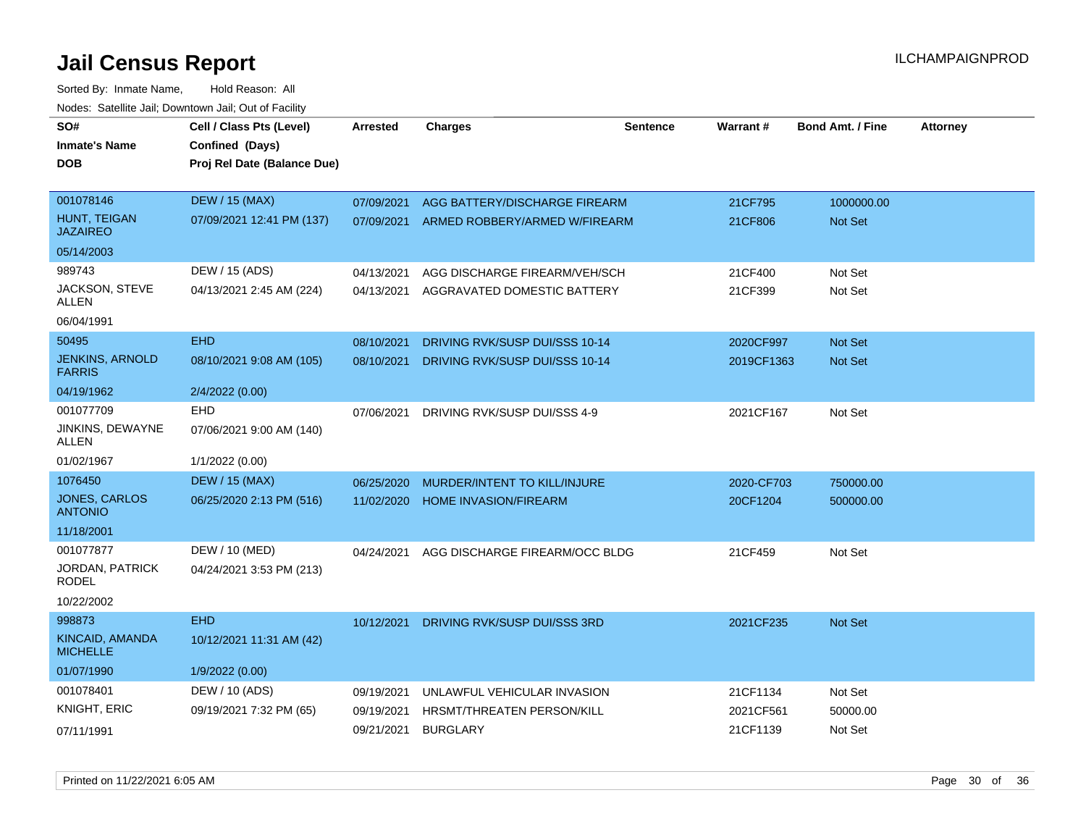| SO#<br><b>Inmate's Name</b>             | Cell / Class Pts (Level)<br>Confined (Days) | Arrested   | <b>Charges</b>                    | <b>Sentence</b> | Warrant#   | <b>Bond Amt. / Fine</b> | <b>Attorney</b> |
|-----------------------------------------|---------------------------------------------|------------|-----------------------------------|-----------------|------------|-------------------------|-----------------|
| <b>DOB</b>                              | Proj Rel Date (Balance Due)                 |            |                                   |                 |            |                         |                 |
| 001078146                               | <b>DEW / 15 (MAX)</b>                       | 07/09/2021 | AGG BATTERY/DISCHARGE FIREARM     |                 | 21CF795    | 1000000.00              |                 |
| HUNT, TEIGAN<br><b>JAZAIREO</b>         | 07/09/2021 12:41 PM (137)                   | 07/09/2021 | ARMED ROBBERY/ARMED W/FIREARM     |                 | 21CF806    | Not Set                 |                 |
| 05/14/2003                              |                                             |            |                                   |                 |            |                         |                 |
| 989743                                  | DEW / 15 (ADS)                              | 04/13/2021 | AGG DISCHARGE FIREARM/VEH/SCH     |                 | 21CF400    | Not Set                 |                 |
| JACKSON, STEVE<br>ALLEN                 | 04/13/2021 2:45 AM (224)                    | 04/13/2021 | AGGRAVATED DOMESTIC BATTERY       |                 | 21CF399    | Not Set                 |                 |
| 06/04/1991                              |                                             |            |                                   |                 |            |                         |                 |
| 50495                                   | <b>EHD</b>                                  | 08/10/2021 | DRIVING RVK/SUSP DUI/SSS 10-14    |                 | 2020CF997  | Not Set                 |                 |
| <b>JENKINS, ARNOLD</b><br><b>FARRIS</b> | 08/10/2021 9:08 AM (105)                    | 08/10/2021 | DRIVING RVK/SUSP DUI/SSS 10-14    |                 | 2019CF1363 | Not Set                 |                 |
| 04/19/1962                              | 2/4/2022 (0.00)                             |            |                                   |                 |            |                         |                 |
| 001077709                               | EHD                                         | 07/06/2021 | DRIVING RVK/SUSP DUI/SSS 4-9      |                 | 2021CF167  | Not Set                 |                 |
| JINKINS, DEWAYNE<br><b>ALLEN</b>        | 07/06/2021 9:00 AM (140)                    |            |                                   |                 |            |                         |                 |
| 01/02/1967                              | 1/1/2022 (0.00)                             |            |                                   |                 |            |                         |                 |
| 1076450                                 | <b>DEW / 15 (MAX)</b>                       | 06/25/2020 | MURDER/INTENT TO KILL/INJURE      |                 | 2020-CF703 | 750000.00               |                 |
| <b>JONES, CARLOS</b><br><b>ANTONIO</b>  | 06/25/2020 2:13 PM (516)                    | 11/02/2020 | <b>HOME INVASION/FIREARM</b>      |                 | 20CF1204   | 500000.00               |                 |
| 11/18/2001                              |                                             |            |                                   |                 |            |                         |                 |
| 001077877                               | DEW / 10 (MED)                              | 04/24/2021 | AGG DISCHARGE FIREARM/OCC BLDG    |                 | 21CF459    | Not Set                 |                 |
| <b>JORDAN, PATRICK</b><br>RODEL         | 04/24/2021 3:53 PM (213)                    |            |                                   |                 |            |                         |                 |
| 10/22/2002                              |                                             |            |                                   |                 |            |                         |                 |
| 998873                                  | <b>EHD</b>                                  | 10/12/2021 | DRIVING RVK/SUSP DUI/SSS 3RD      |                 | 2021CF235  | <b>Not Set</b>          |                 |
| KINCAID, AMANDA<br><b>MICHELLE</b>      | 10/12/2021 11:31 AM (42)                    |            |                                   |                 |            |                         |                 |
| 01/07/1990                              | 1/9/2022 (0.00)                             |            |                                   |                 |            |                         |                 |
| 001078401                               | DEW / 10 (ADS)                              | 09/19/2021 | UNLAWFUL VEHICULAR INVASION       |                 | 21CF1134   | Not Set                 |                 |
| <b>KNIGHT, ERIC</b>                     | 09/19/2021 7:32 PM (65)                     | 09/19/2021 | <b>HRSMT/THREATEN PERSON/KILL</b> |                 | 2021CF561  | 50000.00                |                 |
| 07/11/1991                              |                                             | 09/21/2021 | <b>BURGLARY</b>                   |                 | 21CF1139   | Not Set                 |                 |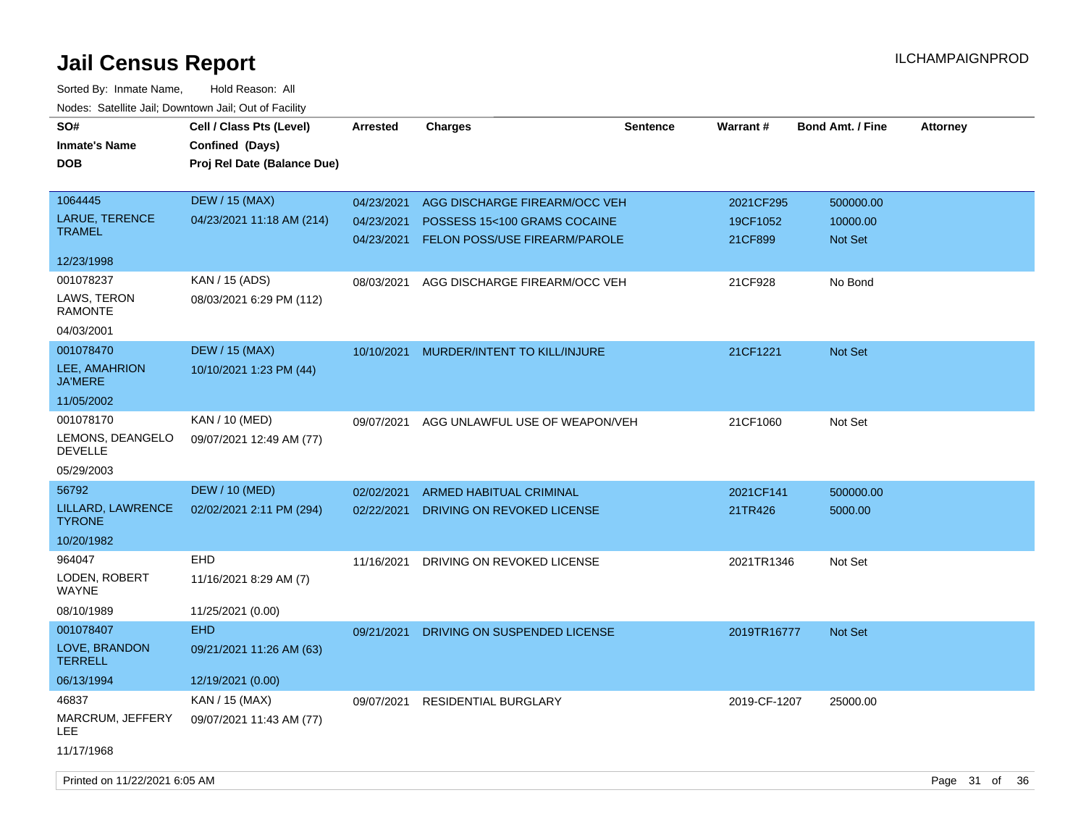| SO#<br><b>Inmate's Name</b><br><b>DOB</b> | Cell / Class Pts (Level)<br>Confined (Days)<br>Proj Rel Date (Balance Due) | Arrested   | <b>Charges</b>                          | <b>Sentence</b> | <b>Warrant#</b> | <b>Bond Amt. / Fine</b> | <b>Attorney</b> |
|-------------------------------------------|----------------------------------------------------------------------------|------------|-----------------------------------------|-----------------|-----------------|-------------------------|-----------------|
| 1064445                                   | <b>DEW / 15 (MAX)</b>                                                      | 04/23/2021 | AGG DISCHARGE FIREARM/OCC VEH           |                 | 2021CF295       | 500000.00               |                 |
| LARUE, TERENCE<br><b>TRAMEL</b>           | 04/23/2021 11:18 AM (214)                                                  | 04/23/2021 | POSSESS 15<100 GRAMS COCAINE            |                 | 19CF1052        | 10000.00                |                 |
|                                           |                                                                            | 04/23/2021 | FELON POSS/USE FIREARM/PAROLE           |                 | 21CF899         | Not Set                 |                 |
| 12/23/1998                                |                                                                            |            |                                         |                 |                 |                         |                 |
| 001078237                                 | KAN / 15 (ADS)                                                             | 08/03/2021 | AGG DISCHARGE FIREARM/OCC VEH           |                 | 21CF928         | No Bond                 |                 |
| LAWS, TERON<br><b>RAMONTE</b>             | 08/03/2021 6:29 PM (112)                                                   |            |                                         |                 |                 |                         |                 |
| 04/03/2001                                |                                                                            |            |                                         |                 |                 |                         |                 |
| 001078470                                 | <b>DEW / 15 (MAX)</b>                                                      |            | 10/10/2021 MURDER/INTENT TO KILL/INJURE |                 | 21CF1221        | Not Set                 |                 |
| LEE, AMAHRION<br><b>JA'MERE</b>           | 10/10/2021 1:23 PM (44)                                                    |            |                                         |                 |                 |                         |                 |
| 11/05/2002                                |                                                                            |            |                                         |                 |                 |                         |                 |
| 001078170                                 | KAN / 10 (MED)                                                             | 09/07/2021 | AGG UNLAWFUL USE OF WEAPON/VEH          |                 | 21CF1060        | Not Set                 |                 |
| LEMONS, DEANGELO<br><b>DEVELLE</b>        | 09/07/2021 12:49 AM (77)                                                   |            |                                         |                 |                 |                         |                 |
| 05/29/2003                                |                                                                            |            |                                         |                 |                 |                         |                 |
| 56792                                     | <b>DEW / 10 (MED)</b>                                                      | 02/02/2021 | ARMED HABITUAL CRIMINAL                 |                 | 2021CF141       | 500000.00               |                 |
| LILLARD, LAWRENCE<br><b>TYRONE</b>        | 02/02/2021 2:11 PM (294)                                                   | 02/22/2021 | DRIVING ON REVOKED LICENSE              |                 | 21TR426         | 5000.00                 |                 |
| 10/20/1982                                |                                                                            |            |                                         |                 |                 |                         |                 |
| 964047                                    | <b>EHD</b>                                                                 | 11/16/2021 | DRIVING ON REVOKED LICENSE              |                 | 2021TR1346      | Not Set                 |                 |
| LODEN, ROBERT<br><b>WAYNE</b>             | 11/16/2021 8:29 AM (7)                                                     |            |                                         |                 |                 |                         |                 |
| 08/10/1989                                | 11/25/2021 (0.00)                                                          |            |                                         |                 |                 |                         |                 |
| 001078407                                 | <b>EHD</b>                                                                 | 09/21/2021 | DRIVING ON SUSPENDED LICENSE            |                 | 2019TR16777     | <b>Not Set</b>          |                 |
| LOVE, BRANDON<br><b>TERRELL</b>           | 09/21/2021 11:26 AM (63)                                                   |            |                                         |                 |                 |                         |                 |
| 06/13/1994                                | 12/19/2021 (0.00)                                                          |            |                                         |                 |                 |                         |                 |
| 46837                                     | KAN / 15 (MAX)                                                             | 09/07/2021 | <b>RESIDENTIAL BURGLARY</b>             |                 | 2019-CF-1207    | 25000.00                |                 |
| MARCRUM, JEFFERY<br>LEE                   | 09/07/2021 11:43 AM (77)                                                   |            |                                         |                 |                 |                         |                 |
| 11/17/1968                                |                                                                            |            |                                         |                 |                 |                         |                 |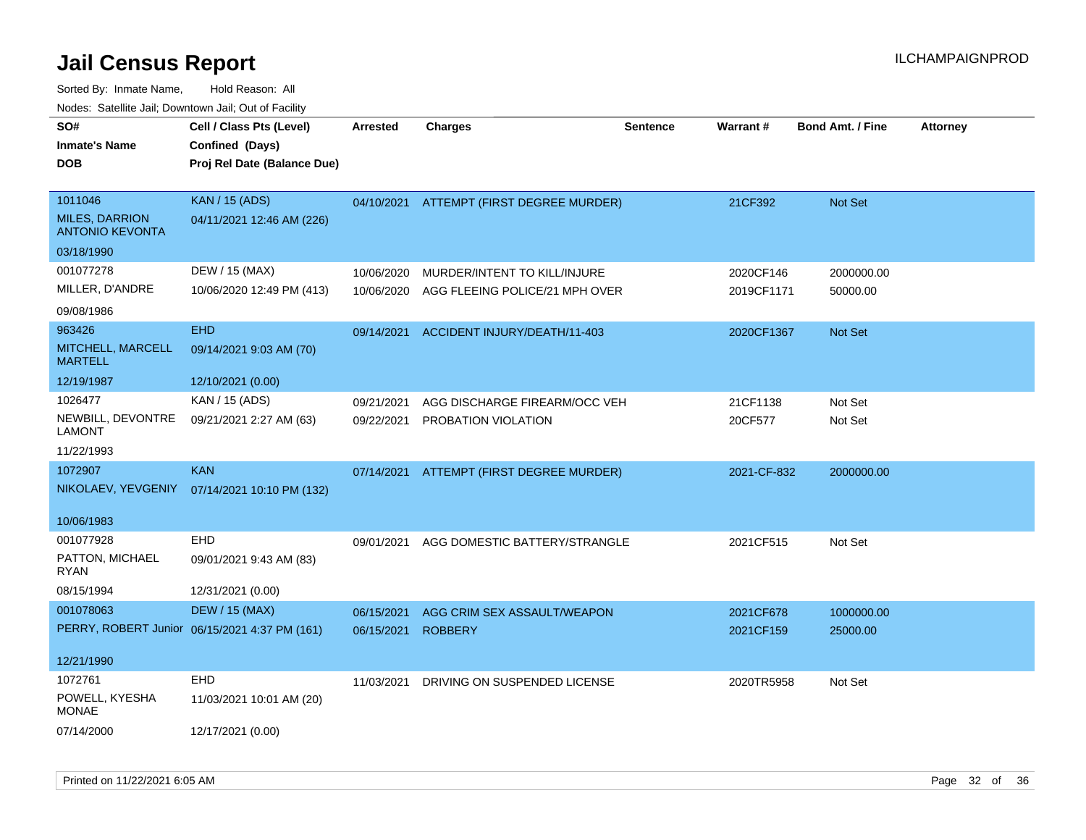| SO#<br><b>Inmate's Name</b><br><b>DOB</b>                  | Cell / Class Pts (Level)<br>Confined (Days)<br>Proj Rel Date (Balance Due) | Arrested   | <b>Charges</b>                           | <b>Sentence</b> | <b>Warrant#</b> | <b>Bond Amt. / Fine</b> | <b>Attorney</b> |
|------------------------------------------------------------|----------------------------------------------------------------------------|------------|------------------------------------------|-----------------|-----------------|-------------------------|-----------------|
| 1011046<br><b>MILES, DARRION</b><br><b>ANTONIO KEVONTA</b> | <b>KAN / 15 (ADS)</b><br>04/11/2021 12:46 AM (226)                         |            | 04/10/2021 ATTEMPT (FIRST DEGREE MURDER) |                 | 21CF392         | Not Set                 |                 |
| 03/18/1990                                                 |                                                                            |            |                                          |                 |                 |                         |                 |
| 001077278                                                  | DEW / 15 (MAX)                                                             | 10/06/2020 | MURDER/INTENT TO KILL/INJURE             |                 | 2020CF146       | 2000000.00              |                 |
| MILLER, D'ANDRE                                            | 10/06/2020 12:49 PM (413)                                                  | 10/06/2020 | AGG FLEEING POLICE/21 MPH OVER           |                 | 2019CF1171      | 50000.00                |                 |
| 09/08/1986                                                 |                                                                            |            |                                          |                 |                 |                         |                 |
| 963426                                                     | <b>EHD</b>                                                                 | 09/14/2021 | ACCIDENT INJURY/DEATH/11-403             |                 | 2020CF1367      | Not Set                 |                 |
| MITCHELL, MARCELL<br><b>MARTELL</b>                        | 09/14/2021 9:03 AM (70)                                                    |            |                                          |                 |                 |                         |                 |
| 12/19/1987                                                 | 12/10/2021 (0.00)                                                          |            |                                          |                 |                 |                         |                 |
| 1026477                                                    | KAN / 15 (ADS)                                                             | 09/21/2021 | AGG DISCHARGE FIREARM/OCC VEH            |                 | 21CF1138        | Not Set                 |                 |
| NEWBILL, DEVONTRE<br><b>LAMONT</b>                         | 09/21/2021 2:27 AM (63)                                                    | 09/22/2021 | PROBATION VIOLATION                      |                 | 20CF577         | Not Set                 |                 |
| 11/22/1993                                                 |                                                                            |            |                                          |                 |                 |                         |                 |
| 1072907                                                    | <b>KAN</b>                                                                 | 07/14/2021 | ATTEMPT (FIRST DEGREE MURDER)            |                 | 2021-CF-832     | 2000000.00              |                 |
|                                                            | NIKOLAEV, YEVGENIY 07/14/2021 10:10 PM (132)                               |            |                                          |                 |                 |                         |                 |
| 10/06/1983                                                 |                                                                            |            |                                          |                 |                 |                         |                 |
| 001077928                                                  | EHD                                                                        | 09/01/2021 | AGG DOMESTIC BATTERY/STRANGLE            |                 | 2021CF515       | Not Set                 |                 |
| PATTON, MICHAEL<br>RYAN                                    | 09/01/2021 9:43 AM (83)                                                    |            |                                          |                 |                 |                         |                 |
| 08/15/1994                                                 | 12/31/2021 (0.00)                                                          |            |                                          |                 |                 |                         |                 |
| 001078063                                                  | <b>DEW / 15 (MAX)</b>                                                      | 06/15/2021 | AGG CRIM SEX ASSAULT/WEAPON              |                 | 2021CF678       | 1000000.00              |                 |
|                                                            | PERRY, ROBERT Junior 06/15/2021 4:37 PM (161)                              | 06/15/2021 | <b>ROBBERY</b>                           |                 | 2021CF159       | 25000.00                |                 |
| 12/21/1990                                                 |                                                                            |            |                                          |                 |                 |                         |                 |
| 1072761                                                    | <b>EHD</b>                                                                 |            | 11/03/2021 DRIVING ON SUSPENDED LICENSE  |                 | 2020TR5958      | Not Set                 |                 |
| POWELL, KYESHA<br><b>MONAE</b>                             | 11/03/2021 10:01 AM (20)                                                   |            |                                          |                 |                 |                         |                 |
| 07/14/2000                                                 | 12/17/2021 (0.00)                                                          |            |                                          |                 |                 |                         |                 |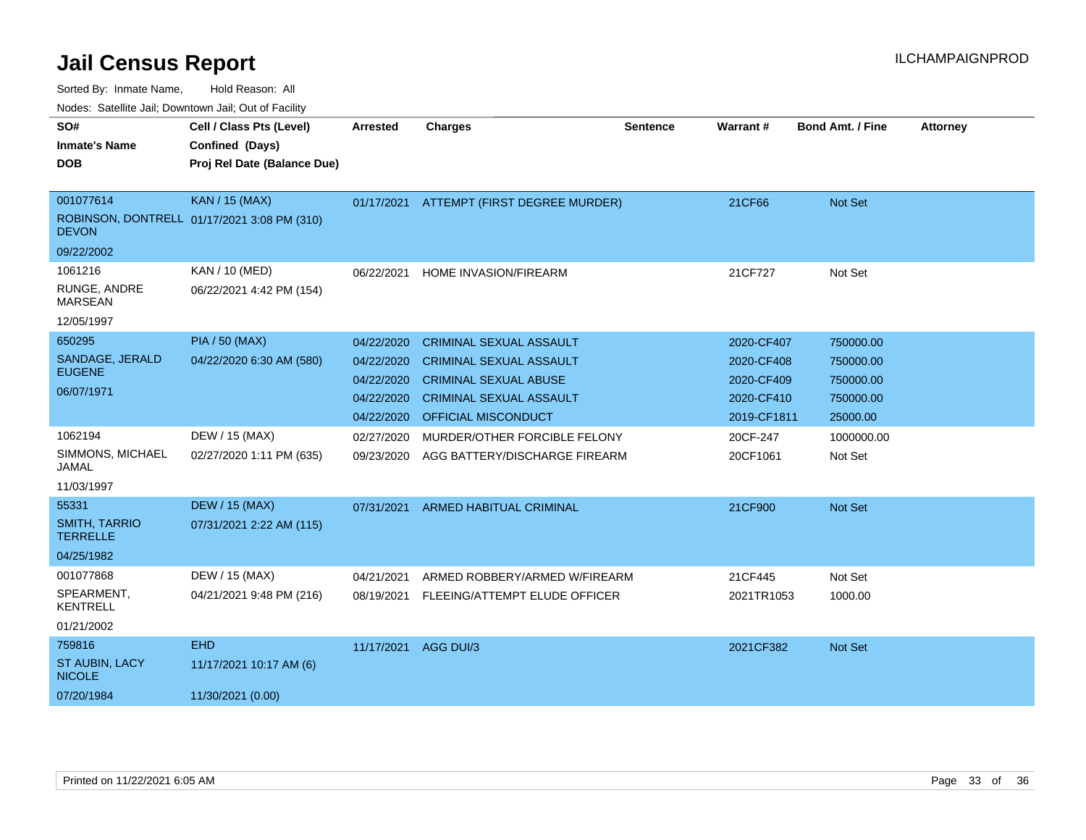| SO#                                     | Cell / Class Pts (Level)                    | <b>Arrested</b> | <b>Charges</b>                           | <b>Sentence</b> | Warrant#    | <b>Bond Amt. / Fine</b> | <b>Attorney</b> |
|-----------------------------------------|---------------------------------------------|-----------------|------------------------------------------|-----------------|-------------|-------------------------|-----------------|
| <b>Inmate's Name</b>                    | Confined (Days)                             |                 |                                          |                 |             |                         |                 |
| <b>DOB</b>                              | Proj Rel Date (Balance Due)                 |                 |                                          |                 |             |                         |                 |
|                                         |                                             |                 |                                          |                 |             |                         |                 |
| 001077614                               | <b>KAN / 15 (MAX)</b>                       |                 | 01/17/2021 ATTEMPT (FIRST DEGREE MURDER) |                 | 21CF66      | <b>Not Set</b>          |                 |
| <b>DEVON</b>                            | ROBINSON, DONTRELL 01/17/2021 3:08 PM (310) |                 |                                          |                 |             |                         |                 |
| 09/22/2002                              |                                             |                 |                                          |                 |             |                         |                 |
| 1061216                                 | KAN / 10 (MED)                              | 06/22/2021      | HOME INVASION/FIREARM                    |                 | 21CF727     | Not Set                 |                 |
| RUNGE, ANDRE<br><b>MARSEAN</b>          | 06/22/2021 4:42 PM (154)                    |                 |                                          |                 |             |                         |                 |
| 12/05/1997                              |                                             |                 |                                          |                 |             |                         |                 |
| 650295                                  | <b>PIA / 50 (MAX)</b>                       | 04/22/2020      | <b>CRIMINAL SEXUAL ASSAULT</b>           |                 | 2020-CF407  | 750000.00               |                 |
| SANDAGE, JERALD                         | 04/22/2020 6:30 AM (580)                    | 04/22/2020      | <b>CRIMINAL SEXUAL ASSAULT</b>           |                 | 2020-CF408  | 750000.00               |                 |
| <b>EUGENE</b>                           |                                             | 04/22/2020      | <b>CRIMINAL SEXUAL ABUSE</b>             |                 | 2020-CF409  | 750000.00               |                 |
| 06/07/1971                              |                                             | 04/22/2020      | <b>CRIMINAL SEXUAL ASSAULT</b>           |                 | 2020-CF410  | 750000.00               |                 |
|                                         |                                             | 04/22/2020      | <b>OFFICIAL MISCONDUCT</b>               |                 | 2019-CF1811 | 25000.00                |                 |
| 1062194                                 | DEW / 15 (MAX)                              | 02/27/2020      | MURDER/OTHER FORCIBLE FELONY             |                 | 20CF-247    | 1000000.00              |                 |
| SIMMONS, MICHAEL<br>JAMAL               | 02/27/2020 1:11 PM (635)                    | 09/23/2020      | AGG BATTERY/DISCHARGE FIREARM            |                 | 20CF1061    | Not Set                 |                 |
| 11/03/1997                              |                                             |                 |                                          |                 |             |                         |                 |
| 55331                                   | <b>DEW / 15 (MAX)</b>                       | 07/31/2021      | <b>ARMED HABITUAL CRIMINAL</b>           |                 | 21CF900     | <b>Not Set</b>          |                 |
| <b>SMITH, TARRIO</b><br><b>TERRELLE</b> | 07/31/2021 2:22 AM (115)                    |                 |                                          |                 |             |                         |                 |
| 04/25/1982                              |                                             |                 |                                          |                 |             |                         |                 |
| 001077868                               | DEW / 15 (MAX)                              | 04/21/2021      | ARMED ROBBERY/ARMED W/FIREARM            |                 | 21CF445     | Not Set                 |                 |
| SPEARMENT,<br><b>KENTRELL</b>           | 04/21/2021 9:48 PM (216)                    | 08/19/2021      | FLEEING/ATTEMPT ELUDE OFFICER            |                 | 2021TR1053  | 1000.00                 |                 |
| 01/21/2002                              |                                             |                 |                                          |                 |             |                         |                 |
| 759816                                  | <b>EHD</b>                                  | 11/17/2021      | AGG DUI/3                                |                 | 2021CF382   | <b>Not Set</b>          |                 |
| <b>ST AUBIN, LACY</b><br><b>NICOLE</b>  | 11/17/2021 10:17 AM (6)                     |                 |                                          |                 |             |                         |                 |
| 07/20/1984                              | 11/30/2021 (0.00)                           |                 |                                          |                 |             |                         |                 |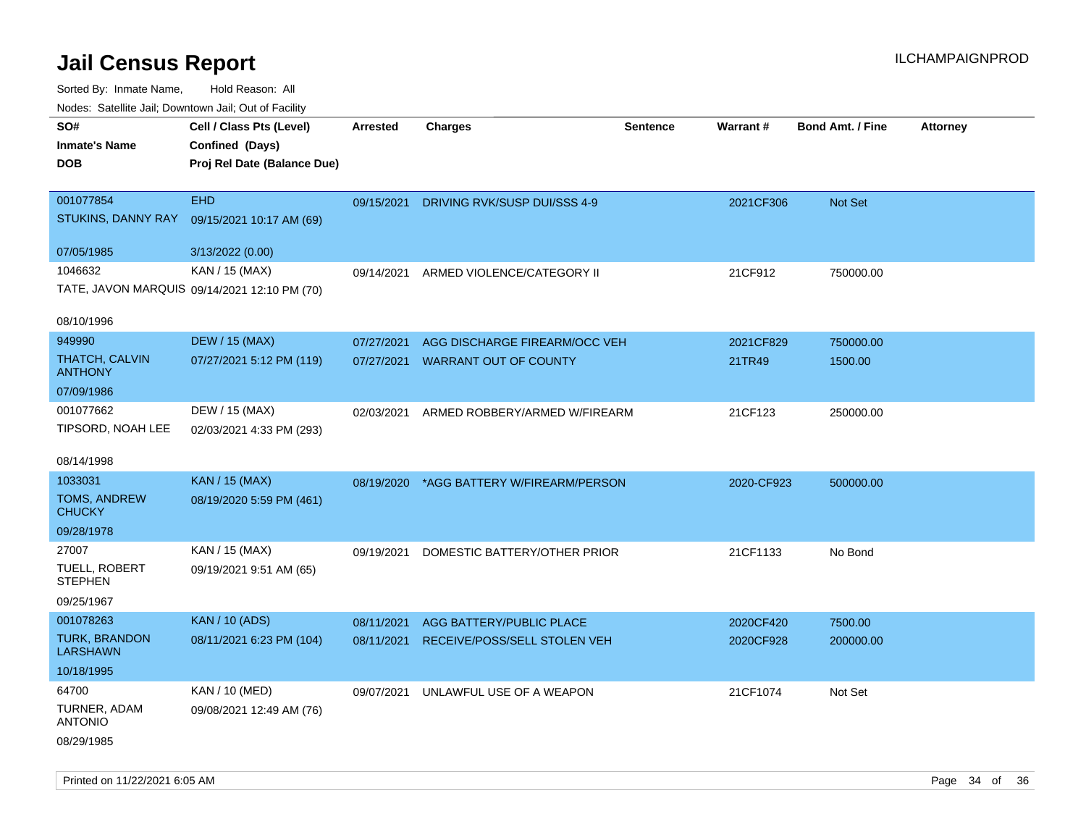Sorted By: Inmate Name, Hold Reason: All

|                                   | Nodes: Satellite Jail; Downtown Jail; Out of Facility |                 |                               |                 |                 |                  |                 |  |  |  |  |
|-----------------------------------|-------------------------------------------------------|-----------------|-------------------------------|-----------------|-----------------|------------------|-----------------|--|--|--|--|
| SO#                               | Cell / Class Pts (Level)                              | <b>Arrested</b> | <b>Charges</b>                | <b>Sentence</b> | <b>Warrant#</b> | Bond Amt. / Fine | <b>Attorney</b> |  |  |  |  |
| <b>Inmate's Name</b>              | Confined (Days)                                       |                 |                               |                 |                 |                  |                 |  |  |  |  |
| <b>DOB</b>                        | Proj Rel Date (Balance Due)                           |                 |                               |                 |                 |                  |                 |  |  |  |  |
|                                   |                                                       |                 |                               |                 |                 |                  |                 |  |  |  |  |
| 001077854                         | <b>EHD</b>                                            | 09/15/2021      | DRIVING RVK/SUSP DUI/SSS 4-9  |                 | 2021CF306       | Not Set          |                 |  |  |  |  |
| STUKINS, DANNY RAY                | 09/15/2021 10:17 AM (69)                              |                 |                               |                 |                 |                  |                 |  |  |  |  |
| 07/05/1985                        | 3/13/2022 (0.00)                                      |                 |                               |                 |                 |                  |                 |  |  |  |  |
| 1046632                           | KAN / 15 (MAX)                                        |                 |                               |                 |                 |                  |                 |  |  |  |  |
|                                   | TATE, JAVON MARQUIS 09/14/2021 12:10 PM (70)          | 09/14/2021      | ARMED VIOLENCE/CATEGORY II    |                 | 21CF912         | 750000.00        |                 |  |  |  |  |
|                                   |                                                       |                 |                               |                 |                 |                  |                 |  |  |  |  |
| 08/10/1996                        |                                                       |                 |                               |                 |                 |                  |                 |  |  |  |  |
| 949990                            | <b>DEW / 15 (MAX)</b>                                 | 07/27/2021      | AGG DISCHARGE FIREARM/OCC VEH |                 | 2021CF829       | 750000.00        |                 |  |  |  |  |
| THATCH, CALVIN                    | 07/27/2021 5:12 PM (119)                              | 07/27/2021      | <b>WARRANT OUT OF COUNTY</b>  |                 | 21TR49          | 1500.00          |                 |  |  |  |  |
| <b>ANTHONY</b>                    |                                                       |                 |                               |                 |                 |                  |                 |  |  |  |  |
| 07/09/1986                        |                                                       |                 |                               |                 |                 |                  |                 |  |  |  |  |
| 001077662                         | DEW / 15 (MAX)                                        | 02/03/2021      | ARMED ROBBERY/ARMED W/FIREARM |                 | 21CF123         | 250000.00        |                 |  |  |  |  |
| TIPSORD, NOAH LEE                 | 02/03/2021 4:33 PM (293)                              |                 |                               |                 |                 |                  |                 |  |  |  |  |
| 08/14/1998                        |                                                       |                 |                               |                 |                 |                  |                 |  |  |  |  |
| 1033031                           | KAN / 15 (MAX)                                        | 08/19/2020      | *AGG BATTERY W/FIREARM/PERSON |                 | 2020-CF923      | 500000.00        |                 |  |  |  |  |
| TOMS, ANDREW                      | 08/19/2020 5:59 PM (461)                              |                 |                               |                 |                 |                  |                 |  |  |  |  |
| <b>CHUCKY</b>                     |                                                       |                 |                               |                 |                 |                  |                 |  |  |  |  |
| 09/28/1978                        |                                                       |                 |                               |                 |                 |                  |                 |  |  |  |  |
| 27007                             | KAN / 15 (MAX)                                        | 09/19/2021      | DOMESTIC BATTERY/OTHER PRIOR  |                 | 21CF1133        | No Bond          |                 |  |  |  |  |
| TUELL, ROBERT                     | 09/19/2021 9:51 AM (65)                               |                 |                               |                 |                 |                  |                 |  |  |  |  |
| <b>STEPHEN</b>                    |                                                       |                 |                               |                 |                 |                  |                 |  |  |  |  |
| 09/25/1967                        |                                                       |                 |                               |                 |                 |                  |                 |  |  |  |  |
| 001078263<br><b>TURK, BRANDON</b> | <b>KAN / 10 (ADS)</b>                                 | 08/11/2021      | AGG BATTERY/PUBLIC PLACE      |                 | 2020CF420       | 7500.00          |                 |  |  |  |  |
| <b>LARSHAWN</b>                   | 08/11/2021 6:23 PM (104)                              | 08/11/2021      | RECEIVE/POSS/SELL STOLEN VEH  |                 | 2020CF928       | 200000.00        |                 |  |  |  |  |
| 10/18/1995                        |                                                       |                 |                               |                 |                 |                  |                 |  |  |  |  |
| 64700                             | KAN / 10 (MED)                                        | 09/07/2021      | UNLAWFUL USE OF A WEAPON      |                 | 21CF1074        | Not Set          |                 |  |  |  |  |
| TURNER, ADAM                      | 09/08/2021 12:49 AM (76)                              |                 |                               |                 |                 |                  |                 |  |  |  |  |
| <b>ANTONIO</b>                    |                                                       |                 |                               |                 |                 |                  |                 |  |  |  |  |
| 08/29/1985                        |                                                       |                 |                               |                 |                 |                  |                 |  |  |  |  |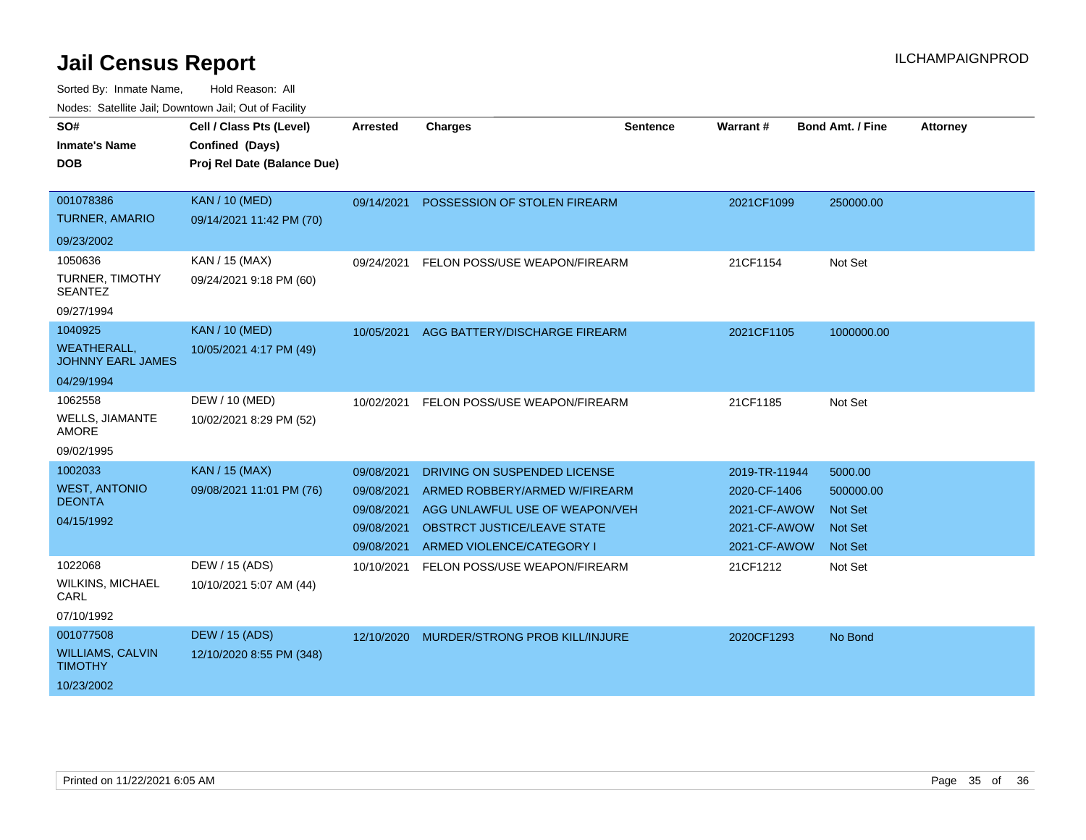| SO#                                            | Cell / Class Pts (Level)    | <b>Arrested</b> | <b>Charges</b>                            | <b>Sentence</b> | Warrant #     | Bond Amt. / Fine | <b>Attorney</b> |
|------------------------------------------------|-----------------------------|-----------------|-------------------------------------------|-----------------|---------------|------------------|-----------------|
| <b>Inmate's Name</b>                           | Confined (Days)             |                 |                                           |                 |               |                  |                 |
| <b>DOB</b>                                     | Proj Rel Date (Balance Due) |                 |                                           |                 |               |                  |                 |
| 001078386                                      | <b>KAN / 10 (MED)</b>       |                 |                                           |                 |               |                  |                 |
| <b>TURNER, AMARIO</b>                          | 09/14/2021 11:42 PM (70)    | 09/14/2021      | POSSESSION OF STOLEN FIREARM              |                 | 2021CF1099    | 250000.00        |                 |
| 09/23/2002                                     |                             |                 |                                           |                 |               |                  |                 |
|                                                |                             |                 |                                           |                 |               |                  |                 |
| 1050636                                        | KAN / 15 (MAX)              | 09/24/2021      | FELON POSS/USE WEAPON/FIREARM             |                 | 21CF1154      | Not Set          |                 |
| <b>TURNER, TIMOTHY</b><br><b>SEANTEZ</b>       | 09/24/2021 9:18 PM (60)     |                 |                                           |                 |               |                  |                 |
| 09/27/1994                                     |                             |                 |                                           |                 |               |                  |                 |
| 1040925                                        | <b>KAN / 10 (MED)</b>       | 10/05/2021      | AGG BATTERY/DISCHARGE FIREARM             |                 | 2021CF1105    | 1000000.00       |                 |
| <b>WEATHERALL,</b><br><b>JOHNNY EARL JAMES</b> | 10/05/2021 4:17 PM (49)     |                 |                                           |                 |               |                  |                 |
| 04/29/1994                                     |                             |                 |                                           |                 |               |                  |                 |
| 1062558                                        | DEW / 10 (MED)              |                 | 10/02/2021 FELON POSS/USE WEAPON/FIREARM  |                 | 21CF1185      | Not Set          |                 |
| <b>WELLS, JIAMANTE</b><br><b>AMORE</b>         | 10/02/2021 8:29 PM (52)     |                 |                                           |                 |               |                  |                 |
| 09/02/1995                                     |                             |                 |                                           |                 |               |                  |                 |
| 1002033                                        | <b>KAN / 15 (MAX)</b>       | 09/08/2021      | DRIVING ON SUSPENDED LICENSE              |                 | 2019-TR-11944 | 5000.00          |                 |
| <b>WEST, ANTONIO</b>                           | 09/08/2021 11:01 PM (76)    | 09/08/2021      | ARMED ROBBERY/ARMED W/FIREARM             |                 | 2020-CF-1406  | 500000.00        |                 |
| <b>DEONTA</b>                                  |                             | 09/08/2021      | AGG UNLAWFUL USE OF WEAPON/VEH            |                 | 2021-CF-AWOW  | <b>Not Set</b>   |                 |
| 04/15/1992                                     |                             | 09/08/2021      | OBSTRCT JUSTICE/LEAVE STATE               |                 | 2021-CF-AWOW  | <b>Not Set</b>   |                 |
|                                                |                             | 09/08/2021      | ARMED VIOLENCE/CATEGORY I                 |                 | 2021-CF-AWOW  | <b>Not Set</b>   |                 |
| 1022068                                        | DEW / 15 (ADS)              | 10/10/2021      | FELON POSS/USE WEAPON/FIREARM             |                 | 21CF1212      | Not Set          |                 |
| <b>WILKINS, MICHAEL</b><br>CARL                | 10/10/2021 5:07 AM (44)     |                 |                                           |                 |               |                  |                 |
| 07/10/1992                                     |                             |                 |                                           |                 |               |                  |                 |
| 001077508                                      | <b>DEW / 15 (ADS)</b>       |                 | 12/10/2020 MURDER/STRONG PROB KILL/INJURE |                 | 2020CF1293    | No Bond          |                 |
| <b>WILLIAMS, CALVIN</b><br><b>TIMOTHY</b>      | 12/10/2020 8:55 PM (348)    |                 |                                           |                 |               |                  |                 |
| 10/23/2002                                     |                             |                 |                                           |                 |               |                  |                 |